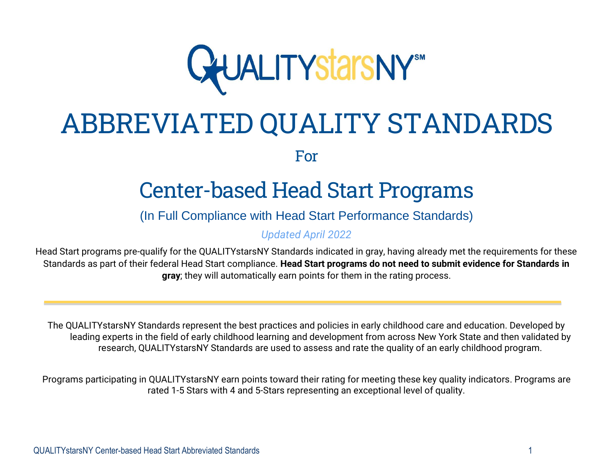

# ABBREVIATED QUALITY STANDARDS

For

## Center-based Head Start Programs

### (In Full Compliance with Head Start Performance Standards)

*Updated April 2022*

Head Start programs pre-qualify for the QUALITYstarsNY Standards indicated in gray, having already met the requirements for these Standards as part of their federal Head Start compliance. **Head Start programs do not need to submit evidence for Standards in gray**; they will automatically earn points for them in the rating process.

The QUALITYstarsNY Standards represent the best practices and policies in early childhood care and education. Developed by leading experts in the field of early childhood learning and development from across New York State and then validated by research, QUALITYstarsNY Standards are used to assess and rate the quality of an early childhood program.

Programs participating in QUALITYstarsNY earn points toward their rating for meeting these key quality indicators. Programs are rated 1-5 Stars with 4 and 5-Stars representing an exceptional level of quality.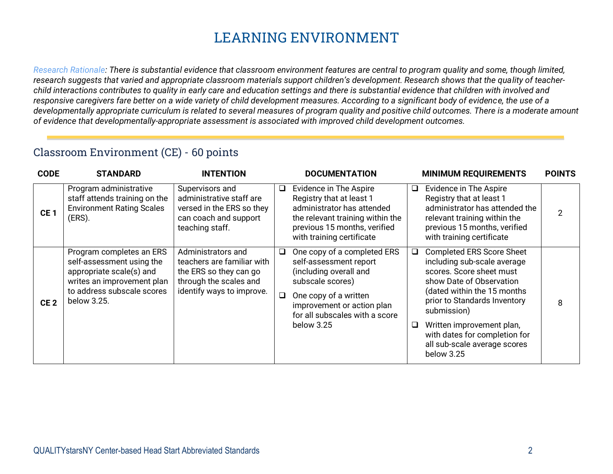## **LEARNING ENVIRONMENT**

*Research Rationale: There is substantial evidence that classroom environment features are central to program quality and some, though limited, research suggests that varied and appropriate classroom materials support children's development. Research shows that the quality of teacherchild interactions contributes to quality in early care and education settings and there is substantial evidence that children with involved and responsive caregivers fare better on a wide variety of child development measures. According to a significant body of evidence, the use of a developmentally appropriate curriculum is related to several measures of program quality and positive child outcomes. There is a moderate amount of evidence that developmentally-appropriate assessment is associated with improved child development outcomes.*

#### Classroom Environment (CE) - 60 points

| <b>CODE</b>     | <b>STANDARD</b>                                                                                                                                              | <b>INTENTION</b>                                                                                                                  |             | <b>DOCUMENTATION</b>                                                                                                                                                                                       |             | <b>MINIMUM REQUIREMENTS</b>                                                                                                                                                                                                                                                                                       | <b>POINTS</b>  |
|-----------------|--------------------------------------------------------------------------------------------------------------------------------------------------------------|-----------------------------------------------------------------------------------------------------------------------------------|-------------|------------------------------------------------------------------------------------------------------------------------------------------------------------------------------------------------------------|-------------|-------------------------------------------------------------------------------------------------------------------------------------------------------------------------------------------------------------------------------------------------------------------------------------------------------------------|----------------|
| CE <sub>1</sub> | Program administrative<br>staff attends training on the<br><b>Environment Rating Scales</b><br>(ERS).                                                        | Supervisors and<br>administrative staff are<br>versed in the ERS so they<br>can coach and support<br>teaching staff.              |             | Evidence in The Aspire<br>Registry that at least 1<br>administrator has attended<br>the relevant training within the<br>previous 15 months, verified<br>with training certificate                          | Q.          | Evidence in The Aspire<br>Registry that at least 1<br>administrator has attended the<br>relevant training within the<br>previous 15 months, verified<br>with training certificate                                                                                                                                 | $\overline{2}$ |
| CE <sub>2</sub> | Program completes an ERS<br>self-assessment using the<br>appropriate scale(s) and<br>writes an improvement plan<br>to address subscale scores<br>below 3.25. | Administrators and<br>teachers are familiar with<br>the ERS so they can go<br>through the scales and<br>identify ways to improve. | ❏<br>$\Box$ | One copy of a completed ERS<br>self-assessment report<br>(including overall and<br>subscale scores)<br>One copy of a written<br>improvement or action plan<br>for all subscales with a score<br>below 3.25 | $\Box$<br>❏ | <b>Completed ERS Score Sheet</b><br>including sub-scale average<br>scores. Score sheet must<br>show Date of Observation<br>(dated within the 15 months<br>prior to Standards Inventory<br>submission)<br>Written improvement plan,<br>with dates for completion for<br>all sub-scale average scores<br>below 3.25 | 8              |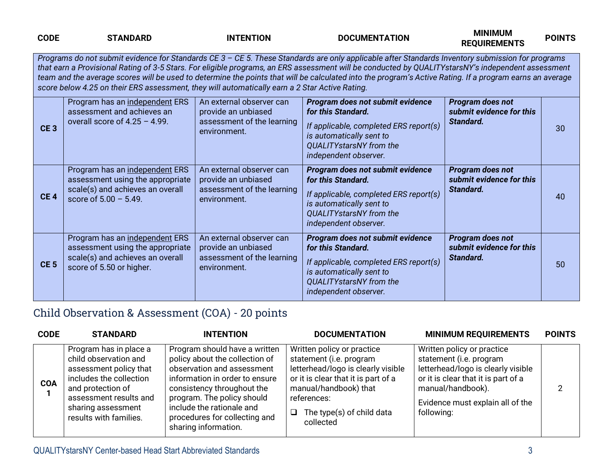| <b>CODE</b>     | <b>STANDARD</b>                                                                                                                    | <b>INTENTION</b>                                                                              | <b>DOCUMENTATION</b>                                                                                                                                                                                                                                                                                                                                                                                                                                               | <b>MINIMUM</b><br><b>REQUIREMENTS</b>                            | <b>POINTS</b> |
|-----------------|------------------------------------------------------------------------------------------------------------------------------------|-----------------------------------------------------------------------------------------------|--------------------------------------------------------------------------------------------------------------------------------------------------------------------------------------------------------------------------------------------------------------------------------------------------------------------------------------------------------------------------------------------------------------------------------------------------------------------|------------------------------------------------------------------|---------------|
|                 | score below 4.25 on their ERS assessment, they will automatically earn a 2 Star Active Rating.                                     |                                                                                               | Programs do not submit evidence for Standards CE 3 - CE 5. These Standards are only applicable after Standards Inventory submission for programs<br>that earn a Provisional Rating of 3-5 Stars. For eligible programs, an ERS assessment will be conducted by QUALITYstarsNY's independent assessment<br>team and the average scores will be used to determine the points that will be calculated into the program's Active Rating. If a program earns an average |                                                                  |               |
| CE <sub>3</sub> | Program has an independent ERS<br>assessment and achieves an<br>overall score of $4.25 - 4.99$ .                                   | An external observer can<br>provide an unbiased<br>assessment of the learning<br>environment. | Program does not submit evidence<br>for this Standard.<br>If applicable, completed ERS report(s)<br>is automatically sent to<br>QUALITYstarsNY from the<br>independent observer.                                                                                                                                                                                                                                                                                   | Program does not<br>submit evidence for this<br>Standard.        | 30            |
| CE <sub>4</sub> | Program has an independent ERS<br>assessment using the appropriate<br>scale(s) and achieves an overall<br>score of $5.00 - 5.49$ . | An external observer can<br>provide an unbiased<br>assessment of the learning<br>environment. | Program does not submit evidence<br>for this Standard.<br>If applicable, completed ERS report(s)<br>is automatically sent to<br><b>QUALITYstarsNY</b> from the<br>independent observer.                                                                                                                                                                                                                                                                            | <b>Program does not</b><br>submit evidence for this<br>Standard. | 40            |
| CE <sub>5</sub> | Program has an independent ERS<br>assessment using the appropriate<br>scale(s) and achieves an overall<br>score of 5.50 or higher. | An external observer can<br>provide an unbiased<br>assessment of the learning<br>environment. | Program does not submit evidence<br>for this Standard.<br>If applicable, completed ERS report(s)<br>is automatically sent to<br><b>QUALITYstarsNY</b> from the<br>independent observer.                                                                                                                                                                                                                                                                            | Program does not<br>submit evidence for this<br>Standard.        | 50            |

## Child Observation & Assessment (COA) - 20 points

| <b>CODE</b> | <b>STANDARD</b>                                                                                                                                                                                     | <b>INTENTION</b>                                                                                                                                                                                                                                                                  | <b>DOCUMENTATION</b>                                                                                                                                                                                                 | <b>MINIMUM REQUIREMENTS</b>                                                                                                                                                                               | <b>POINTS</b> |
|-------------|-----------------------------------------------------------------------------------------------------------------------------------------------------------------------------------------------------|-----------------------------------------------------------------------------------------------------------------------------------------------------------------------------------------------------------------------------------------------------------------------------------|----------------------------------------------------------------------------------------------------------------------------------------------------------------------------------------------------------------------|-----------------------------------------------------------------------------------------------------------------------------------------------------------------------------------------------------------|---------------|
| <b>COA</b>  | Program has in place a<br>child observation and<br>assessment policy that<br>includes the collection<br>and protection of<br>assessment results and<br>sharing assessment<br>results with families. | Program should have a written<br>policy about the collection of<br>observation and assessment<br>information in order to ensure<br>consistency throughout the<br>program. The policy should<br>include the rationale and<br>procedures for collecting and<br>sharing information. | Written policy or practice<br>statement (i.e. program<br>letterhead/logo is clearly visible<br>or it is clear that it is part of a<br>manual/handbook) that<br>references:<br>The type(s) of child data<br>collected | Written policy or practice<br>statement (i.e. program<br>letterhead/logo is clearly visible<br>or it is clear that it is part of a<br>manual/handbook).<br>Evidence must explain all of the<br>following: |               |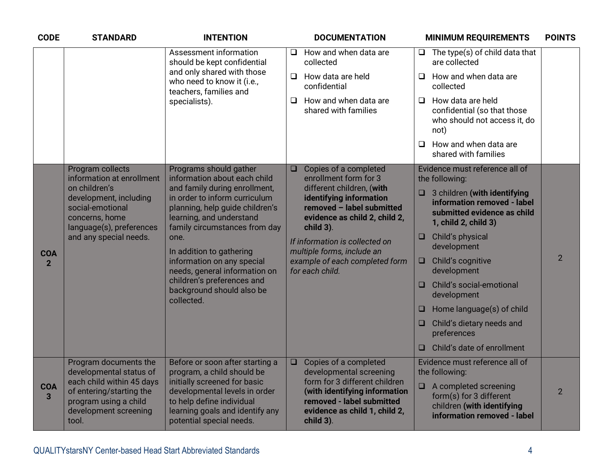| <b>CODE</b>                  | <b>STANDARD</b>                                                                                                  | <b>INTENTION</b>                                                                                                                                               |        | <b>DOCUMENTATION</b>                                                                                                                      |        | <b>MINIMUM REQUIREMENTS</b>                                                                                               | <b>POINTS</b>  |
|------------------------------|------------------------------------------------------------------------------------------------------------------|----------------------------------------------------------------------------------------------------------------------------------------------------------------|--------|-------------------------------------------------------------------------------------------------------------------------------------------|--------|---------------------------------------------------------------------------------------------------------------------------|----------------|
|                              |                                                                                                                  | Assessment information<br>should be kept confidential                                                                                                          | $\Box$ | How and when data are<br>collected                                                                                                        |        | $\Box$ The type(s) of child data that<br>are collected                                                                    |                |
|                              |                                                                                                                  | and only shared with those<br>who need to know it (i.e.,<br>teachers, families and                                                                             |        | $\Box$ How data are held<br>confidential                                                                                                  |        | $\Box$ How and when data are<br>collected                                                                                 |                |
|                              |                                                                                                                  | specialists).                                                                                                                                                  | O.     | How and when data are<br>shared with families                                                                                             |        | $\Box$ How data are held<br>confidential (so that those<br>who should not access it, do<br>not)                           |                |
|                              |                                                                                                                  |                                                                                                                                                                |        |                                                                                                                                           | $\Box$ | How and when data are<br>shared with families                                                                             |                |
|                              | Program collects<br>information at enrollment                                                                    | Programs should gather<br>information about each child                                                                                                         | $\Box$ | Copies of a completed<br>enrollment form for 3                                                                                            |        | Evidence must reference all of<br>the following:                                                                          |                |
|                              | on children's<br>development, including<br>social-emotional<br>concerns, home<br>language(s), preferences        | and family during enrollment,<br>in order to inform curriculum<br>planning, help guide children's<br>learning, and understand<br>family circumstances from day |        | different children, (with<br>identifying information<br>removed - label submitted<br>evidence as child 2, child 2,<br>child 3).           |        | $\Box$ 3 children (with identifying<br>information removed - label<br>submitted evidence as child<br>1, child 2, child 3) |                |
| <b>COA</b>                   | and any special needs.                                                                                           | one.<br>In addition to gathering                                                                                                                               |        | If information is collected on<br>multiple forms, include an                                                                              | $\Box$ | Child's physical<br>development                                                                                           |                |
| $\overline{2}$               |                                                                                                                  | information on any special<br>needs, general information on                                                                                                    |        | example of each completed form<br>for each child.                                                                                         | $\Box$ | Child's cognitive<br>development                                                                                          | $\overline{2}$ |
|                              |                                                                                                                  | children's preferences and<br>background should also be<br>collected.                                                                                          |        |                                                                                                                                           | $\Box$ | Child's social-emotional<br>development                                                                                   |                |
|                              |                                                                                                                  |                                                                                                                                                                |        |                                                                                                                                           | O      | Home language(s) of child                                                                                                 |                |
|                              |                                                                                                                  |                                                                                                                                                                |        |                                                                                                                                           | O      | Child's dietary needs and<br>preferences                                                                                  |                |
|                              |                                                                                                                  |                                                                                                                                                                |        |                                                                                                                                           | $\Box$ | Child's date of enrollment                                                                                                |                |
|                              | Program documents the<br>developmental status of                                                                 | Before or soon after starting a<br>program, a child should be                                                                                                  | $\Box$ | Copies of a completed<br>developmental screening                                                                                          |        | Evidence must reference all of<br>the following:                                                                          |                |
| <b>COA</b><br>$\overline{3}$ | each child within 45 days<br>of entering/starting the<br>program using a child<br>development screening<br>tool. | initially screened for basic<br>developmental levels in order<br>to help define individual<br>learning goals and identify any<br>potential special needs.      |        | form for 3 different children<br>(with identifying information<br>removed - label submitted<br>evidence as child 1, child 2,<br>child 3). |        | $\Box$ A completed screening<br>form(s) for 3 different<br>children (with identifying<br>information removed - label      | $\overline{2}$ |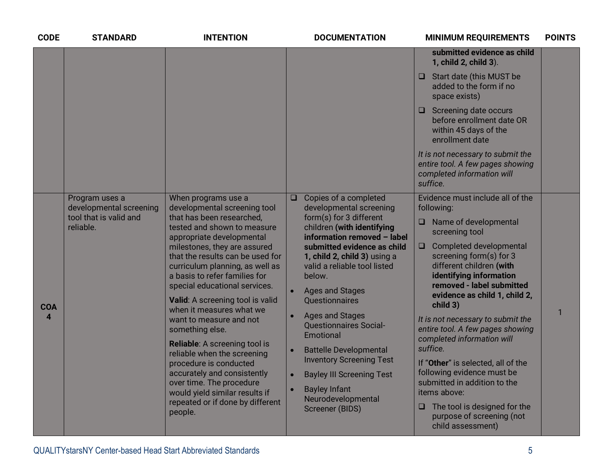| <b>CODE</b>                          | <b>STANDARD</b>                                                                  | <b>INTENTION</b>                                                                                                                                                                                                                                                                                                                                                                                                                                                                                                                                                                                                                                                          | <b>DOCUMENTATION</b>                                                                                                                                                                                                                                                                                                                                                                                                                                                                                                                                                                      | <b>MINIMUM REQUIREMENTS</b>                                                                                                                                                                                                                                                                                                                                                                                                                                                                                                                                                                                                       | <b>POINTS</b> |
|--------------------------------------|----------------------------------------------------------------------------------|---------------------------------------------------------------------------------------------------------------------------------------------------------------------------------------------------------------------------------------------------------------------------------------------------------------------------------------------------------------------------------------------------------------------------------------------------------------------------------------------------------------------------------------------------------------------------------------------------------------------------------------------------------------------------|-------------------------------------------------------------------------------------------------------------------------------------------------------------------------------------------------------------------------------------------------------------------------------------------------------------------------------------------------------------------------------------------------------------------------------------------------------------------------------------------------------------------------------------------------------------------------------------------|-----------------------------------------------------------------------------------------------------------------------------------------------------------------------------------------------------------------------------------------------------------------------------------------------------------------------------------------------------------------------------------------------------------------------------------------------------------------------------------------------------------------------------------------------------------------------------------------------------------------------------------|---------------|
|                                      |                                                                                  |                                                                                                                                                                                                                                                                                                                                                                                                                                                                                                                                                                                                                                                                           |                                                                                                                                                                                                                                                                                                                                                                                                                                                                                                                                                                                           | submitted evidence as child<br>1, child 2, child 3).                                                                                                                                                                                                                                                                                                                                                                                                                                                                                                                                                                              |               |
|                                      |                                                                                  |                                                                                                                                                                                                                                                                                                                                                                                                                                                                                                                                                                                                                                                                           |                                                                                                                                                                                                                                                                                                                                                                                                                                                                                                                                                                                           | $\Box$ Start date (this MUST be<br>added to the form if no<br>space exists)                                                                                                                                                                                                                                                                                                                                                                                                                                                                                                                                                       |               |
|                                      |                                                                                  |                                                                                                                                                                                                                                                                                                                                                                                                                                                                                                                                                                                                                                                                           |                                                                                                                                                                                                                                                                                                                                                                                                                                                                                                                                                                                           | $\Box$ Screening date occurs<br>before enrollment date OR<br>within 45 days of the<br>enrollment date                                                                                                                                                                                                                                                                                                                                                                                                                                                                                                                             |               |
|                                      |                                                                                  |                                                                                                                                                                                                                                                                                                                                                                                                                                                                                                                                                                                                                                                                           |                                                                                                                                                                                                                                                                                                                                                                                                                                                                                                                                                                                           | It is not necessary to submit the<br>entire tool. A few pages showing<br>completed information will<br>suffice.                                                                                                                                                                                                                                                                                                                                                                                                                                                                                                                   |               |
| <b>COA</b><br>$\boldsymbol{\Lambda}$ | Program uses a<br>developmental screening<br>tool that is valid and<br>reliable. | When programs use a<br>developmental screening tool<br>that has been researched,<br>tested and shown to measure<br>appropriate developmental<br>milestones, they are assured<br>that the results can be used for<br>curriculum planning, as well as<br>a basis to refer families for<br>special educational services.<br>Valid: A screening tool is valid<br>when it measures what we<br>want to measure and not<br>something else.<br>Reliable: A screening tool is<br>reliable when the screening<br>procedure is conducted<br>accurately and consistently<br>over time. The procedure<br>would yield similar results if<br>repeated or if done by different<br>people. | Copies of a completed<br>$\Box$<br>developmental screening<br>form(s) for 3 different<br>children (with identifying<br>information removed - label<br>submitted evidence as child<br>1, child 2, child 3) using a<br>valid a reliable tool listed<br>below.<br><b>Ages and Stages</b><br><b>Ouestionnaires</b><br><b>Ages and Stages</b><br><b>Questionnaires Social-</b><br>Emotional<br><b>Battelle Developmental</b><br><b>Inventory Screening Test</b><br><b>Bayley III Screening Test</b><br>$\bullet$<br><b>Bayley Infant</b><br>$\bullet$<br>Neurodevelopmental<br>Screener (BIDS) | Evidence must include all of the<br>following:<br>$\Box$ Name of developmental<br>screening tool<br>Completed developmental<br>$\Box$<br>screening form(s) for 3<br>different children (with<br>identifying information<br>removed - label submitted<br>evidence as child 1, child 2,<br>child 3)<br>It is not necessary to submit the<br>entire tool. A few pages showing<br>completed information will<br>suffice.<br>If "Other" is selected, all of the<br>following evidence must be<br>submitted in addition to the<br>items above:<br>$\Box$ The tool is designed for the<br>purpose of screening (not<br>child assessment) | $\mathbf{1}$  |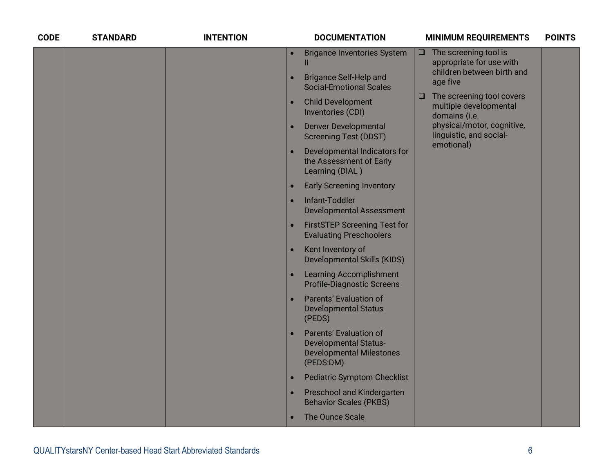| <b>CODE</b> | <b>STANDARD</b> | <b>INTENTION</b> |           | <b>DOCUMENTATION</b>                                                                                   |        | <b>MINIMUM REQUIREMENTS</b>                                          | <b>POINTS</b> |
|-------------|-----------------|------------------|-----------|--------------------------------------------------------------------------------------------------------|--------|----------------------------------------------------------------------|---------------|
|             |                 |                  | $\bullet$ | <b>Brigance Inventories System</b><br>Ш                                                                | $\Box$ | The screening tool is<br>appropriate for use with                    |               |
|             |                 |                  |           | <b>Brigance Self-Help and</b><br><b>Social-Emotional Scales</b>                                        |        | children between birth and<br>age five                               |               |
|             |                 |                  | $\bullet$ | <b>Child Development</b><br>Inventories (CDI)                                                          | $\Box$ | The screening tool covers<br>multiple developmental<br>domains (i.e. |               |
|             |                 |                  | $\bullet$ | <b>Denver Developmental</b><br><b>Screening Test (DDST)</b>                                            |        | physical/motor, cognitive,<br>linguistic, and social-                |               |
|             |                 |                  |           | Developmental Indicators for<br>the Assessment of Early<br>Learning (DIAL)                             |        | emotional)                                                           |               |
|             |                 |                  | $\bullet$ | <b>Early Screening Inventory</b>                                                                       |        |                                                                      |               |
|             |                 |                  | $\bullet$ | Infant-Toddler<br><b>Developmental Assessment</b>                                                      |        |                                                                      |               |
|             |                 |                  | $\bullet$ | <b>FirstSTEP Screening Test for</b><br><b>Evaluating Preschoolers</b>                                  |        |                                                                      |               |
|             |                 |                  | $\bullet$ | Kent Inventory of<br><b>Developmental Skills (KIDS)</b>                                                |        |                                                                      |               |
|             |                 |                  | $\bullet$ | <b>Learning Accomplishment</b><br><b>Profile-Diagnostic Screens</b>                                    |        |                                                                      |               |
|             |                 |                  |           | Parents' Evaluation of<br><b>Developmental Status</b><br>(PEDS)                                        |        |                                                                      |               |
|             |                 |                  |           | Parents' Evaluation of<br><b>Developmental Status-</b><br><b>Developmental Milestones</b><br>(PEDS:DM) |        |                                                                      |               |
|             |                 |                  | $\bullet$ | <b>Pediatric Symptom Checklist</b>                                                                     |        |                                                                      |               |
|             |                 |                  | $\bullet$ | Preschool and Kindergarten<br><b>Behavior Scales (PKBS)</b>                                            |        |                                                                      |               |
|             |                 |                  | $\bullet$ | The Ounce Scale                                                                                        |        |                                                                      |               |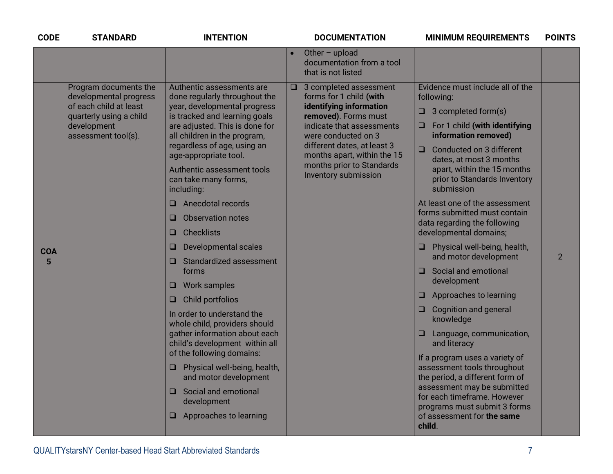| <b>CODE</b>     | <b>STANDARD</b>                                                                                                                            | <b>INTENTION</b>                                                                                                                                                                                                                                                                                                                                                                                                                                                                                                                                                                                                                                                                                                                                                                                                                                                |        | <b>DOCUMENTATION</b>                                                                                                                                                                                                                                                        | <b>MINIMUM REQUIREMENTS</b>                                                                                                                                                                                                                                                                                                                                                                                                                                                                                                                                                                                                                                                                                                                                                                                                                                                                                | <b>POINTS</b>  |
|-----------------|--------------------------------------------------------------------------------------------------------------------------------------------|-----------------------------------------------------------------------------------------------------------------------------------------------------------------------------------------------------------------------------------------------------------------------------------------------------------------------------------------------------------------------------------------------------------------------------------------------------------------------------------------------------------------------------------------------------------------------------------------------------------------------------------------------------------------------------------------------------------------------------------------------------------------------------------------------------------------------------------------------------------------|--------|-----------------------------------------------------------------------------------------------------------------------------------------------------------------------------------------------------------------------------------------------------------------------------|------------------------------------------------------------------------------------------------------------------------------------------------------------------------------------------------------------------------------------------------------------------------------------------------------------------------------------------------------------------------------------------------------------------------------------------------------------------------------------------------------------------------------------------------------------------------------------------------------------------------------------------------------------------------------------------------------------------------------------------------------------------------------------------------------------------------------------------------------------------------------------------------------------|----------------|
|                 |                                                                                                                                            |                                                                                                                                                                                                                                                                                                                                                                                                                                                                                                                                                                                                                                                                                                                                                                                                                                                                 |        | Other $-$ upload<br>documentation from a tool<br>that is not listed                                                                                                                                                                                                         |                                                                                                                                                                                                                                                                                                                                                                                                                                                                                                                                                                                                                                                                                                                                                                                                                                                                                                            |                |
| <b>COA</b><br>5 | Program documents the<br>developmental progress<br>of each child at least<br>quarterly using a child<br>development<br>assessment tool(s). | Authentic assessments are<br>done regularly throughout the<br>year, developmental progress<br>is tracked and learning goals<br>are adjusted. This is done for<br>all children in the program,<br>regardless of age, using an<br>age-appropriate tool.<br>Authentic assessment tools<br>can take many forms,<br>including:<br>Anecdotal records<br>α,<br><b>Observation notes</b><br>O<br><b>Checklists</b><br>❏<br><b>Developmental scales</b><br>❏<br>Standardized assessment<br>u.<br>forms<br><b>Work samples</b><br>u.<br>Child portfolios<br>ᆸ<br>In order to understand the<br>whole child, providers should<br>gather information about each<br>child's development within all<br>of the following domains:<br>Physical well-being, health,<br>⊔.<br>and motor development<br>Social and emotional<br>□.<br>development<br>$\Box$ Approaches to learning | $\Box$ | 3 completed assessment<br>forms for 1 child (with<br>identifying information<br>removed). Forms must<br>indicate that assessments<br>were conducted on 3<br>different dates, at least 3<br>months apart, within the 15<br>months prior to Standards<br>Inventory submission | Evidence must include all of the<br>following:<br>3 completed form(s)<br>ᄆ<br>For 1 child (with identifying<br>ᆸ<br>information removed)<br>Conducted on 3 different<br>$\Box$<br>dates, at most 3 months<br>apart, within the 15 months<br>prior to Standards Inventory<br>submission<br>At least one of the assessment<br>forms submitted must contain<br>data regarding the following<br>developmental domains;<br>Physical well-being, health,<br>Q.<br>and motor development<br>Social and emotional<br>O<br>development<br>Approaches to learning<br>O.<br><b>Cognition and general</b><br>⊔<br>knowledge<br>Language, communication,<br>❏<br>and literacy<br>If a program uses a variety of<br>assessment tools throughout<br>the period, a different form of<br>assessment may be submitted<br>for each timeframe. However<br>programs must submit 3 forms<br>of assessment for the same<br>child. | $\overline{2}$ |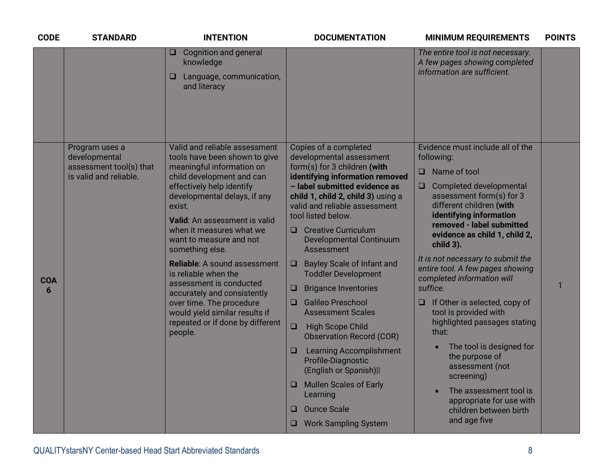| <b>CODE</b>     | <b>STANDARD</b>                                                                      | <b>INTENTION</b>                                                                                                                                                                                                                                                                                                                                                                                                                                                                                                                                 | <b>DOCUMENTATION</b>                                                                                                                                                                                                                                                                                                                                                                                                                                                                                                                                                                                                                                                                                                                                                                                          | <b>MINIMUM REQUIREMENTS</b>                                                                                                                                                                                                                                                                                                                                                                                                                                                                                                                                                                                                                                                           | <b>POINTS</b> |
|-----------------|--------------------------------------------------------------------------------------|--------------------------------------------------------------------------------------------------------------------------------------------------------------------------------------------------------------------------------------------------------------------------------------------------------------------------------------------------------------------------------------------------------------------------------------------------------------------------------------------------------------------------------------------------|---------------------------------------------------------------------------------------------------------------------------------------------------------------------------------------------------------------------------------------------------------------------------------------------------------------------------------------------------------------------------------------------------------------------------------------------------------------------------------------------------------------------------------------------------------------------------------------------------------------------------------------------------------------------------------------------------------------------------------------------------------------------------------------------------------------|---------------------------------------------------------------------------------------------------------------------------------------------------------------------------------------------------------------------------------------------------------------------------------------------------------------------------------------------------------------------------------------------------------------------------------------------------------------------------------------------------------------------------------------------------------------------------------------------------------------------------------------------------------------------------------------|---------------|
|                 |                                                                                      | <b>Cognition and general</b><br>u.<br>knowledge<br>Language, communication,<br>u<br>and literacy                                                                                                                                                                                                                                                                                                                                                                                                                                                 |                                                                                                                                                                                                                                                                                                                                                                                                                                                                                                                                                                                                                                                                                                                                                                                                               | The entire tool is not necessary.<br>A few pages showing completed<br>information are sufficient.                                                                                                                                                                                                                                                                                                                                                                                                                                                                                                                                                                                     |               |
| <b>COA</b><br>6 | Program uses a<br>developmental<br>assessment tool(s) that<br>is valid and reliable. | Valid and reliable assessment<br>tools have been shown to give<br>meaningful information on<br>child development and can<br>effectively help identify<br>developmental delays, if any<br>exist.<br>Valid: An assessment is valid<br>when it measures what we<br>want to measure and not<br>something else.<br><b>Reliable:</b> A sound assessment<br>is reliable when the<br>assessment is conducted<br>accurately and consistently<br>over time. The procedure<br>would yield similar results if<br>repeated or if done by different<br>people. | Copies of a completed<br>developmental assessment<br>form(s) for 3 children (with<br>identifying information removed<br>- label submitted evidence as<br>child 1, child 2, child 3) using a<br>valid and reliable assessment<br>tool listed below.<br><b>Creative Curriculum</b><br>O<br><b>Developmental Continuum</b><br><b>Assessment</b><br><b>Bayley Scale of Infant and</b><br>u<br><b>Toddler Development</b><br><b>Brigance Inventories</b><br>u<br><b>Galileo Preschool</b><br>$\Box$<br><b>Assessment Scales</b><br>$\Box$<br><b>High Scope Child</b><br><b>Observation Record (COR)</b><br><b>Learning Accomplishment</b><br>$\Box$<br>Profile-Diagnostic<br>(English or Spanish)<br><b>Mullen Scales of Early</b><br>u<br>Learning<br><b>Ounce Scale</b><br>□<br><b>Work Sampling System</b><br>□ | Evidence must include all of the<br>following:<br>Name of tool<br>$\Box$<br>Completed developmental<br>$\Box$<br>assessment form(s) for 3<br>different children (with<br>identifying information<br>removed - label submitted<br>evidence as child 1, child 2,<br>child 3).<br>It is not necessary to submit the<br>entire tool. A few pages showing<br>completed information will<br>suffice.<br>If Other is selected, copy of<br>u<br>tool is provided with<br>highlighted passages stating<br>that:<br>The tool is designed for<br>the purpose of<br>assessment (not<br>screening)<br>The assessment tool is<br>appropriate for use with<br>children between birth<br>and age five | 1             |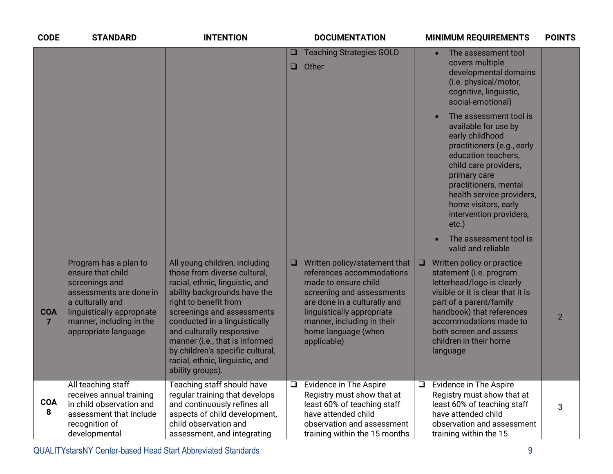| <b>CODE</b>                  | <b>STANDARD</b>                                                                                                                                                                                | <b>INTENTION</b>                                                                                                                                                                                                                                                                                                                                                                   | <b>DOCUMENTATION</b>                                                                                                                                                                                                                              |        | <b>MINIMUM REQUIREMENTS</b>                                                                                                                                                                                                                                                                                    | <b>POINTS</b>  |
|------------------------------|------------------------------------------------------------------------------------------------------------------------------------------------------------------------------------------------|------------------------------------------------------------------------------------------------------------------------------------------------------------------------------------------------------------------------------------------------------------------------------------------------------------------------------------------------------------------------------------|---------------------------------------------------------------------------------------------------------------------------------------------------------------------------------------------------------------------------------------------------|--------|----------------------------------------------------------------------------------------------------------------------------------------------------------------------------------------------------------------------------------------------------------------------------------------------------------------|----------------|
|                              |                                                                                                                                                                                                |                                                                                                                                                                                                                                                                                                                                                                                    | <b>Teaching Strategies GOLD</b><br>Other                                                                                                                                                                                                          |        | The assessment tool<br>covers multiple<br>developmental domains<br>(i.e. physical/motor,<br>cognitive, linguistic,<br>social-emotional)                                                                                                                                                                        |                |
|                              |                                                                                                                                                                                                |                                                                                                                                                                                                                                                                                                                                                                                    |                                                                                                                                                                                                                                                   |        | The assessment tool is<br>available for use by<br>early childhood<br>practitioners (e.g., early<br>education teachers,<br>child care providers,<br>primary care<br>practitioners, mental<br>health service providers,<br>home visitors, early<br>intervention providers,<br>$etc.$ )<br>The assessment tool is |                |
| <b>COA</b><br>$\overline{7}$ | Program has a plan to<br>ensure that child<br>screenings and<br>assessments are done in<br>a culturally and<br>linguistically appropriate<br>manner, including in the<br>appropriate language. | All young children, including<br>those from diverse cultural,<br>racial, ethnic, linguistic, and<br>ability backgrounds have the<br>right to benefit from<br>screenings and assessments<br>conducted in a linguistically<br>and culturally responsive<br>manner (i.e., that is informed<br>by children's specific cultural,<br>racial, ethnic, linguistic, and<br>ability groups). | Written policy/statement that<br>references accommodations<br>made to ensure child<br>screening and assessments<br>are done in a culturally and<br>linguistically appropriate<br>manner, including in their<br>home language (when<br>applicable) | $\Box$ | valid and reliable<br>Written policy or practice<br>statement (i.e. program<br>letterhead/logo is clearly<br>visible or it is clear that it is<br>part of a parent/family<br>handbook) that references<br>accommodations made to<br>both screen and assess<br>children in their home<br>language               | $\overline{2}$ |
| <b>COA</b><br>8              | All teaching staff<br>receives annual training<br>in child observation and<br>assessment that include<br>recognition of<br>developmental                                                       | Teaching staff should have<br>regular training that develops<br>and continuously refines all<br>aspects of child development,<br>child observation and<br>assessment, and integrating                                                                                                                                                                                              | Evidence in The Aspire<br>Registry must show that at<br>least 60% of teaching staff<br>have attended child<br>observation and assessment<br>training within the 15 months                                                                         | $\Box$ | Evidence in The Aspire<br>Registry must show that at<br>least 60% of teaching staff<br>have attended child<br>observation and assessment<br>training within the 15                                                                                                                                             | 3              |

QUALITYstarsNY Center-based Head Start Abbreviated Standards 9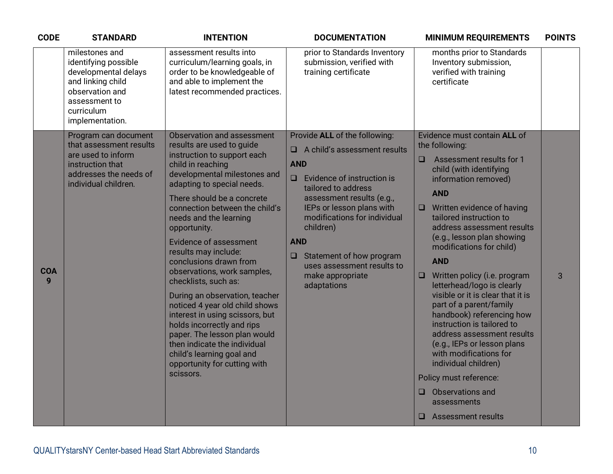| <b>CODE</b>     | <b>STANDARD</b>                                                                                                                                          | <b>INTENTION</b>                                                                                                                                                                                                                                                                                                                                                                                                                                                                                                                                                                                                                                                                                             | <b>DOCUMENTATION</b>                                                                                                                                                                                                                                                                                                                                                        | <b>MINIMUM REQUIREMENTS</b>                                                                                                                                                                                                                                                                                                                                                                                                                                                                                                                                                                                                                                                                                                                      | <b>POINTS</b> |
|-----------------|----------------------------------------------------------------------------------------------------------------------------------------------------------|--------------------------------------------------------------------------------------------------------------------------------------------------------------------------------------------------------------------------------------------------------------------------------------------------------------------------------------------------------------------------------------------------------------------------------------------------------------------------------------------------------------------------------------------------------------------------------------------------------------------------------------------------------------------------------------------------------------|-----------------------------------------------------------------------------------------------------------------------------------------------------------------------------------------------------------------------------------------------------------------------------------------------------------------------------------------------------------------------------|--------------------------------------------------------------------------------------------------------------------------------------------------------------------------------------------------------------------------------------------------------------------------------------------------------------------------------------------------------------------------------------------------------------------------------------------------------------------------------------------------------------------------------------------------------------------------------------------------------------------------------------------------------------------------------------------------------------------------------------------------|---------------|
|                 | milestones and<br>identifying possible<br>developmental delays<br>and linking child<br>observation and<br>assessment to<br>curriculum<br>implementation. | assessment results into<br>curriculum/learning goals, in<br>order to be knowledgeable of<br>and able to implement the<br>latest recommended practices.                                                                                                                                                                                                                                                                                                                                                                                                                                                                                                                                                       | prior to Standards Inventory<br>submission, verified with<br>training certificate                                                                                                                                                                                                                                                                                           | months prior to Standards<br>Inventory submission,<br>verified with training<br>certificate                                                                                                                                                                                                                                                                                                                                                                                                                                                                                                                                                                                                                                                      |               |
| <b>COA</b><br>9 | Program can document<br>that assessment results<br>are used to inform<br>instruction that<br>addresses the needs of<br>individual children.              | Observation and assessment<br>results are used to guide<br>instruction to support each<br>child in reaching<br>developmental milestones and<br>adapting to special needs.<br>There should be a concrete<br>connection between the child's<br>needs and the learning<br>opportunity.<br><b>Evidence of assessment</b><br>results may include:<br>conclusions drawn from<br>observations, work samples,<br>checklists, such as:<br>During an observation, teacher<br>noticed 4 year old child shows<br>interest in using scissors, but<br>holds incorrectly and rips<br>paper. The lesson plan would<br>then indicate the individual<br>child's learning goal and<br>opportunity for cutting with<br>scissors. | Provide ALL of the following:<br>A child's assessment results<br>□<br><b>AND</b><br>Evidence of instruction is<br>$\Box$<br>tailored to address<br>assessment results (e.g.,<br>IEPs or lesson plans with<br>modifications for individual<br>children)<br><b>AND</b><br>Statement of how program<br>$\Box$<br>uses assessment results to<br>make appropriate<br>adaptations | Evidence must contain ALL of<br>the following:<br>Assessment results for 1<br><b>□</b><br>child (with identifying<br>information removed)<br><b>AND</b><br>Written evidence of having<br>u<br>tailored instruction to<br>address assessment results<br>(e.g., lesson plan showing<br>modifications for child)<br><b>AND</b><br>Written policy (i.e. program<br><b>u</b><br>letterhead/logo is clearly<br>visible or it is clear that it is<br>part of a parent/family<br>handbook) referencing how<br>instruction is tailored to<br>address assessment results<br>(e.g., IEPs or lesson plans<br>with modifications for<br>individual children)<br>Policy must reference:<br>Observations and<br>■ 1<br>assessments<br>$\Box$ Assessment results | 3             |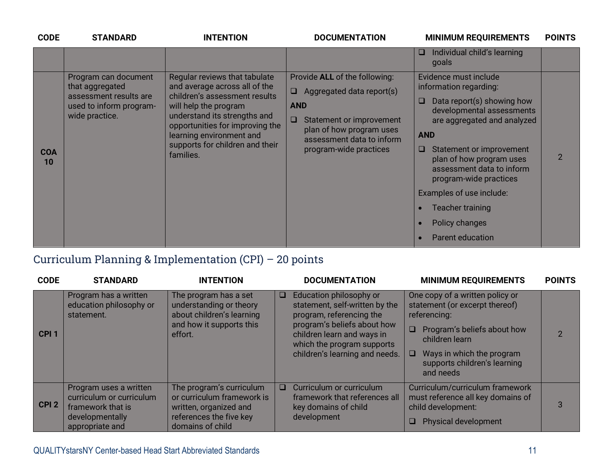| <b>CODE</b>      | <b>STANDARD</b>                                                                                                | <b>INTENTION</b>                                                                                                                                                                                                                                                        | <b>DOCUMENTATION</b>                                                                                                                                                                                        | <b>MINIMUM REQUIREMENTS</b>                                                                                                                                                                                                                                                                                                                                                           | <b>POINTS</b> |
|------------------|----------------------------------------------------------------------------------------------------------------|-------------------------------------------------------------------------------------------------------------------------------------------------------------------------------------------------------------------------------------------------------------------------|-------------------------------------------------------------------------------------------------------------------------------------------------------------------------------------------------------------|---------------------------------------------------------------------------------------------------------------------------------------------------------------------------------------------------------------------------------------------------------------------------------------------------------------------------------------------------------------------------------------|---------------|
|                  |                                                                                                                |                                                                                                                                                                                                                                                                         |                                                                                                                                                                                                             | Individual child's learning<br>u.<br>goals                                                                                                                                                                                                                                                                                                                                            |               |
| <b>COA</b><br>10 | Program can document<br>that aggregated<br>assessment results are<br>used to inform program-<br>wide practice. | Regular reviews that tabulate<br>and average across all of the<br>children's assessment results<br>will help the program<br>understand its strengths and<br>opportunities for improving the<br>learning environment and<br>supports for children and their<br>families. | Provide ALL of the following:<br>Aggregated data report(s)<br>$\Box$<br><b>AND</b><br>$\Box$<br>Statement or improvement<br>plan of how program uses<br>assessment data to inform<br>program-wide practices | Evidence must include<br>information regarding:<br>Data report(s) showing how<br>O<br>developmental assessments<br>are aggregated and analyzed<br><b>AND</b><br>Statement or improvement<br>u.<br>plan of how program uses<br>assessment data to inform<br>program-wide practices<br>Examples of use include:<br><b>Teacher training</b><br>Policy changes<br><b>Parent education</b> |               |

## Curriculum Planning & Implementation (CPI) – 20 points

| <b>CODE</b>      | <b>STANDARD</b>                                                                                               | <b>INTENTION</b>                                                                                                                | <b>DOCUMENTATION</b>                                                                                                                                                                                                         | <b>MINIMUM REQUIREMENTS</b>                                                                                                                                                                                                        | <b>POINTS</b> |
|------------------|---------------------------------------------------------------------------------------------------------------|---------------------------------------------------------------------------------------------------------------------------------|------------------------------------------------------------------------------------------------------------------------------------------------------------------------------------------------------------------------------|------------------------------------------------------------------------------------------------------------------------------------------------------------------------------------------------------------------------------------|---------------|
| CPI <sub>1</sub> | Program has a written<br>education philosophy or<br>statement.                                                | The program has a set<br>understanding or theory<br>about children's learning<br>and how it supports this<br>effort.            | Education philosophy or<br>$\Box$<br>statement, self-written by the<br>program, referencing the<br>program's beliefs about how<br>children learn and ways in<br>which the program supports<br>children's learning and needs. | One copy of a written policy or<br>statement (or excerpt thereof)<br>referencing:<br>$\Box$<br>Program's beliefs about how<br>children learn<br>Ways in which the program<br><b>□</b><br>supports children's learning<br>and needs | $\mathcal{P}$ |
| CPI <sub>2</sub> | Program uses a written<br>curriculum or curriculum<br>framework that is<br>developmentally<br>appropriate and | The program's curriculum<br>or curriculum framework is<br>written, organized and<br>references the five key<br>domains of child | Curriculum or curriculum<br>$\Box$<br>framework that references all<br>key domains of child<br>development                                                                                                                   | Curriculum/curriculum framework<br>must reference all key domains of<br>child development:<br><b>Physical development</b><br>O.                                                                                                    | 3             |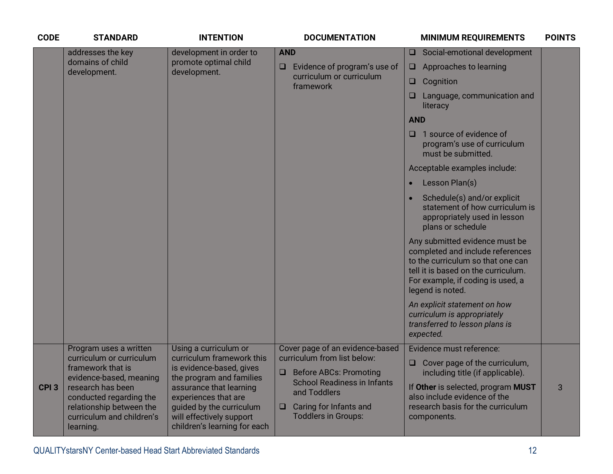| <b>CODE</b>      | <b>STANDARD</b>                                                                                                                                                                                                          | <b>INTENTION</b>                                                                                                                                                                                                                                      | <b>DOCUMENTATION</b>                                                                                                                                                                                                              | <b>MINIMUM REQUIREMENTS</b>                                                                                                                                                                                                                                                                                                                                                                                                                                                                                                                                                                                                                                                                                                                          | <b>POINTS</b> |
|------------------|--------------------------------------------------------------------------------------------------------------------------------------------------------------------------------------------------------------------------|-------------------------------------------------------------------------------------------------------------------------------------------------------------------------------------------------------------------------------------------------------|-----------------------------------------------------------------------------------------------------------------------------------------------------------------------------------------------------------------------------------|------------------------------------------------------------------------------------------------------------------------------------------------------------------------------------------------------------------------------------------------------------------------------------------------------------------------------------------------------------------------------------------------------------------------------------------------------------------------------------------------------------------------------------------------------------------------------------------------------------------------------------------------------------------------------------------------------------------------------------------------------|---------------|
|                  | addresses the key<br>domains of child<br>development.                                                                                                                                                                    | development in order to<br>promote optimal child<br>development.                                                                                                                                                                                      | <b>AND</b><br>Evidence of program's use of<br>$\Box$<br>curriculum or curriculum<br>framework                                                                                                                                     | Social-emotional development<br>O.<br>Approaches to learning<br>❏<br>Cognition<br>□<br>Language, communication and<br>□<br>literacy<br><b>AND</b><br>1 source of evidence of<br>◻<br>program's use of curriculum<br>must be submitted.<br>Acceptable examples include:<br>Lesson Plan(s)<br>$\bullet$<br>Schedule(s) and/or explicit<br>statement of how curriculum is<br>appropriately used in lesson<br>plans or schedule<br>Any submitted evidence must be<br>completed and include references<br>to the curriculum so that one can<br>tell it is based on the curriculum.<br>For example, if coding is used, a<br>legend is noted.<br>An explicit statement on how<br>curriculum is appropriately<br>transferred to lesson plans is<br>expected. |               |
| CPI <sub>3</sub> | Program uses a written<br>curriculum or curriculum<br>framework that is<br>evidence-based, meaning<br>research has been<br>conducted regarding the<br>relationship between the<br>curriculum and children's<br>learning. | Using a curriculum or<br>curriculum framework this<br>is evidence-based, gives<br>the program and families<br>assurance that learning<br>experiences that are<br>guided by the curriculum<br>will effectively support<br>children's learning for each | Cover page of an evidence-based<br>curriculum from list below:<br><b>Before ABCs: Promoting</b><br>$\Box$<br><b>School Readiness in Infants</b><br>and Toddlers<br>Caring for Infants and<br>$\Box$<br><b>Toddlers in Groups:</b> | Evidence must reference:<br>Cover page of the curriculum,<br>❏<br>including title (if applicable).<br>If Other is selected, program MUST<br>also include evidence of the<br>research basis for the curriculum<br>components.                                                                                                                                                                                                                                                                                                                                                                                                                                                                                                                         | 3             |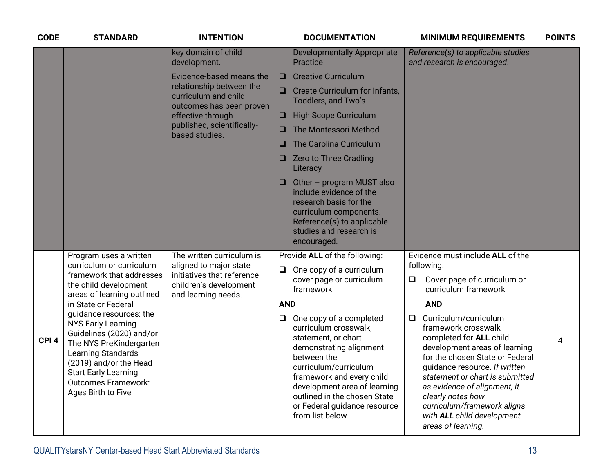| <b>CODE</b>      | <b>STANDARD</b>                                                                                                                                                                                                                                       | <b>INTENTION</b>                                                               |                                                                     | <b>DOCUMENTATION</b>                                                                                                                                                                                                                                                                        |        | <b>MINIMUM REQUIREMENTS</b>                                                                                                                                                                                                                                                                                                                             | <b>POINTS</b> |
|------------------|-------------------------------------------------------------------------------------------------------------------------------------------------------------------------------------------------------------------------------------------------------|--------------------------------------------------------------------------------|---------------------------------------------------------------------|---------------------------------------------------------------------------------------------------------------------------------------------------------------------------------------------------------------------------------------------------------------------------------------------|--------|---------------------------------------------------------------------------------------------------------------------------------------------------------------------------------------------------------------------------------------------------------------------------------------------------------------------------------------------------------|---------------|
|                  |                                                                                                                                                                                                                                                       | key domain of child<br>development.                                            |                                                                     | <b>Developmentally Appropriate</b><br><b>Practice</b>                                                                                                                                                                                                                                       |        | Reference(s) to applicable studies<br>and research is encouraged.                                                                                                                                                                                                                                                                                       |               |
|                  |                                                                                                                                                                                                                                                       | Evidence-based means the                                                       | $\Box$                                                              | <b>Creative Curriculum</b>                                                                                                                                                                                                                                                                  |        |                                                                                                                                                                                                                                                                                                                                                         |               |
|                  | relationship between the<br>curriculum and child<br>outcomes has been proven                                                                                                                                                                          | $\Box$                                                                         | <b>Create Curriculum for Infants,</b><br><b>Toddlers, and Two's</b> |                                                                                                                                                                                                                                                                                             |        |                                                                                                                                                                                                                                                                                                                                                         |               |
|                  |                                                                                                                                                                                                                                                       | effective through                                                              | □                                                                   | <b>High Scope Curriculum</b>                                                                                                                                                                                                                                                                |        |                                                                                                                                                                                                                                                                                                                                                         |               |
|                  |                                                                                                                                                                                                                                                       | published, scientifically-<br>o<br>based studies.                              | The Montessori Method                                               |                                                                                                                                                                                                                                                                                             |        |                                                                                                                                                                                                                                                                                                                                                         |               |
|                  |                                                                                                                                                                                                                                                       |                                                                                | □                                                                   | The Carolina Curriculum                                                                                                                                                                                                                                                                     |        |                                                                                                                                                                                                                                                                                                                                                         |               |
|                  |                                                                                                                                                                                                                                                       |                                                                                | <b>u</b>                                                            | <b>Zero to Three Cradling</b><br>Literacy                                                                                                                                                                                                                                                   |        |                                                                                                                                                                                                                                                                                                                                                         |               |
|                  |                                                                                                                                                                                                                                                       |                                                                                | <b>u</b>                                                            | Other - program MUST also<br>include evidence of the<br>research basis for the<br>curriculum components.<br>Reference(s) to applicable<br>studies and research is<br>encouraged.                                                                                                            |        |                                                                                                                                                                                                                                                                                                                                                         |               |
|                  | Program uses a written<br>curriculum or curriculum                                                                                                                                                                                                    | The written curriculum is                                                      |                                                                     | Provide ALL of the following:                                                                                                                                                                                                                                                               |        | Evidence must include ALL of the                                                                                                                                                                                                                                                                                                                        |               |
|                  | framework that addresses<br>the child development                                                                                                                                                                                                     | aligned to major state<br>initiatives that reference<br>children's development | $\Box$                                                              | One copy of a curriculum<br>cover page or curriculum<br>framework                                                                                                                                                                                                                           | $\Box$ | following:<br>Cover page of curriculum or<br>curriculum framework                                                                                                                                                                                                                                                                                       |               |
|                  | areas of learning outlined<br>in State or Federal                                                                                                                                                                                                     | and learning needs.                                                            | <b>AND</b>                                                          |                                                                                                                                                                                                                                                                                             |        | <b>AND</b>                                                                                                                                                                                                                                                                                                                                              |               |
| CPI <sub>4</sub> | guidance resources: the<br><b>NYS Early Learning</b><br>Guidelines (2020) and/or<br>The NYS PreKindergarten<br><b>Learning Standards</b><br>(2019) and/or the Head<br><b>Start Early Learning</b><br><b>Outcomes Framework:</b><br>Ages Birth to Five |                                                                                | $\Box$                                                              | One copy of a completed<br>curriculum crosswalk,<br>statement, or chart<br>demonstrating alignment<br>between the<br>curriculum/curriculum<br>framework and every child<br>development area of learning<br>outlined in the chosen State<br>or Federal guidance resource<br>from list below. | $\Box$ | Curriculum/curriculum<br>framework crosswalk<br>completed for ALL child<br>development areas of learning<br>for the chosen State or Federal<br>quidance resource. If written<br>statement or chart is submitted<br>as evidence of alignment, it<br>clearly notes how<br>curriculum/framework aligns<br>with ALL child development<br>areas of learning. | 4             |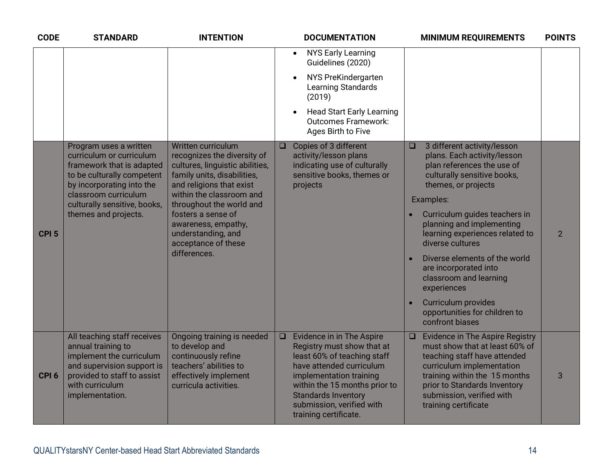| <b>CODE</b>      | <b>STANDARD</b>                                                                                                                                                                                                            | <b>INTENTION</b>                                                                                                                                                                                                                                                                                                  |        | <b>DOCUMENTATION</b>                                                                                                                                                                                                                                                      |                     | <b>MINIMUM REQUIREMENTS</b>                                                                                                                                                                                                                                                                                                                                                         | <b>POINTS</b>  |
|------------------|----------------------------------------------------------------------------------------------------------------------------------------------------------------------------------------------------------------------------|-------------------------------------------------------------------------------------------------------------------------------------------------------------------------------------------------------------------------------------------------------------------------------------------------------------------|--------|---------------------------------------------------------------------------------------------------------------------------------------------------------------------------------------------------------------------------------------------------------------------------|---------------------|-------------------------------------------------------------------------------------------------------------------------------------------------------------------------------------------------------------------------------------------------------------------------------------------------------------------------------------------------------------------------------------|----------------|
|                  |                                                                                                                                                                                                                            |                                                                                                                                                                                                                                                                                                                   |        | <b>NYS Early Learning</b><br>$\bullet$<br>Guidelines (2020)                                                                                                                                                                                                               |                     |                                                                                                                                                                                                                                                                                                                                                                                     |                |
|                  |                                                                                                                                                                                                                            |                                                                                                                                                                                                                                                                                                                   |        | NYS PreKindergarten<br><b>Learning Standards</b><br>(2019)                                                                                                                                                                                                                |                     |                                                                                                                                                                                                                                                                                                                                                                                     |                |
|                  |                                                                                                                                                                                                                            |                                                                                                                                                                                                                                                                                                                   |        | <b>Head Start Early Learning</b><br><b>Outcomes Framework:</b><br>Ages Birth to Five                                                                                                                                                                                      |                     |                                                                                                                                                                                                                                                                                                                                                                                     |                |
| CPI <sub>5</sub> | Program uses a written<br>curriculum or curriculum<br>framework that is adapted<br>to be culturally competent<br>by incorporating into the<br>classroom curriculum<br>culturally sensitive, books,<br>themes and projects. | Written curriculum<br>recognizes the diversity of<br>cultures, linguistic abilities,<br>family units, disabilities,<br>and religions that exist<br>within the classroom and<br>throughout the world and<br>fosters a sense of<br>awareness, empathy,<br>understanding, and<br>acceptance of these<br>differences. | $\Box$ | Copies of 3 different<br>activity/lesson plans<br>indicating use of culturally<br>sensitive books, themes or<br>projects                                                                                                                                                  | $\Box$<br>$\bullet$ | 3 different activity/lesson<br>plans. Each activity/lesson<br>plan references the use of<br>culturally sensitive books,<br>themes, or projects<br>Examples:<br>Curriculum guides teachers in<br>planning and implementing<br>learning experiences related to<br>diverse cultures<br>Diverse elements of the world<br>are incorporated into<br>classroom and learning<br>experiences | $\overline{2}$ |
|                  |                                                                                                                                                                                                                            |                                                                                                                                                                                                                                                                                                                   |        |                                                                                                                                                                                                                                                                           | $\bullet$           | Curriculum provides<br>opportunities for children to<br>confront biases                                                                                                                                                                                                                                                                                                             |                |
| CPI <sub>6</sub> | All teaching staff receives<br>annual training to<br>implement the curriculum<br>and supervision support is<br>provided to staff to assist<br>with curriculum<br>implementation.                                           | Ongoing training is needed<br>to develop and<br>continuously refine<br>teachers' abilities to<br>effectively implement<br>curricula activities.                                                                                                                                                                   | $\Box$ | <b>Evidence in in The Aspire</b><br>Registry must show that at<br>least 60% of teaching staff<br>have attended curriculum<br>implementation training<br>within the 15 months prior to<br><b>Standards Inventory</b><br>submission, verified with<br>training certificate. | $\Box$              | <b>Evidence in The Aspire Registry</b><br>must show that at least 60% of<br>teaching staff have attended<br>curriculum implementation<br>training within the 15 months<br>prior to Standards Inventory<br>submission, verified with<br>training certificate                                                                                                                         | 3              |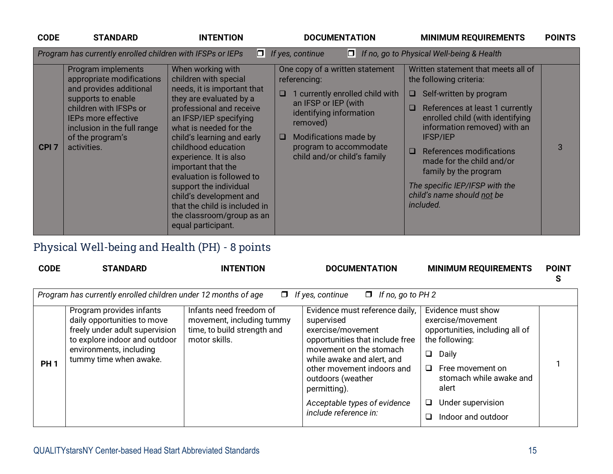| <b>CODE</b>      | <b>STANDARD</b>                                                                                                                                                                                                            | <b>INTENTION</b>                                                                                                                                                                                                                                                                                                                                                                                                                                                | <b>DOCUMENTATION</b>                                                                                                                                                                                                                               | <b>MINIMUM REQUIREMENTS</b>                                                                                                                                                                                                                                                                                                                                                                                   | <b>POINTS</b> |
|------------------|----------------------------------------------------------------------------------------------------------------------------------------------------------------------------------------------------------------------------|-----------------------------------------------------------------------------------------------------------------------------------------------------------------------------------------------------------------------------------------------------------------------------------------------------------------------------------------------------------------------------------------------------------------------------------------------------------------|----------------------------------------------------------------------------------------------------------------------------------------------------------------------------------------------------------------------------------------------------|---------------------------------------------------------------------------------------------------------------------------------------------------------------------------------------------------------------------------------------------------------------------------------------------------------------------------------------------------------------------------------------------------------------|---------------|
|                  | Program has currently enrolled children with IFSPs or IEPs                                                                                                                                                                 |                                                                                                                                                                                                                                                                                                                                                                                                                                                                 | $\Box$ If yes, continue                                                                                                                                                                                                                            | □ If no, go to Physical Well-being & Health                                                                                                                                                                                                                                                                                                                                                                   |               |
| CPI <sub>7</sub> | Program implements<br>appropriate modifications<br>and provides additional<br>supports to enable<br>children with IFSPs or<br><b>IEPs more effective</b><br>inclusion in the full range<br>of the program's<br>activities. | When working with<br>children with special<br>needs, it is important that<br>they are evaluated by a<br>professional and receive<br>an IFSP/IEP specifying<br>what is needed for the<br>child's learning and early<br>childhood education<br>experience. It is also<br>important that the<br>evaluation is followed to<br>support the individual<br>child's development and<br>that the child is included in<br>the classroom/group as an<br>equal participant. | One copy of a written statement<br>referencing:<br>1 currently enrolled child with<br>O<br>an IFSP or IEP (with<br>identifying information<br>removed)<br>Modifications made by<br>$\Box$<br>program to accommodate<br>child and/or child's family | Written statement that meets all of<br>the following criteria:<br>$\Box$ Self-written by program<br>References at least 1 currently<br>$\Box$<br>enrolled child (with identifying<br>information removed) with an<br><b>IFSP/IEP</b><br>References modifications<br>$\Box$<br>made for the child and/or<br>family by the program<br>The specific IEP/IFSP with the<br>child's name should not be<br>included. | 3             |

## Physical Well-being and Health (PH) - 8 points

| <b>CODE</b> | <b>STANDARD</b>                                                                                                                                                                 | <b>INTENTION</b>                                                                                     | <b>DOCUMENTATION</b>                                                                                                                                                                                                                                                                      | <b>MINIMUM REQUIREMENTS</b>                                                                                                                                                                                                            | <b>POINT</b><br>S |
|-------------|---------------------------------------------------------------------------------------------------------------------------------------------------------------------------------|------------------------------------------------------------------------------------------------------|-------------------------------------------------------------------------------------------------------------------------------------------------------------------------------------------------------------------------------------------------------------------------------------------|----------------------------------------------------------------------------------------------------------------------------------------------------------------------------------------------------------------------------------------|-------------------|
|             | Program has currently enrolled children under 12 months of age                                                                                                                  |                                                                                                      | $\Box$ If yes, continue<br>$\Box$ If no, go to PH 2                                                                                                                                                                                                                                       |                                                                                                                                                                                                                                        |                   |
| <b>PH1</b>  | Program provides infants<br>daily opportunities to move<br>freely under adult supervision<br>to explore indoor and outdoor<br>environments, including<br>tummy time when awake. | Infants need freedom of<br>movement, including tummy<br>time, to build strength and<br>motor skills. | Evidence must reference daily,<br>supervised<br>exercise/movement<br>opportunities that include free<br>movement on the stomach<br>while awake and alert, and<br>other movement indoors and<br>outdoors (weather<br>permitting).<br>Acceptable types of evidence<br>include reference in: | Evidence must show<br>exercise/movement<br>opportunities, including all of<br>the following:<br>$\Box$<br>Daily<br>$\Box$<br>Free movement on<br>stomach while awake and<br>alert<br>Under supervision<br>⊔<br>Indoor and outdoor<br>□ |                   |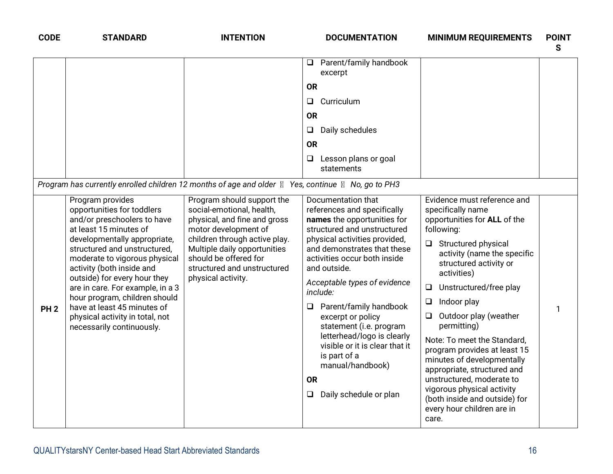| <b>CODE</b>     | <b>STANDARD</b>                                                                                                                                                                                                                                                                                                                                                                                                                           | <b>INTENTION</b>                                                                                                                                                                                                                                               | <b>DOCUMENTATION</b>                                                                                                                                                                                                                                                                                                                                                                                                                                                                                          | <b>MINIMUM REQUIREMENTS</b>                                                                                                                                                                                                                                                                                                                                                                                                                                                                                                                                                        | <b>POINT</b><br>S |
|-----------------|-------------------------------------------------------------------------------------------------------------------------------------------------------------------------------------------------------------------------------------------------------------------------------------------------------------------------------------------------------------------------------------------------------------------------------------------|----------------------------------------------------------------------------------------------------------------------------------------------------------------------------------------------------------------------------------------------------------------|---------------------------------------------------------------------------------------------------------------------------------------------------------------------------------------------------------------------------------------------------------------------------------------------------------------------------------------------------------------------------------------------------------------------------------------------------------------------------------------------------------------|------------------------------------------------------------------------------------------------------------------------------------------------------------------------------------------------------------------------------------------------------------------------------------------------------------------------------------------------------------------------------------------------------------------------------------------------------------------------------------------------------------------------------------------------------------------------------------|-------------------|
|                 |                                                                                                                                                                                                                                                                                                                                                                                                                                           |                                                                                                                                                                                                                                                                | Parent/family handbook<br>$\Box$<br>excerpt                                                                                                                                                                                                                                                                                                                                                                                                                                                                   |                                                                                                                                                                                                                                                                                                                                                                                                                                                                                                                                                                                    |                   |
|                 |                                                                                                                                                                                                                                                                                                                                                                                                                                           |                                                                                                                                                                                                                                                                | <b>OR</b>                                                                                                                                                                                                                                                                                                                                                                                                                                                                                                     |                                                                                                                                                                                                                                                                                                                                                                                                                                                                                                                                                                                    |                   |
|                 |                                                                                                                                                                                                                                                                                                                                                                                                                                           |                                                                                                                                                                                                                                                                | Curriculum<br>Q.                                                                                                                                                                                                                                                                                                                                                                                                                                                                                              |                                                                                                                                                                                                                                                                                                                                                                                                                                                                                                                                                                                    |                   |
|                 |                                                                                                                                                                                                                                                                                                                                                                                                                                           |                                                                                                                                                                                                                                                                | <b>OR</b>                                                                                                                                                                                                                                                                                                                                                                                                                                                                                                     |                                                                                                                                                                                                                                                                                                                                                                                                                                                                                                                                                                                    |                   |
|                 |                                                                                                                                                                                                                                                                                                                                                                                                                                           |                                                                                                                                                                                                                                                                | Daily schedules<br>$\Box$                                                                                                                                                                                                                                                                                                                                                                                                                                                                                     |                                                                                                                                                                                                                                                                                                                                                                                                                                                                                                                                                                                    |                   |
|                 |                                                                                                                                                                                                                                                                                                                                                                                                                                           |                                                                                                                                                                                                                                                                | <b>OR</b>                                                                                                                                                                                                                                                                                                                                                                                                                                                                                                     |                                                                                                                                                                                                                                                                                                                                                                                                                                                                                                                                                                                    |                   |
|                 |                                                                                                                                                                                                                                                                                                                                                                                                                                           |                                                                                                                                                                                                                                                                | $\Box$ Lesson plans or goal<br>statements                                                                                                                                                                                                                                                                                                                                                                                                                                                                     |                                                                                                                                                                                                                                                                                                                                                                                                                                                                                                                                                                                    |                   |
|                 | Program has currently enrolled children 12 months of age and older <b>N</b> Yes, continue <b>N</b> No, go to PH3                                                                                                                                                                                                                                                                                                                          |                                                                                                                                                                                                                                                                |                                                                                                                                                                                                                                                                                                                                                                                                                                                                                                               |                                                                                                                                                                                                                                                                                                                                                                                                                                                                                                                                                                                    |                   |
| PH <sub>2</sub> | Program provides<br>opportunities for toddlers<br>and/or preschoolers to have<br>at least 15 minutes of<br>developmentally appropriate,<br>structured and unstructured,<br>moderate to vigorous physical<br>activity (both inside and<br>outside) for every hour they<br>are in care. For example, in a 3<br>hour program, children should<br>have at least 45 minutes of<br>physical activity in total, not<br>necessarily continuously. | Program should support the<br>social-emotional, health,<br>physical, and fine and gross<br>motor development of<br>children through active play.<br>Multiple daily opportunities<br>should be offered for<br>structured and unstructured<br>physical activity. | Documentation that<br>references and specifically<br>names the opportunities for<br>structured and unstructured<br>physical activities provided,<br>and demonstrates that these<br>activities occur both inside<br>and outside.<br>Acceptable types of evidence<br>include:<br>$\Box$ Parent/family handbook<br>excerpt or policy<br>statement (i.e. program<br>letterhead/logo is clearly<br>visible or it is clear that it<br>is part of a<br>manual/handbook)<br><b>OR</b><br>Daily schedule or plan<br>Q. | Evidence must reference and<br>specifically name<br>opportunities for ALL of the<br>following:<br>$\Box$ Structured physical<br>activity (name the specific<br>structured activity or<br>activities)<br>Unstructured/free play<br>$\Box$<br>Indoor play<br>$\Box$<br>Outdoor play (weather<br>$\Box$<br>permitting)<br>Note: To meet the Standard,<br>program provides at least 15<br>minutes of developmentally<br>appropriate, structured and<br>unstructured, moderate to<br>vigorous physical activity<br>(both inside and outside) for<br>every hour children are in<br>care. |                   |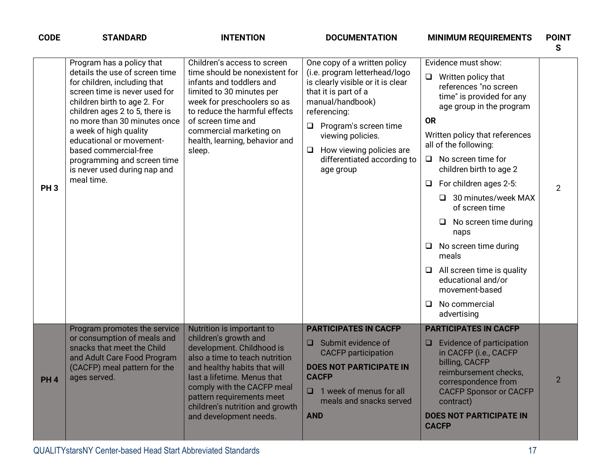| <b>CODE</b>     | <b>STANDARD</b>                                                                                                                                                                                                                                                                                                                                                                            | <b>INTENTION</b>                                                                                                                                                                                                                                                                                         | <b>DOCUMENTATION</b>                                                                                                                                                                                                                                                                                     | <b>MINIMUM REQUIREMENTS</b>                                                                                                                                                                                                                                                                                                                                                                                                                                                                                                                      | <b>POINT</b><br>S |
|-----------------|--------------------------------------------------------------------------------------------------------------------------------------------------------------------------------------------------------------------------------------------------------------------------------------------------------------------------------------------------------------------------------------------|----------------------------------------------------------------------------------------------------------------------------------------------------------------------------------------------------------------------------------------------------------------------------------------------------------|----------------------------------------------------------------------------------------------------------------------------------------------------------------------------------------------------------------------------------------------------------------------------------------------------------|--------------------------------------------------------------------------------------------------------------------------------------------------------------------------------------------------------------------------------------------------------------------------------------------------------------------------------------------------------------------------------------------------------------------------------------------------------------------------------------------------------------------------------------------------|-------------------|
| PH <sub>3</sub> | Program has a policy that<br>details the use of screen time<br>for children, including that<br>screen time is never used for<br>children birth to age 2. For<br>children ages 2 to 5, there is<br>no more than 30 minutes once<br>a week of high quality<br>educational or movement-<br>based commercial-free<br>programming and screen time<br>is never used during nap and<br>meal time. | Children's access to screen<br>time should be nonexistent for<br>infants and toddlers and<br>limited to 30 minutes per<br>week for preschoolers so as<br>to reduce the harmful effects<br>of screen time and<br>commercial marketing on<br>health, learning, behavior and<br>sleep.                      | One copy of a written policy<br>(i.e. program letterhead/logo<br>is clearly visible or it is clear<br>that it is part of a<br>manual/handbook)<br>referencing:<br>Program's screen time<br>$\Box$<br>viewing policies.<br>How viewing policies are<br>$\Box$<br>differentiated according to<br>age group | Evidence must show:<br>$\Box$<br>Written policy that<br>references "no screen<br>time" is provided for any<br>age group in the program<br><b>OR</b><br>Written policy that references<br>all of the following:<br>$\Box$ No screen time for<br>children birth to age 2<br>For children ages 2-5:<br>u<br>30 minutes/week MAX<br>ப<br>of screen time<br>No screen time during<br>□<br>naps<br>No screen time during<br>$\Box$<br>meals<br>All screen time is quality<br>educational and/or<br>movement-based<br>No commercial<br>⊔<br>advertising | $\overline{2}$    |
| <b>PH4</b>      | Program promotes the service<br>or consumption of meals and<br>snacks that meet the Child<br>and Adult Care Food Program<br>(CACFP) meal pattern for the<br>ages served.                                                                                                                                                                                                                   | Nutrition is important to<br>children's growth and<br>development. Childhood is<br>also a time to teach nutrition<br>and healthy habits that will<br>last a lifetime. Menus that<br>comply with the CACFP meal<br>pattern requirements meet<br>children's nutrition and growth<br>and development needs. | <b>PARTICIPATES IN CACFP</b><br>$\Box$ Submit evidence of<br><b>CACFP</b> participation<br><b>DOES NOT PARTICIPATE IN</b><br><b>CACFP</b><br>1 week of menus for all<br>meals and snacks served<br><b>AND</b>                                                                                            | <b>PARTICIPATES IN CACFP</b><br>Evidence of participation<br><b>u</b><br>in CACFP (i.e., CACFP<br>billing, CACFP<br>reimbursement checks,<br>correspondence from<br><b>CACFP Sponsor or CACFP</b><br>contract)<br><b>DOES NOT PARTICIPATE IN</b><br><b>CACFP</b>                                                                                                                                                                                                                                                                                 | $\overline{2}$    |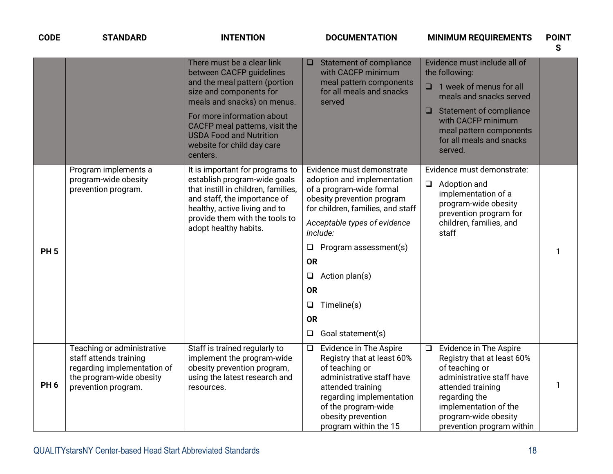| <b>CODE</b>     | <b>STANDARD</b>                                                                                                                        | <b>INTENTION</b>                                                                                                                                                                                                                                                                              | <b>DOCUMENTATION</b><br><b>MINIMUM REQUIREMENTS</b>                                                                                                                                                                                                                                                                                                                                                                                                                                                                               | <b>POINT</b><br>S |
|-----------------|----------------------------------------------------------------------------------------------------------------------------------------|-----------------------------------------------------------------------------------------------------------------------------------------------------------------------------------------------------------------------------------------------------------------------------------------------|-----------------------------------------------------------------------------------------------------------------------------------------------------------------------------------------------------------------------------------------------------------------------------------------------------------------------------------------------------------------------------------------------------------------------------------------------------------------------------------------------------------------------------------|-------------------|
|                 |                                                                                                                                        | There must be a clear link<br>between CACFP guidelines<br>and the meal pattern (portion<br>size and components for<br>meals and snacks) on menus.<br>For more information about<br>CACFP meal patterns, visit the<br><b>USDA Food and Nutrition</b><br>website for child day care<br>centers. | Evidence must include all of<br>Statement of compliance<br>$\Box$<br>with CACFP minimum<br>the following:<br>meal pattern components<br>$\Box$ 1 week of menus for all<br>for all meals and snacks<br>meals and snacks served<br>served<br>$\Box$ Statement of compliance<br>with CACFP minimum<br>meal pattern components<br>for all meals and snacks<br>served.                                                                                                                                                                 |                   |
| <b>PH 5</b>     | Program implements a<br>program-wide obesity<br>prevention program.                                                                    | It is important for programs to<br>establish program-wide goals<br>that instill in children, families,<br>and staff, the importance of<br>healthy, active living and to<br>provide them with the tools to<br>adopt healthy habits.                                                            | Evidence must demonstrate<br>Evidence must demonstrate:<br>adoption and implementation<br>Adoption and<br>$\Box$<br>of a program-wide formal<br>implementation of a<br>obesity prevention program<br>program-wide obesity<br>for children, families, and staff<br>prevention program for<br>children, families, and<br>Acceptable types of evidence<br>include:<br>staff<br>Program assessment(s)<br>$\Box$<br><b>OR</b><br>Action plan(s)<br>□<br><b>OR</b><br>Timeline(s)<br>$\Box$<br><b>OR</b><br>Goal statement(s)<br>$\Box$ | 1                 |
| PH <sub>6</sub> | Teaching or administrative<br>staff attends training<br>regarding implementation of<br>the program-wide obesity<br>prevention program. | Staff is trained regularly to<br>implement the program-wide<br>obesity prevention program,<br>using the latest research and<br>resources.                                                                                                                                                     | <b>Evidence in The Aspire</b><br>Evidence in The Aspire<br>$\Box$<br>$\Box$<br>Registry that at least 60%<br>Registry that at least 60%<br>of teaching or<br>of teaching or<br>administrative staff have<br>administrative staff have<br>attended training<br>attended training<br>regarding implementation<br>regarding the<br>of the program-wide<br>implementation of the<br>obesity prevention<br>program-wide obesity<br>program within the 15<br>prevention program within                                                  | 1                 |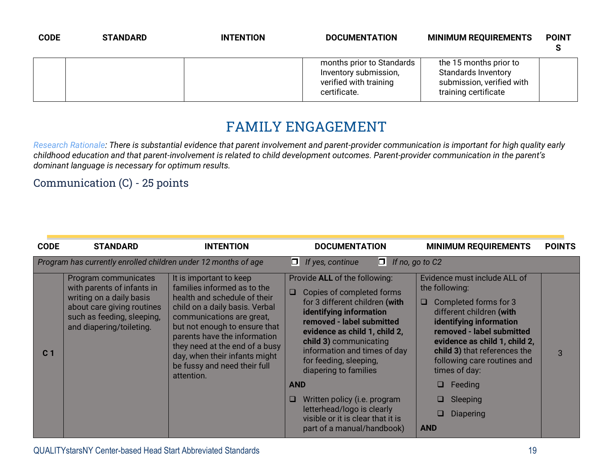| <b>CODE</b> | <b>STANDARD</b> | <b>INTENTION</b> | <b>DOCUMENTATION</b>                                                                         | <b>MINIMUM REQUIREMENTS</b>                                                                               | <b>POINT</b> |
|-------------|-----------------|------------------|----------------------------------------------------------------------------------------------|-----------------------------------------------------------------------------------------------------------|--------------|
|             |                 |                  | months prior to Standards<br>Inventory submission,<br>verified with training<br>certificate. | the 15 months prior to<br><b>Standards Inventory</b><br>submission, verified with<br>training certificate |              |

## **FAMILY ENGAGEMENT**

*Research Rationale: There is substantial evidence that parent involvement and parent-provider communication is important for high quality early childhood education and that parent-involvement is related to child development outcomes. Parent-provider communication in the parent's dominant language is necessary for optimum results.*

Communication (C) - 25 points

| <b>CODE</b>    | <b>STANDARD</b>                                                                                                                                                        | <b>INTENTION</b>                                                                                                                                                                                                                                                                                                                        | <b>DOCUMENTATION</b>                                                                                                                                                                                                                                                                                                                                                                                                                                             | <b>MINIMUM REQUIREMENTS</b>                                                                                                                                                                                                                                                                                                                          | <b>POINTS</b> |
|----------------|------------------------------------------------------------------------------------------------------------------------------------------------------------------------|-----------------------------------------------------------------------------------------------------------------------------------------------------------------------------------------------------------------------------------------------------------------------------------------------------------------------------------------|------------------------------------------------------------------------------------------------------------------------------------------------------------------------------------------------------------------------------------------------------------------------------------------------------------------------------------------------------------------------------------------------------------------------------------------------------------------|------------------------------------------------------------------------------------------------------------------------------------------------------------------------------------------------------------------------------------------------------------------------------------------------------------------------------------------------------|---------------|
|                | Program has currently enrolled children under 12 months of age                                                                                                         |                                                                                                                                                                                                                                                                                                                                         | OL<br>$\Box$ If yes, continue<br>If no, go to C2                                                                                                                                                                                                                                                                                                                                                                                                                 |                                                                                                                                                                                                                                                                                                                                                      |               |
| C <sub>1</sub> | Program communicates<br>with parents of infants in<br>writing on a daily basis<br>about care giving routines<br>such as feeding, sleeping,<br>and diapering/toileting. | It is important to keep<br>families informed as to the<br>health and schedule of their<br>child on a daily basis. Verbal<br>communications are great,<br>but not enough to ensure that<br>parents have the information<br>they need at the end of a busy<br>day, when their infants might<br>be fussy and need their full<br>attention. | Provide ALL of the following:<br>Copies of completed forms<br>$\Box$<br>for 3 different children (with<br>identifying information<br>removed - label submitted<br>evidence as child 1, child 2,<br>child 3) communicating<br>information and times of day<br>for feeding, sleeping,<br>diapering to families<br><b>AND</b><br>Written policy (i.e. program<br>u<br>letterhead/logo is clearly<br>visible or it is clear that it is<br>part of a manual/handbook) | Evidence must include ALL of<br>the following:<br>Completed forms for 3<br>□<br>different children (with<br>identifying information<br>removed - label submitted<br>evidence as child 1, child 2,<br>child 3) that references the<br>following care routines and<br>times of day:<br>❏<br>Feeding<br>□<br><b>Sleeping</b><br>Diapering<br><b>AND</b> | 3             |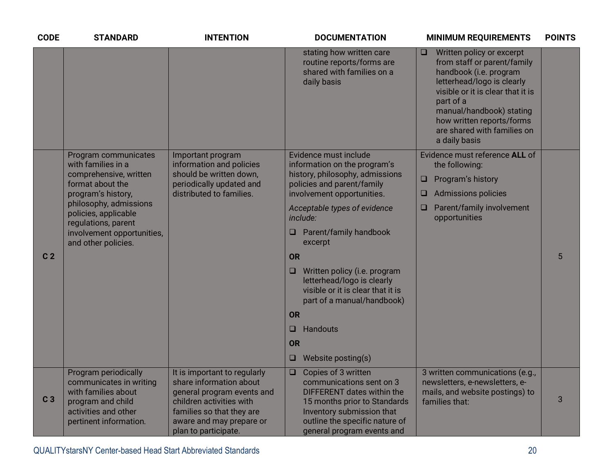| <b>CODE</b>    | <b>STANDARD</b>                                                                                                                                  | <b>INTENTION</b>                                                                                                                                                                                   | <b>DOCUMENTATION</b>                                                                                                                                                                                                        | <b>MINIMUM REQUIREMENTS</b>                                                                                                                                                                                                                                                           | <b>POINTS</b> |
|----------------|--------------------------------------------------------------------------------------------------------------------------------------------------|----------------------------------------------------------------------------------------------------------------------------------------------------------------------------------------------------|-----------------------------------------------------------------------------------------------------------------------------------------------------------------------------------------------------------------------------|---------------------------------------------------------------------------------------------------------------------------------------------------------------------------------------------------------------------------------------------------------------------------------------|---------------|
|                |                                                                                                                                                  |                                                                                                                                                                                                    | stating how written care<br>routine reports/forms are<br>shared with families on a<br>daily basis                                                                                                                           | Written policy or excerpt<br>$\Box$<br>from staff or parent/family<br>handbook (i.e. program<br>letterhead/logo is clearly<br>visible or it is clear that it is<br>part of a<br>manual/handbook) stating<br>how written reports/forms<br>are shared with families on<br>a daily basis |               |
|                | Program communicates<br>with families in a                                                                                                       | Important program<br>information and policies                                                                                                                                                      | Evidence must include<br>information on the program's                                                                                                                                                                       | Evidence must reference ALL of<br>the following:                                                                                                                                                                                                                                      |               |
|                | comprehensive, written<br>format about the                                                                                                       | should be written down,<br>periodically updated and<br>distributed to families.                                                                                                                    | history, philosophy, admissions<br>policies and parent/family                                                                                                                                                               | Program's history<br>$\Box$                                                                                                                                                                                                                                                           |               |
|                | program's history,<br>philosophy, admissions<br>policies, applicable<br>regulations, parent<br>involvement opportunities,<br>and other policies. |                                                                                                                                                                                                    | involvement opportunities.                                                                                                                                                                                                  | Admissions policies<br>□                                                                                                                                                                                                                                                              |               |
|                |                                                                                                                                                  |                                                                                                                                                                                                    | Acceptable types of evidence<br>include:                                                                                                                                                                                    | Parent/family involvement<br>u<br>opportunities                                                                                                                                                                                                                                       |               |
|                |                                                                                                                                                  |                                                                                                                                                                                                    | Parent/family handbook<br>o<br>excerpt                                                                                                                                                                                      |                                                                                                                                                                                                                                                                                       |               |
| C <sub>2</sub> |                                                                                                                                                  |                                                                                                                                                                                                    | <b>OR</b>                                                                                                                                                                                                                   |                                                                                                                                                                                                                                                                                       | 5             |
|                |                                                                                                                                                  |                                                                                                                                                                                                    | Written policy (i.e. program<br>$\Box$<br>letterhead/logo is clearly<br>visible or it is clear that it is<br>part of a manual/handbook)                                                                                     |                                                                                                                                                                                                                                                                                       |               |
|                |                                                                                                                                                  |                                                                                                                                                                                                    | <b>OR</b>                                                                                                                                                                                                                   |                                                                                                                                                                                                                                                                                       |               |
|                |                                                                                                                                                  |                                                                                                                                                                                                    | Handouts<br>❏                                                                                                                                                                                                               |                                                                                                                                                                                                                                                                                       |               |
|                |                                                                                                                                                  |                                                                                                                                                                                                    | <b>OR</b>                                                                                                                                                                                                                   |                                                                                                                                                                                                                                                                                       |               |
|                |                                                                                                                                                  |                                                                                                                                                                                                    | Website posting(s)<br>❏                                                                                                                                                                                                     |                                                                                                                                                                                                                                                                                       |               |
| C <sub>3</sub> | Program periodically<br>communicates in writing<br>with families about<br>program and child<br>activities and other<br>pertinent information.    | It is important to regularly<br>share information about<br>general program events and<br>children activities with<br>families so that they are<br>aware and may prepare or<br>plan to participate. | Copies of 3 written<br>$\Box$<br>communications sent on 3<br><b>DIFFERENT dates within the</b><br>15 months prior to Standards<br>Inventory submission that<br>outline the specific nature of<br>general program events and | 3 written communications (e.g.,<br>newsletters, e-newsletters, e-<br>mails, and website postings) to<br>families that:                                                                                                                                                                | 3             |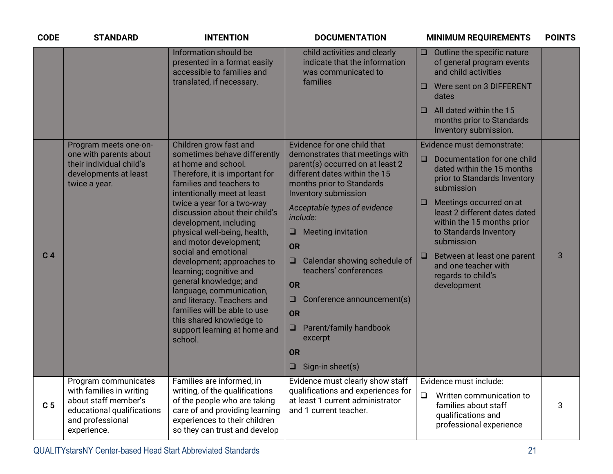| <b>CODE</b>    | <b>STANDARD</b>                                                                                                                                  | <b>INTENTION</b>                                                                                                                                                   | <b>DOCUMENTATION</b>                                                                                                                                      | <b>MINIMUM REQUIREMENTS</b>                                                                                       | <b>POINTS</b> |
|----------------|--------------------------------------------------------------------------------------------------------------------------------------------------|--------------------------------------------------------------------------------------------------------------------------------------------------------------------|-----------------------------------------------------------------------------------------------------------------------------------------------------------|-------------------------------------------------------------------------------------------------------------------|---------------|
|                |                                                                                                                                                  | Information should be<br>presented in a format easily<br>accessible to families and                                                                                | child activities and clearly<br>indicate that the information<br>was communicated to                                                                      | Outline the specific nature<br>$\Box$<br>of general program events<br>and child activities                        |               |
|                |                                                                                                                                                  | translated, if necessary.                                                                                                                                          | families                                                                                                                                                  | Were sent on 3 DIFFERENT<br>$\Box$<br>dates                                                                       |               |
|                |                                                                                                                                                  |                                                                                                                                                                    |                                                                                                                                                           | All dated within the 15<br>□<br>months prior to Standards<br>Inventory submission.                                |               |
|                | Program meets one-on-                                                                                                                            | Children grow fast and                                                                                                                                             | Evidence for one child that                                                                                                                               | Evidence must demonstrate:                                                                                        |               |
|                | one with parents about<br>their individual child's<br>developments at least<br>twice a year.                                                     | sometimes behave differently<br>at home and school.<br>Therefore, it is important for<br>families and teachers to<br>intentionally meet at least                   | demonstrates that meetings with<br>parent(s) occurred on at least 2<br>different dates within the 15<br>months prior to Standards<br>Inventory submission | $\Box$<br>Documentation for one child<br>dated within the 15 months<br>prior to Standards Inventory<br>submission |               |
|                | twice a year for a two-way<br>discussion about their child's<br>development, including<br>physical well-being, health,<br>and motor development; | Acceptable types of evidence<br>include:<br><b>Meeting invitation</b><br>$\Box$<br>OR                                                                              | Meetings occurred on at<br>least 2 different dates dated<br>within the 15 months prior<br>to Standards Inventory<br>submission                            |                                                                                                                   |               |
| C <sub>4</sub> |                                                                                                                                                  | social and emotional<br>development; approaches to<br>learning; cognitive and<br>general knowledge; and                                                            | Calendar showing schedule of<br>$\Box$<br>teachers' conferences<br>OR                                                                                     | Between at least one parent<br>$\Box$<br>and one teacher with<br>regards to child's<br>development                | 3             |
|                |                                                                                                                                                  | language, communication,<br>and literacy. Teachers and                                                                                                             | Conference announcement(s)<br>⊔                                                                                                                           |                                                                                                                   |               |
|                |                                                                                                                                                  | families will be able to use                                                                                                                                       | OR                                                                                                                                                        |                                                                                                                   |               |
|                | this shared knowledge to<br>support learning at home and<br>school.                                                                              | Parent/family handbook<br>excerpt                                                                                                                                  |                                                                                                                                                           |                                                                                                                   |               |
|                |                                                                                                                                                  |                                                                                                                                                                    | OR                                                                                                                                                        |                                                                                                                   |               |
|                |                                                                                                                                                  |                                                                                                                                                                    | Sign-in sheet(s)<br>ᆸ                                                                                                                                     |                                                                                                                   |               |
|                | Program communicates<br>with families in writing                                                                                                 | Families are informed, in                                                                                                                                          | Evidence must clearly show staff                                                                                                                          | Evidence must include:                                                                                            |               |
| C <sub>5</sub> | about staff member's<br>educational qualifications<br>and professional<br>experience.                                                            | writing, of the qualifications<br>of the people who are taking<br>care of and providing learning<br>experiences to their children<br>so they can trust and develop | qualifications and experiences for<br>at least 1 current administrator<br>and 1 current teacher.                                                          | $\Box$<br>Written communication to<br>families about staff<br>qualifications and<br>professional experience       | 3             |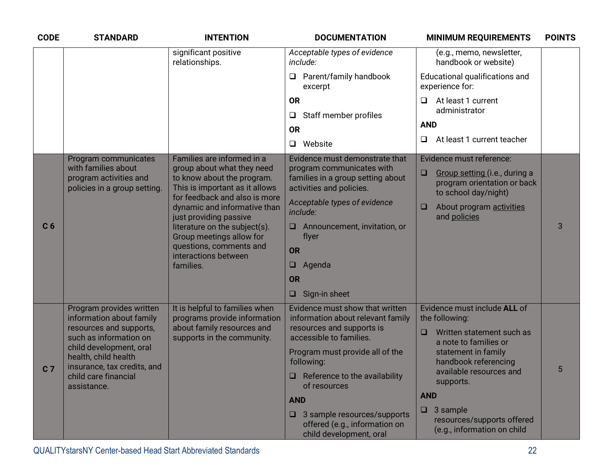| <b>CODE</b>    | <b>STANDARD</b>                                                                | <b>INTENTION</b>                                                                                                                                     | <b>DOCUMENTATION</b>                                                                          | <b>MINIMUM REQUIREMENTS</b>                                                                    | <b>POINTS</b> |
|----------------|--------------------------------------------------------------------------------|------------------------------------------------------------------------------------------------------------------------------------------------------|-----------------------------------------------------------------------------------------------|------------------------------------------------------------------------------------------------|---------------|
|                |                                                                                | significant positive<br>relationships.                                                                                                               | Acceptable types of evidence<br>include:                                                      | (e.g., memo, newsletter,<br>handbook or website)                                               |               |
|                |                                                                                |                                                                                                                                                      | Parent/family handbook<br>□<br>excerpt                                                        | Educational qualifications and<br>experience for:                                              |               |
|                |                                                                                |                                                                                                                                                      | <b>OR</b>                                                                                     | At least 1 current<br>❏                                                                        |               |
|                |                                                                                |                                                                                                                                                      | Staff member profiles<br>Q                                                                    | administrator                                                                                  |               |
|                |                                                                                |                                                                                                                                                      | <b>OR</b>                                                                                     | <b>AND</b>                                                                                     |               |
|                |                                                                                |                                                                                                                                                      | Website<br>$\Box$                                                                             | At least 1 current teacher<br>⊔                                                                |               |
|                | Program communicates                                                           | Families are informed in a                                                                                                                           | Evidence must demonstrate that                                                                | Evidence must reference:                                                                       |               |
| C <sub>6</sub> | with families about<br>program activities and<br>policies in a group setting.  | group about what they need<br>to know about the program.<br>This is important as it allows                                                           | program communicates with<br>families in a group setting about<br>activities and policies.    | $\Box$<br>Group setting (i.e., during a<br>program orientation or back<br>to school day/night) |               |
|                |                                                                                | for feedback and also is more<br>dynamic and informative than<br>just providing passive<br>literature on the subject(s).<br>Group meetings allow for | Acceptable types of evidence<br>include:                                                      | About program activities<br>□<br>and policies                                                  |               |
|                |                                                                                |                                                                                                                                                      | Announcement, invitation, or<br>u<br>flyer                                                    |                                                                                                | 3             |
|                |                                                                                | questions, comments and<br>interactions between                                                                                                      | OR                                                                                            |                                                                                                |               |
|                |                                                                                | families.                                                                                                                                            | Agenda<br>ᆸ                                                                                   |                                                                                                |               |
|                |                                                                                |                                                                                                                                                      | OR                                                                                            |                                                                                                |               |
|                |                                                                                |                                                                                                                                                      | Sign-in sheet<br>$\Box$                                                                       |                                                                                                |               |
|                | Program provides written<br>information about family                           | It is helpful to families when<br>programs provide information                                                                                       | Evidence must show that written<br>information about relevant family                          | Evidence must include ALL of<br>the following:                                                 |               |
|                | resources and supports,<br>such as information on                              | about family resources and<br>supports in the community.                                                                                             | resources and supports is<br>accessible to families.                                          | Written statement such as<br>□<br>a note to families or                                        |               |
| C <sub>7</sub> | child development, oral<br>health, child health<br>insurance, tax credits, and |                                                                                                                                                      | Program must provide all of the<br>following:                                                 | statement in family<br>handbook referencing                                                    |               |
|                | child care financial<br>assistance.                                            |                                                                                                                                                      | Reference to the availability<br>u<br>of resources                                            | available resources and<br>supports.                                                           | 5             |
|                |                                                                                |                                                                                                                                                      | <b>AND</b>                                                                                    | <b>AND</b>                                                                                     |               |
|                |                                                                                |                                                                                                                                                      | 3 sample resources/supports<br>u.<br>offered (e.g., information on<br>child development, oral | $\Box$<br>3 sample<br>resources/supports offered<br>(e.g., information on child                |               |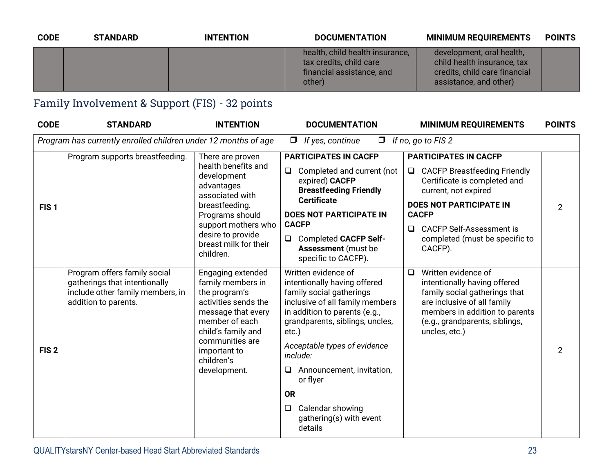| <b>CODE</b> | <b>STANDARD</b> | <b>INTENTION</b> | <b>DOCUMENTATION</b>                                                                              | <b>MINIMUM REQUIREMENTS</b>                                                                                         | <b>POINTS</b> |
|-------------|-----------------|------------------|---------------------------------------------------------------------------------------------------|---------------------------------------------------------------------------------------------------------------------|---------------|
|             |                 |                  | health, child health insurance,<br>tax credits, child care<br>financial assistance, and<br>other) | development, oral health,<br>child health insurance, tax<br>credits, child care financial<br>assistance, and other) |               |

## Family Involvement & Support (FIS) - 32 points

| <b>CODE</b>      | <b>STANDARD</b>                                                                                                           | <b>INTENTION</b>                                                                                                                                                                                               | <b>DOCUMENTATION</b>                                                                                                                                                                                                                                                                                                                                                          | <b>MINIMUM REQUIREMENTS</b>                                                                                                                                                                                                                                        | <b>POINTS</b>  |
|------------------|---------------------------------------------------------------------------------------------------------------------------|----------------------------------------------------------------------------------------------------------------------------------------------------------------------------------------------------------------|-------------------------------------------------------------------------------------------------------------------------------------------------------------------------------------------------------------------------------------------------------------------------------------------------------------------------------------------------------------------------------|--------------------------------------------------------------------------------------------------------------------------------------------------------------------------------------------------------------------------------------------------------------------|----------------|
|                  | Program has currently enrolled children under 12 months of age                                                            |                                                                                                                                                                                                                | If yes, continue<br>$\Box$<br>$\Box$                                                                                                                                                                                                                                                                                                                                          | If no, go to FIS 2                                                                                                                                                                                                                                                 |                |
| FIS <sub>1</sub> | Program supports breastfeeding.                                                                                           | There are proven<br>health benefits and<br>development<br>advantages<br>associated with<br>breastfeeding.<br>Programs should<br>support mothers who<br>desire to provide<br>breast milk for their<br>children. | <b>PARTICIPATES IN CACFP</b><br>Completed and current (not<br>$\Box$<br>expired) CACFP<br><b>Breastfeeding Friendly</b><br><b>Certificate</b><br><b>DOES NOT PARTICIPATE IN</b><br><b>CACFP</b><br><b>Completed CACFP Self-</b><br>$\Box$<br><b>Assessment</b> (must be<br>specific to CACFP).                                                                                | <b>PARTICIPATES IN CACFP</b><br>□ CACFP Breastfeeding Friendly<br>Certificate is completed and<br>current, not expired<br><b>DOES NOT PARTICIPATE IN</b><br><b>CACFP</b><br><b>CACFP Self-Assessment is</b><br>$\Box$<br>completed (must be specific to<br>CACFP). | $\overline{2}$ |
| FIS <sub>2</sub> | Program offers family social<br>gatherings that intentionally<br>include other family members, in<br>addition to parents. | Engaging extended<br>family members in<br>the program's<br>activities sends the<br>message that every<br>member of each<br>child's family and<br>communities are<br>important to<br>children's<br>development. | Written evidence of<br>intentionally having offered<br>family social gatherings<br>inclusive of all family members<br>in addition to parents (e.g.,<br>grandparents, siblings, uncles,<br>$etc.$ )<br>Acceptable types of evidence<br>include:<br>Announcement, invitation,<br>u<br>or flyer<br><b>OR</b><br>Calendar showing<br>$\Box$<br>gathering(s) with event<br>details | Written evidence of<br>$\Box$<br>intentionally having offered<br>family social gatherings that<br>are inclusive of all family<br>members in addition to parents<br>(e.g., grandparents, siblings,<br>uncles, etc.)                                                 | $\overline{2}$ |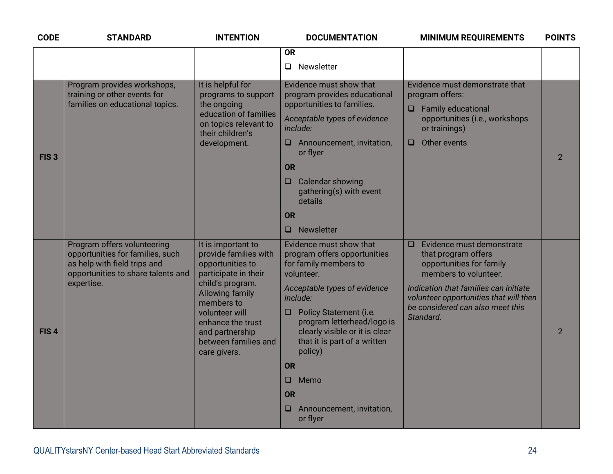| <b>CODE</b>      | <b>STANDARD</b>                                                                                                                                     | <b>INTENTION</b>                                                                                                                                                                                                                                      | <b>DOCUMENTATION</b>                                                                                                                                                                                                                                                                                                                                                         | <b>MINIMUM REQUIREMENTS</b>                                                                                                                                                                                                                         | <b>POINTS</b>  |
|------------------|-----------------------------------------------------------------------------------------------------------------------------------------------------|-------------------------------------------------------------------------------------------------------------------------------------------------------------------------------------------------------------------------------------------------------|------------------------------------------------------------------------------------------------------------------------------------------------------------------------------------------------------------------------------------------------------------------------------------------------------------------------------------------------------------------------------|-----------------------------------------------------------------------------------------------------------------------------------------------------------------------------------------------------------------------------------------------------|----------------|
|                  |                                                                                                                                                     |                                                                                                                                                                                                                                                       | <b>OR</b><br>Newsletter<br>$\Box$                                                                                                                                                                                                                                                                                                                                            |                                                                                                                                                                                                                                                     |                |
| FIS <sub>3</sub> | Program provides workshops,<br>training or other events for<br>families on educational topics.                                                      | It is helpful for<br>programs to support<br>the ongoing<br>education of families<br>on topics relevant to<br>their children's<br>development.                                                                                                         | Evidence must show that<br>program provides educational<br>opportunities to families.<br>Acceptable types of evidence<br>include:<br>Announcement, invitation,<br>⊔.<br>or flyer<br><b>OR</b><br>Calendar showing<br>$\Box$<br>gathering(s) with event<br>details<br><b>OR</b><br><b>Newsletter</b><br>■                                                                     | Evidence must demonstrate that<br>program offers:<br>$\Box$ Family educational<br>opportunities (i.e., workshops<br>or trainings)<br>Other events<br>$\Box$                                                                                         | $\overline{2}$ |
| FIS <sub>4</sub> | Program offers volunteering<br>opportunities for families, such<br>as help with field trips and<br>opportunities to share talents and<br>expertise. | It is important to<br>provide families with<br>opportunities to<br>participate in their<br>child's program.<br><b>Allowing family</b><br>members to<br>volunteer will<br>enhance the trust<br>and partnership<br>between families and<br>care givers. | Evidence must show that<br>program offers opportunities<br>for family members to<br>volunteer.<br>Acceptable types of evidence<br>include:<br>Policy Statement (i.e.<br>⊔.<br>program letterhead/logo is<br>clearly visible or it is clear<br>that it is part of a written<br>policy)<br><b>OR</b><br>$\Box$ Memo<br><b>OR</b><br>Announcement, invitation,<br>□<br>or flyer | Evidence must demonstrate<br>$\Box$<br>that program offers<br>opportunities for family<br>members to volunteer.<br>Indication that families can initiate<br>volunteer opportunities that will then<br>be considered can also meet this<br>Standard. | $\overline{2}$ |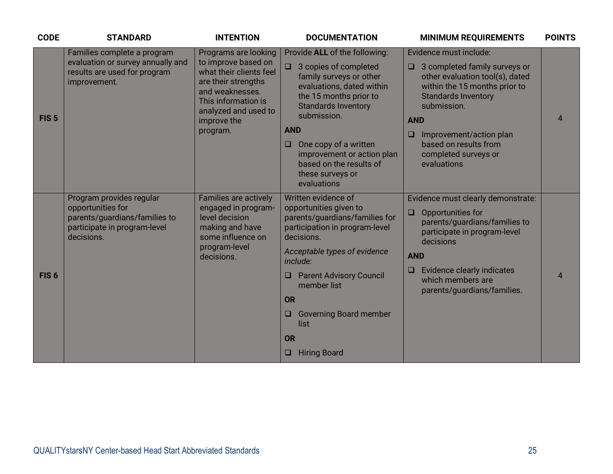| <b>CODE</b>      | <b>STANDARD</b>                                                                                                              | <b>INTENTION</b>                                                                                                                                                                           | <b>DOCUMENTATION</b>                                                                                                                                                                                                                                                                                                                      | <b>MINIMUM REQUIREMENTS</b>                                                                                                                                                                                                                                                                        | <b>POINTS</b>  |
|------------------|------------------------------------------------------------------------------------------------------------------------------|--------------------------------------------------------------------------------------------------------------------------------------------------------------------------------------------|-------------------------------------------------------------------------------------------------------------------------------------------------------------------------------------------------------------------------------------------------------------------------------------------------------------------------------------------|----------------------------------------------------------------------------------------------------------------------------------------------------------------------------------------------------------------------------------------------------------------------------------------------------|----------------|
| FIS <sub>5</sub> | Families complete a program<br>evaluation or survey annually and<br>results are used for program<br>improvement.             | Programs are looking<br>to improve based on<br>what their clients feel<br>are their strengths<br>and weaknesses.<br>This information is<br>analyzed and used to<br>improve the<br>program. | Provide ALL of the following:<br>$\Box$ 3 copies of completed<br>family surveys or other<br>evaluations, dated within<br>the 15 months prior to<br><b>Standards Inventory</b><br>submission.<br><b>AND</b><br>One copy of a written<br>$\Box$<br>improvement or action plan<br>based on the results of<br>these surveys or<br>evaluations | Evidence must include:<br>$\Box$ 3 completed family surveys or<br>other evaluation tool(s), dated<br>within the 15 months prior to<br><b>Standards Inventory</b><br>submission.<br><b>AND</b><br>Improvement/action plan<br>$\Box$<br>based on results from<br>completed surveys or<br>evaluations | $\overline{4}$ |
| FIS <sub>6</sub> | Program provides regular<br>opportunities for<br>parents/guardians/families to<br>participate in program-level<br>decisions. | Families are actively<br>engaged in program-<br>level decision<br>making and have<br>some influence on<br>program-level<br>decisions.                                                      | Written evidence of<br>opportunities given to<br>parents/guardians/families for<br>participation in program-level<br>decisions.<br>Acceptable types of evidence<br>include:<br><b>Parent Advisory Council</b><br>ш<br>member list<br>OR<br><b>Governing Board member</b><br>O<br>list<br>OR<br><b>Hiring Board</b><br>O                   | Evidence must clearly demonstrate:<br>Opportunities for<br>$\Box$<br>parents/guardians/families to<br>participate in program-level<br>decisions<br><b>AND</b><br><b>Evidence clearly indicates</b><br>$\Box$<br>which members are<br>parents/guardians/families.                                   | $\overline{4}$ |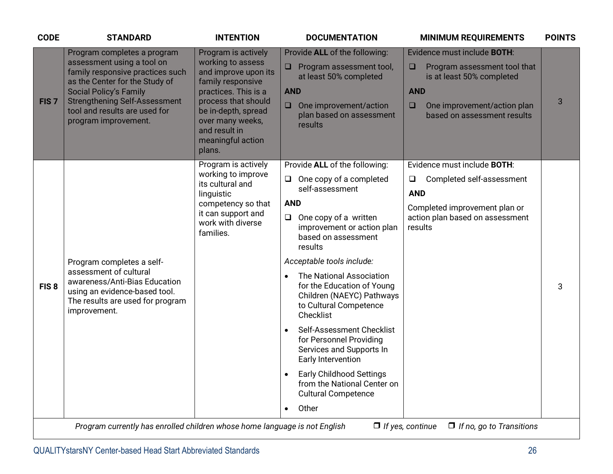| <b>CODE</b>      | <b>STANDARD</b>                                                                                                                                                                                                                                                   | <b>INTENTION</b>                                                                                                                                                                                                                | <b>DOCUMENTATION</b>                                                                                                                                                                                                                                                                                                                                                                                                                                                                                                                                                                                                     | <b>MINIMUM REQUIREMENTS</b>                                                                                                                                                                     | <b>POINTS</b> |
|------------------|-------------------------------------------------------------------------------------------------------------------------------------------------------------------------------------------------------------------------------------------------------------------|---------------------------------------------------------------------------------------------------------------------------------------------------------------------------------------------------------------------------------|--------------------------------------------------------------------------------------------------------------------------------------------------------------------------------------------------------------------------------------------------------------------------------------------------------------------------------------------------------------------------------------------------------------------------------------------------------------------------------------------------------------------------------------------------------------------------------------------------------------------------|-------------------------------------------------------------------------------------------------------------------------------------------------------------------------------------------------|---------------|
| FIS <sub>7</sub> | Program completes a program<br>assessment using a tool on<br>family responsive practices such<br>as the Center for the Study of<br><b>Social Policy's Family</b><br><b>Strengthening Self-Assessment</b><br>tool and results are used for<br>program improvement. | Program is actively<br>working to assess<br>and improve upon its<br>family responsive<br>practices. This is a<br>process that should<br>be in-depth, spread<br>over many weeks,<br>and result in<br>meaningful action<br>plans. | Provide ALL of the following:<br>Program assessment tool,<br>at least 50% completed<br><b>AND</b><br>$\Box$ One improvement/action<br>plan based on assessment<br>results                                                                                                                                                                                                                                                                                                                                                                                                                                                | Evidence must include <b>BOTH:</b><br>Program assessment tool that<br>$\Box$<br>is at least 50% completed<br><b>AND</b><br>$\Box$<br>One improvement/action plan<br>based on assessment results | 3             |
| FIS <sub>8</sub> | Program completes a self-<br>assessment of cultural<br>awareness/Anti-Bias Education<br>using an evidence-based tool.<br>The results are used for program<br>improvement.                                                                                         | Program is actively<br>working to improve<br>its cultural and<br>linguistic<br>competency so that<br>it can support and<br>work with diverse<br>families.                                                                       | Provide ALL of the following:<br>$\Box$ One copy of a completed<br>self-assessment<br><b>AND</b><br>One copy of a written<br>$\Box$<br>improvement or action plan<br>based on assessment<br>results<br>Acceptable tools include:<br>The National Association<br>for the Education of Young<br>Children (NAEYC) Pathways<br>to Cultural Competence<br>Checklist<br>Self-Assessment Checklist<br>$\bullet$<br>for Personnel Providing<br>Services and Supports In<br>Early Intervention<br><b>Early Childhood Settings</b><br>$\bullet$<br>from the National Center on<br><b>Cultural Competence</b><br>Other<br>$\bullet$ | Evidence must include <b>BOTH:</b><br>Completed self-assessment<br>$\Box$<br><b>AND</b><br>Completed improvement plan or<br>action plan based on assessment<br>results                          | 3             |
|                  | Program currently has enrolled children whose home language is not English                                                                                                                                                                                        |                                                                                                                                                                                                                                 |                                                                                                                                                                                                                                                                                                                                                                                                                                                                                                                                                                                                                          | $\Box$ If yes, continue<br>$\Box$ If no, go to Transitions                                                                                                                                      |               |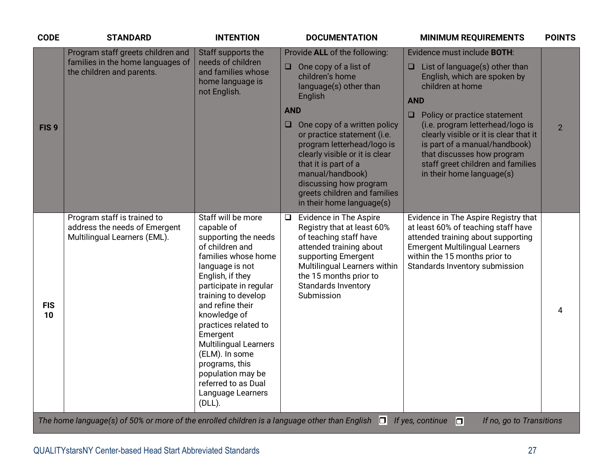| <b>CODE</b>      | <b>STANDARD</b>                                                                                     | <b>INTENTION</b>                                                                                                                                                                                                                                                                                                                                                                                                     | <b>DOCUMENTATION</b>                                                                                                                                                                                                                                                                                                                                                                                                        | <b>MINIMUM REQUIREMENTS</b>                                                                                                                                                                                                                                                                                                                                             | <b>POINTS</b>  |
|------------------|-----------------------------------------------------------------------------------------------------|----------------------------------------------------------------------------------------------------------------------------------------------------------------------------------------------------------------------------------------------------------------------------------------------------------------------------------------------------------------------------------------------------------------------|-----------------------------------------------------------------------------------------------------------------------------------------------------------------------------------------------------------------------------------------------------------------------------------------------------------------------------------------------------------------------------------------------------------------------------|-------------------------------------------------------------------------------------------------------------------------------------------------------------------------------------------------------------------------------------------------------------------------------------------------------------------------------------------------------------------------|----------------|
| FIS <sub>9</sub> | Program staff greets children and<br>families in the home languages of<br>the children and parents. | Staff supports the<br>needs of children<br>and families whose<br>home language is<br>not English.                                                                                                                                                                                                                                                                                                                    | Provide ALL of the following:<br>One copy of a list of<br>u<br>children's home<br>language(s) other than<br>English<br><b>AND</b><br><b>AND</b><br>$\Box$<br>One copy of a written policy<br>or practice statement (i.e.<br>program letterhead/logo is<br>clearly visible or it is clear<br>that it is part of a<br>manual/handbook)<br>discussing how program<br>greets children and families<br>in their home language(s) | Evidence must include <b>BOTH:</b><br>List of language(s) other than<br>English, which are spoken by<br>children at home<br>Policy or practice statement<br>(i.e. program letterhead/logo is<br>clearly visible or it is clear that it<br>is part of a manual/handbook)<br>that discusses how program<br>staff greet children and families<br>in their home language(s) | $\overline{2}$ |
| <b>FIS</b><br>10 | Program staff is trained to<br>address the needs of Emergent<br>Multilingual Learners (EML).        | Staff will be more<br>capable of<br>supporting the needs<br>of children and<br>families whose home<br>language is not<br>English, if they<br>participate in regular<br>training to develop<br>and refine their<br>knowledge of<br>practices related to<br>Emergent<br><b>Multilingual Learners</b><br>(ELM). In some<br>programs, this<br>population may be<br>referred to as Dual<br>Language Learners<br>$(DLL)$ . | Evidence in The Aspire<br>Registry that at least 60%<br>of teaching staff have<br>attended training about<br>supporting Emergent<br>Multilingual Learners within<br>the 15 months prior to<br>Standards Inventory<br>Submission                                                                                                                                                                                             | Evidence in The Aspire Registry that<br>at least 60% of teaching staff have<br>attended training about supporting<br><b>Emergent Multilingual Learners</b><br>within the 15 months prior to<br>Standards Inventory submission                                                                                                                                           | 4              |
|                  |                                                                                                     |                                                                                                                                                                                                                                                                                                                                                                                                                      | The home language(s) of 50% or more of the enrolled children is a language other than English $\Box$ If yes, continue                                                                                                                                                                                                                                                                                                       | $\Box$<br>If no, go to Transitions                                                                                                                                                                                                                                                                                                                                      |                |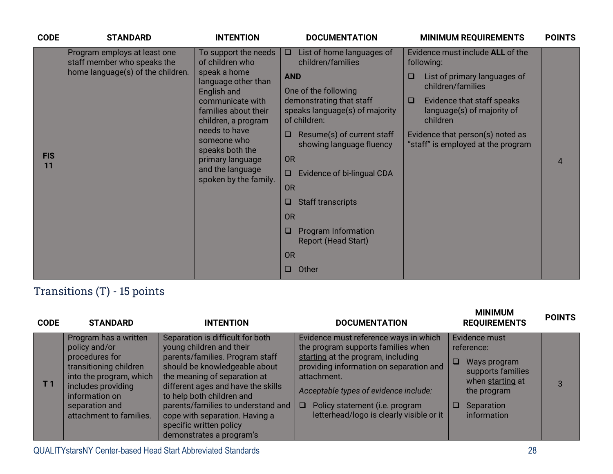| <b>CODE</b>      | <b>STANDARD</b>                                                                                  | <b>INTENTION</b>                                                                                                                                                                  | <b>DOCUMENTATION</b>                                                                                                                                                         | <b>MINIMUM REQUIREMENTS</b>                                                                                                                                                           | <b>POINTS</b> |
|------------------|--------------------------------------------------------------------------------------------------|-----------------------------------------------------------------------------------------------------------------------------------------------------------------------------------|------------------------------------------------------------------------------------------------------------------------------------------------------------------------------|---------------------------------------------------------------------------------------------------------------------------------------------------------------------------------------|---------------|
|                  | Program employs at least one<br>staff member who speaks the<br>home language(s) of the children. | To support the needs<br>of children who<br>speak a home<br>language other than<br>English and<br>communicate with<br>families about their<br>children, a program<br>needs to have | List of home languages of<br>$\Box$<br>children/families<br><b>AND</b><br>One of the following<br>demonstrating that staff<br>speaks language(s) of majority<br>of children: | Evidence must include ALL of the<br>following:<br>List of primary languages of<br>❏<br>children/families<br>Evidence that staff speaks<br>□<br>language(s) of majority of<br>children |               |
| <b>FIS</b><br>11 |                                                                                                  | someone who<br>speaks both the<br>primary language<br>and the language<br>spoken by the family.                                                                                   | Resume(s) of current staff<br>$\Box$<br>showing language fluency<br><b>OR</b><br>Evidence of bi-lingual CDA<br>O<br><b>OR</b>                                                | Evidence that person(s) noted as<br>"staff" is employed at the program                                                                                                                | 4             |
|                  |                                                                                                  |                                                                                                                                                                                   | <b>Staff transcripts</b><br>□<br><b>OR</b>                                                                                                                                   |                                                                                                                                                                                       |               |
|                  |                                                                                                  |                                                                                                                                                                                   | <b>Program Information</b><br>ш<br><b>Report (Head Start)</b>                                                                                                                |                                                                                                                                                                                       |               |
|                  |                                                                                                  |                                                                                                                                                                                   | <b>OR</b>                                                                                                                                                                    |                                                                                                                                                                                       |               |
|                  |                                                                                                  |                                                                                                                                                                                   | Other<br>o                                                                                                                                                                   |                                                                                                                                                                                       |               |

## Transitions (T) - 15 points

| <b>CODE</b> | <b>STANDARD</b>                                                                                                                                                                                    | <b>INTENTION</b>                                                                                                                                                                                                                                                                                                                                                   | <b>DOCUMENTATION</b>                                                                                                                                                                                                                                                                                         | <b>MINIMUM</b><br><b>REQUIREMENTS</b>                                                                                                      | <b>POINTS</b> |
|-------------|----------------------------------------------------------------------------------------------------------------------------------------------------------------------------------------------------|--------------------------------------------------------------------------------------------------------------------------------------------------------------------------------------------------------------------------------------------------------------------------------------------------------------------------------------------------------------------|--------------------------------------------------------------------------------------------------------------------------------------------------------------------------------------------------------------------------------------------------------------------------------------------------------------|--------------------------------------------------------------------------------------------------------------------------------------------|---------------|
| Т 1         | Program has a written<br>policy and/or<br>procedures for<br>transitioning children<br>into the program, which<br>includes providing<br>information on<br>separation and<br>attachment to families. | Separation is difficult for both<br>young children and their<br>parents/families. Program staff<br>should be knowledgeable about<br>the meaning of separation at<br>different ages and have the skills<br>to help both children and<br>parents/families to understand and<br>cope with separation. Having a<br>specific written policy<br>demonstrates a program's | Evidence must reference ways in which<br>the program supports families when<br>starting at the program, including<br>providing information on separation and<br>attachment.<br>Acceptable types of evidence include:<br>Policy statement (i.e. program<br>$\Box$<br>letterhead/logo is clearly visible or it | Evidence must<br>reference:<br>Ways program<br>supports families<br>when starting at<br>the program<br>$\Box$<br>Separation<br>information | 3             |

QUALITYstarsNY Center-based Head Start Abbreviated Standards 28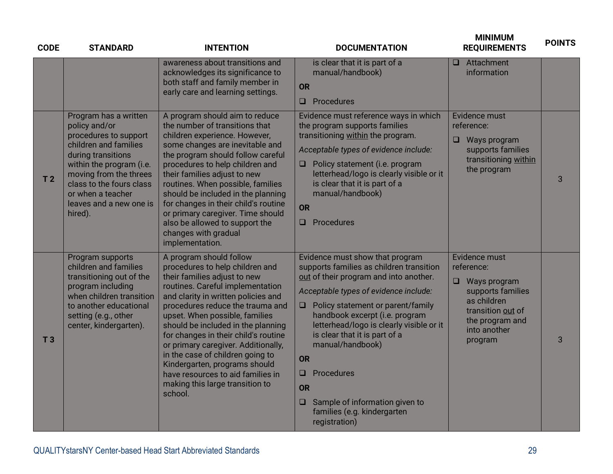| <b>CODE</b>    | <b>STANDARD</b>                                                                                                                                                                                                                                             | <b>INTENTION</b>                                                                                                                                                                                                                                                                                                                                                                                                                                                                                                         | <b>DOCUMENTATION</b>                                                                                                                                                                                                                                                                                                                                                                                                                                                                        | <b>MINIMUM</b><br><b>REQUIREMENTS</b>                                                                                                                     | <b>POINTS</b> |
|----------------|-------------------------------------------------------------------------------------------------------------------------------------------------------------------------------------------------------------------------------------------------------------|--------------------------------------------------------------------------------------------------------------------------------------------------------------------------------------------------------------------------------------------------------------------------------------------------------------------------------------------------------------------------------------------------------------------------------------------------------------------------------------------------------------------------|---------------------------------------------------------------------------------------------------------------------------------------------------------------------------------------------------------------------------------------------------------------------------------------------------------------------------------------------------------------------------------------------------------------------------------------------------------------------------------------------|-----------------------------------------------------------------------------------------------------------------------------------------------------------|---------------|
|                |                                                                                                                                                                                                                                                             | awareness about transitions and<br>acknowledges its significance to<br>both staff and family member in<br>early care and learning settings.                                                                                                                                                                                                                                                                                                                                                                              | is clear that it is part of a<br>manual/handbook)<br><b>OR</b><br>Procedures<br>$\Box$                                                                                                                                                                                                                                                                                                                                                                                                      | $\Box$ Attachment<br>information                                                                                                                          |               |
| T <sub>2</sub> | Program has a written<br>policy and/or<br>procedures to support<br>children and families<br>during transitions<br>within the program (i.e.<br>moving from the threes<br>class to the fours class<br>or when a teacher<br>leaves and a new one is<br>hired). | A program should aim to reduce<br>the number of transitions that<br>children experience. However,<br>some changes are inevitable and<br>the program should follow careful<br>procedures to help children and<br>their families adjust to new<br>routines. When possible, families<br>should be included in the planning<br>for changes in their child's routine<br>or primary caregiver. Time should<br>also be allowed to support the<br>changes with gradual<br>implementation.                                        | Evidence must reference ways in which<br>the program supports families<br>transitioning within the program.<br>Acceptable types of evidence include:<br>$\Box$ Policy statement (i.e. program<br>letterhead/logo is clearly visible or it<br>is clear that it is part of a<br>manual/handbook)<br><b>OR</b><br>$\Box$ Procedures                                                                                                                                                            | Evidence must<br>reference:<br>$\Box$<br>Ways program<br>supports families<br>transitioning within<br>the program                                         | 3             |
| T <sub>3</sub> | Program supports<br>children and families<br>transitioning out of the<br>program including<br>when children transition<br>to another educational<br>setting (e.g., other<br>center, kindergarten).                                                          | A program should follow<br>procedures to help children and<br>their families adjust to new<br>routines. Careful implementation<br>and clarity in written policies and<br>procedures reduce the trauma and<br>upset. When possible, families<br>should be included in the planning<br>for changes in their child's routine<br>or primary caregiver. Additionally,<br>in the case of children going to<br>Kindergarten, programs should<br>have resources to aid families in<br>making this large transition to<br>school. | Evidence must show that program<br>supports families as children transition<br>out of their program and into another.<br>Acceptable types of evidence include:<br>$\Box$ Policy statement or parent/family<br>handbook excerpt (i.e. program<br>letterhead/logo is clearly visible or it<br>is clear that it is part of a<br>manual/handbook)<br><b>OR</b><br>Procedures<br>$\Box$<br><b>OR</b><br>Sample of information given to<br>$\Box$<br>families (e.g. kindergarten<br>registration) | Evidence must<br>reference:<br>$\Box$ Ways program<br>supports families<br>as children<br>transition out of<br>the program and<br>into another<br>program | 3             |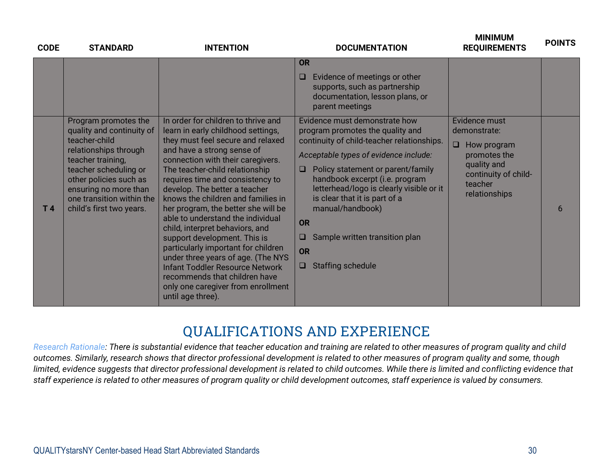| <b>CODE</b> | <b>STANDARD</b>                                                                                                                                                                                  | <b>INTENTION</b>                                                                                                                                                                                                                                                                                                                                                                                                                                                                                                                                                                                                    | <b>DOCUMENTATION</b>                                                                                                                                                                                                                                                                                                                                                    | <u>IVIIINIIVIUIVI</u><br><b>REQUIREMENTS</b>                                                             | <b>POINTS</b> |
|-------------|--------------------------------------------------------------------------------------------------------------------------------------------------------------------------------------------------|---------------------------------------------------------------------------------------------------------------------------------------------------------------------------------------------------------------------------------------------------------------------------------------------------------------------------------------------------------------------------------------------------------------------------------------------------------------------------------------------------------------------------------------------------------------------------------------------------------------------|-------------------------------------------------------------------------------------------------------------------------------------------------------------------------------------------------------------------------------------------------------------------------------------------------------------------------------------------------------------------------|----------------------------------------------------------------------------------------------------------|---------------|
|             | Program promotes the<br>quality and continuity of                                                                                                                                                | In order for children to thrive and<br>learn in early childhood settings,                                                                                                                                                                                                                                                                                                                                                                                                                                                                                                                                           | <b>OR</b><br>Evidence of meetings or other<br>O<br>supports, such as partnership<br>documentation, lesson plans, or<br>parent meetings<br>Evidence must demonstrate how<br>program promotes the quality and                                                                                                                                                             | Evidence must<br>demonstrate:                                                                            |               |
| T4          | teacher-child<br>relationships through<br>teacher training,<br>teacher scheduling or<br>other policies such as<br>ensuring no more than<br>one transition within the<br>child's first two years. | they must feel secure and relaxed<br>and have a strong sense of<br>connection with their caregivers.<br>The teacher-child relationship<br>requires time and consistency to<br>develop. The better a teacher<br>knows the children and families in<br>her program, the better she will be<br>able to understand the individual<br>child, interpret behaviors, and<br>support development. This is<br>particularly important for children<br>under three years of age. (The NYS<br><b>Infant Toddler Resource Network</b><br>recommends that children have<br>only one caregiver from enrollment<br>until age three). | continuity of child-teacher relationships.<br>Acceptable types of evidence include:<br>Policy statement or parent/family<br>$\Box$<br>handbook excerpt (i.e. program<br>letterhead/logo is clearly visible or it<br>is clear that it is part of a<br>manual/handbook)<br><b>OR</b><br>Sample written transition plan<br>O<br><b>OR</b><br><b>Staffing schedule</b><br>u | $\Box$<br>How program<br>promotes the<br>quality and<br>continuity of child-<br>teacher<br>relationships | 6             |

## **QUALIFICATIONS AND EXPERIENCE**

*Research Rationale: There is substantial evidence that teacher education and training are related to other measures of program quality and child outcomes. Similarly, research shows that director professional development is related to other measures of program quality and some, though limited, evidence suggests that director professional development is related to child outcomes. While there is limited and conflicting evidence that staff experience is related to other measures of program quality or child development outcomes, staff experience is valued by consumers.*

**MINIMUM**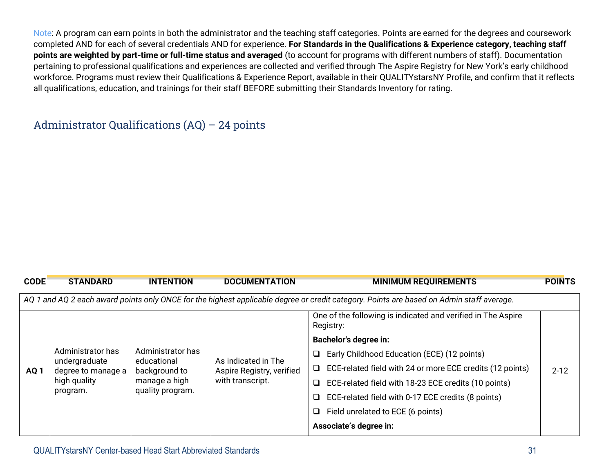Note: A program can earn points in both the administrator and the teaching staff categories. Points are earned for the degrees and coursework completed AND for each of several credentials AND for experience. **For Standards in the Qualifications & Experience category, teaching staff points are weighted by part-time or full-time status and averaged** (to account for programs with different numbers of staff). Documentation pertaining to professional qualifications and experiences are collected and verified through The Aspire Registry for New York's early childhood workforce. Programs must review their Qualifications & Experience Report, available in their QUALITYstarsNY Profile, and confirm that it reflects all qualifications, education, and trainings for their staff BEFORE submitting their Standards Inventory for rating.

#### Administrator Qualifications (AQ) – 24 points

| <b>CODE</b>                                                                                                                              | <b>STANDARD</b>                                                          | <b>INTENTION</b>                                                   | <b>DOCUMENTATION</b>      | <b>MINIMUM REQUIREMENTS</b>                                               | <b>POINTS</b> |  |  |
|------------------------------------------------------------------------------------------------------------------------------------------|--------------------------------------------------------------------------|--------------------------------------------------------------------|---------------------------|---------------------------------------------------------------------------|---------------|--|--|
| AQ 1 and AQ 2 each award points only ONCE for the highest applicable degree or credit category. Points are based on Admin staff average. |                                                                          |                                                                    |                           |                                                                           |               |  |  |
|                                                                                                                                          |                                                                          |                                                                    |                           | One of the following is indicated and verified in The Aspire<br>Registry: |               |  |  |
|                                                                                                                                          | Administrator has<br>undergraduate<br>degree to manage a<br>high quality | Administrator has<br>educational<br>background to<br>manage a high |                           | <b>Bachelor's degree in:</b>                                              |               |  |  |
|                                                                                                                                          |                                                                          |                                                                    | As indicated in The       | Early Childhood Education (ECE) (12 points)<br>□                          | $2 - 12$      |  |  |
| AQ <sub>1</sub>                                                                                                                          |                                                                          |                                                                    | Aspire Registry, verified | ECE-related field with 24 or more ECE credits (12 points)<br>□            |               |  |  |
|                                                                                                                                          |                                                                          |                                                                    | with transcript.          | ECE-related field with 18-23 ECE credits (10 points)<br>□                 |               |  |  |
|                                                                                                                                          | program.                                                                 | quality program.                                                   |                           | ECE-related field with 0-17 ECE credits (8 points)                        |               |  |  |
|                                                                                                                                          |                                                                          |                                                                    |                           | Field unrelated to ECE (6 points)<br>❏                                    |               |  |  |
|                                                                                                                                          |                                                                          |                                                                    |                           | Associate's degree in:                                                    |               |  |  |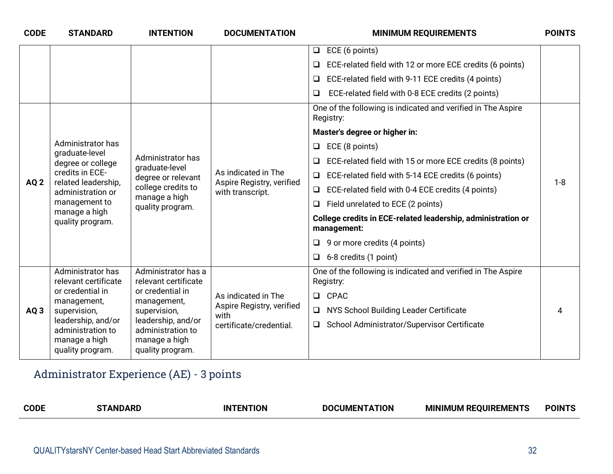| <b>CODE</b>     | <b>STANDARD</b>                                                                                                                                          | <b>INTENTION</b>                                                                                                     | <b>DOCUMENTATION</b>                                                 | <b>MINIMUM REQUIREMENTS</b>                                                 | <b>POINTS</b> |
|-----------------|----------------------------------------------------------------------------------------------------------------------------------------------------------|----------------------------------------------------------------------------------------------------------------------|----------------------------------------------------------------------|-----------------------------------------------------------------------------|---------------|
|                 |                                                                                                                                                          |                                                                                                                      |                                                                      | ECE (6 points)<br>$\Box$                                                    |               |
|                 |                                                                                                                                                          |                                                                                                                      |                                                                      | ECE-related field with 12 or more ECE credits (6 points)                    |               |
|                 |                                                                                                                                                          |                                                                                                                      |                                                                      | ECE-related field with 9-11 ECE credits (4 points)<br>□                     |               |
|                 |                                                                                                                                                          |                                                                                                                      |                                                                      | ECE-related field with 0-8 ECE credits (2 points)<br>□                      |               |
|                 |                                                                                                                                                          |                                                                                                                      |                                                                      | One of the following is indicated and verified in The Aspire<br>Registry:   |               |
|                 |                                                                                                                                                          |                                                                                                                      |                                                                      | Master's degree or higher in:                                               |               |
|                 | Administrator has                                                                                                                                        |                                                                                                                      |                                                                      | ECE (8 points)<br>❏                                                         |               |
|                 | graduate-level<br>degree or college<br>credits in ECE-<br>related leadership,<br>administration or<br>management to<br>manage a high<br>quality program. | Administrator has<br>graduate-level<br>degree or relevant<br>college credits to<br>manage a high<br>quality program. | As indicated in The<br>Aspire Registry, verified<br>with transcript. | ECE-related field with 15 or more ECE credits (8 points)                    | $1 - 8$       |
|                 |                                                                                                                                                          |                                                                                                                      |                                                                      | ECE-related field with 5-14 ECE credits (6 points)                          |               |
| AQ <sub>2</sub> |                                                                                                                                                          |                                                                                                                      |                                                                      | ECE-related field with 0-4 ECE credits (4 points)                           |               |
|                 |                                                                                                                                                          |                                                                                                                      |                                                                      | Field unrelated to ECE (2 points)<br>❏                                      |               |
|                 |                                                                                                                                                          |                                                                                                                      |                                                                      | College credits in ECE-related leadership, administration or<br>management: |               |
|                 |                                                                                                                                                          |                                                                                                                      |                                                                      | $\Box$ 9 or more credits (4 points)                                         |               |
|                 |                                                                                                                                                          |                                                                                                                      |                                                                      | 6-8 credits (1 point)<br>$\Box$                                             |               |
|                 | Administrator has<br>relevant certificate                                                                                                                | Administrator has a<br>relevant certificate                                                                          |                                                                      | One of the following is indicated and verified in The Aspire<br>Registry:   |               |
|                 | or credential in<br>management,                                                                                                                          | or credential in<br>management,                                                                                      | As indicated in The                                                  | CPAC<br>$\Box$                                                              |               |
| AQ3             | supervision,                                                                                                                                             | supervision,                                                                                                         | Aspire Registry, verified<br>with                                    | NYS School Building Leader Certificate<br>$\Box$                            |               |
|                 | leadership, and/or<br>administration to                                                                                                                  | leadership, and/or<br>administration to                                                                              | certificate/credential.                                              | School Administrator/Supervisor Certificate                                 |               |
|                 | manage a high                                                                                                                                            | manage a high                                                                                                        |                                                                      |                                                                             |               |
|                 | quality program.                                                                                                                                         | quality program.                                                                                                     |                                                                      |                                                                             |               |

## Administrator Experience (AE) - 3 points

| <b>CODL</b><br>DO<br>MINIMUM RL<br>TION<br>TON<br>:IMFN<br>IN<br>1 EN L.<br>EMEN | JIN |
|----------------------------------------------------------------------------------|-----|
|----------------------------------------------------------------------------------|-----|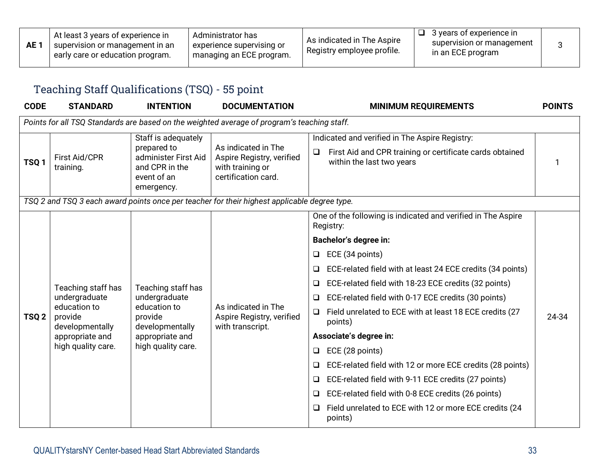| AE 1 | At least 3 years of experience in<br>supervision or management in an u<br>early care or education program. | Administrator has<br>experience supervising or<br>managing an ECE program. | As indicated in The Aspire<br>Registry employee profile. | 3 vears of experience in<br>supervision or management<br>in an ECE program |  |
|------|------------------------------------------------------------------------------------------------------------|----------------------------------------------------------------------------|----------------------------------------------------------|----------------------------------------------------------------------------|--|
|------|------------------------------------------------------------------------------------------------------------|----------------------------------------------------------------------------|----------------------------------------------------------|----------------------------------------------------------------------------|--|

## Teaching Staff Qualifications (TSQ) - 55 point

| <b>CODE</b>      | <b>STANDARD</b>                            | <b>INTENTION</b>                                                                                          | <b>DOCUMENTATION</b>                                                                         | <b>MINIMUM REQUIREMENTS</b>                                                                                                                       | <b>POINTS</b> |
|------------------|--------------------------------------------|-----------------------------------------------------------------------------------------------------------|----------------------------------------------------------------------------------------------|---------------------------------------------------------------------------------------------------------------------------------------------------|---------------|
|                  |                                            |                                                                                                           | Points for all TSQ Standards are based on the weighted average of program's teaching staff.  |                                                                                                                                                   |               |
| TSQ1             | <b>First Aid/CPR</b><br>training.          | Staff is adequately<br>prepared to<br>administer First Aid<br>and CPR in the<br>event of an<br>emergency. | As indicated in The<br>Aspire Registry, verified<br>with training or<br>certification card.  | Indicated and verified in The Aspire Registry:<br>First Aid and CPR training or certificate cards obtained<br>$\Box$<br>within the last two years |               |
|                  |                                            |                                                                                                           | TSQ 2 and TSQ 3 each award points once per teacher for their highest applicable degree type. |                                                                                                                                                   |               |
|                  | Teaching staff has                         |                                                                                                           |                                                                                              | One of the following is indicated and verified in The Aspire<br>Registry:                                                                         |               |
|                  |                                            | Teaching staff has                                                                                        |                                                                                              | <b>Bachelor's degree in:</b>                                                                                                                      |               |
|                  |                                            |                                                                                                           |                                                                                              | ECE (34 points)<br>❏                                                                                                                              |               |
|                  |                                            |                                                                                                           |                                                                                              | ECE-related field with at least 24 ECE credits (34 points)<br>$\Box$                                                                              |               |
|                  |                                            |                                                                                                           |                                                                                              | ECE-related field with 18-23 ECE credits (32 points)<br>❏                                                                                         |               |
|                  | undergraduate                              | undergraduate                                                                                             |                                                                                              | ECE-related field with 0-17 ECE credits (30 points)<br>❏                                                                                          |               |
| TSQ <sub>2</sub> | education to<br>provide<br>developmentally | education to<br>provide<br>developmentally                                                                | As indicated in The<br>Aspire Registry, verified<br>with transcript.                         | Field unrelated to ECE with at least 18 ECE credits (27<br>$\Box$<br>points)                                                                      | 24-34         |
|                  | appropriate and                            | appropriate and                                                                                           |                                                                                              | Associate's degree in:                                                                                                                            |               |
|                  | high quality care.                         | high quality care.                                                                                        |                                                                                              | ECE (28 points)<br>❏                                                                                                                              |               |
|                  |                                            |                                                                                                           |                                                                                              | ECE-related field with 12 or more ECE credits (28 points)<br>$\Box$                                                                               |               |
|                  |                                            |                                                                                                           |                                                                                              | ECE-related field with 9-11 ECE credits (27 points)<br>❏                                                                                          |               |
|                  |                                            |                                                                                                           |                                                                                              | ECE-related field with 0-8 ECE credits (26 points)<br>❏                                                                                           |               |
|                  |                                            |                                                                                                           |                                                                                              | Field unrelated to ECE with 12 or more ECE credits (24<br>❏<br>points)                                                                            |               |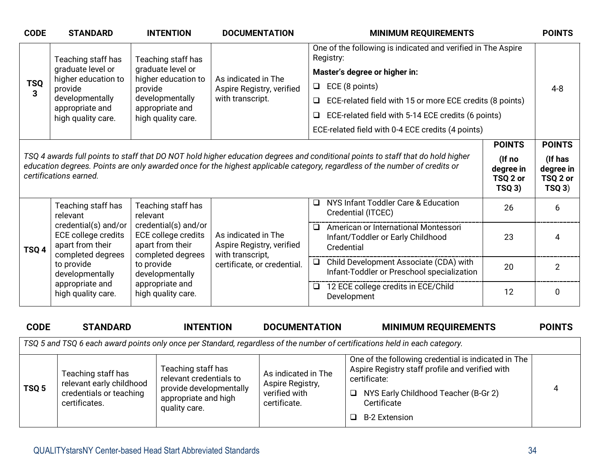| <b>CODE</b>      | <b>STANDARD</b>                                                                                                                                                                                                                                                                                                                      | <b>INTENTION</b>                                                       | <b>DOCUMENTATION</b>                             | <b>MINIMUM REQUIREMENTS</b>                                                                       |               | <b>POINTS</b> |
|------------------|--------------------------------------------------------------------------------------------------------------------------------------------------------------------------------------------------------------------------------------------------------------------------------------------------------------------------------------|------------------------------------------------------------------------|--------------------------------------------------|---------------------------------------------------------------------------------------------------|---------------|---------------|
|                  | Teaching staff has                                                                                                                                                                                                                                                                                                                   | Teaching staff has                                                     |                                                  | One of the following is indicated and verified in The Aspire<br>Registry:                         |               |               |
| <b>TSQ</b>       | graduate level or                                                                                                                                                                                                                                                                                                                    | graduate level or                                                      |                                                  | Master's degree or higher in:                                                                     |               |               |
|                  | higher education to<br>provide                                                                                                                                                                                                                                                                                                       | higher education to<br>provide                                         | As indicated in The<br>Aspire Registry, verified | ECE (8 points)<br>□                                                                               |               | $4 - 8$       |
| 3                | developmentally                                                                                                                                                                                                                                                                                                                      | developmentally                                                        | with transcript.                                 | ECE-related field with 15 or more ECE credits (8 points)<br>□                                     |               |               |
|                  | appropriate and<br>high quality care.                                                                                                                                                                                                                                                                                                | appropriate and<br>high quality care.                                  |                                                  | ECE-related field with 5-14 ECE credits (6 points)<br>$\Box$                                      |               |               |
|                  |                                                                                                                                                                                                                                                                                                                                      |                                                                        |                                                  | ECE-related field with 0-4 ECE credits (4 points)                                                 |               |               |
|                  |                                                                                                                                                                                                                                                                                                                                      |                                                                        |                                                  |                                                                                                   | <b>POINTS</b> | <b>POINTS</b> |
|                  | TSQ 4 awards full points to staff that DO NOT hold higher education degrees and conditional points to staff that do hold higher<br>(If no<br>education degrees. Points are only awarded once for the highest applicable category, regardless of the number of credits or<br>degree in<br>certifications earned.<br>TSQ 2 or<br>TSQ3) |                                                                        |                                                  |                                                                                                   |               |               |
|                  | Teaching staff has<br>relevant                                                                                                                                                                                                                                                                                                       | Teaching staff has<br>relevant                                         |                                                  | NYS Infant Toddler Care & Education<br>$\Box$<br>Credential (ITCEC)                               | 26            | 6             |
| TSQ <sub>4</sub> | credential(s) and/or<br>ECE college credits<br>apart from their                                                                                                                                                                                                                                                                      | credential(s) and/or<br><b>ECE college credits</b><br>apart from their | As indicated in The<br>Aspire Registry, verified | American or International Montessori<br>$\Box$<br>Infant/Toddler or Early Childhood<br>Credential | 23            | 4             |
|                  | completed degrees<br>to provide<br>developmentally                                                                                                                                                                                                                                                                                   | completed degrees<br>to provide<br>developmentally                     | with transcript,<br>certificate, or credential.  | Child Development Associate (CDA) with<br>Infant-Toddler or Preschool specialization              | 20            | 2             |
|                  | appropriate and<br>high quality care.                                                                                                                                                                                                                                                                                                | appropriate and<br>high quality care.                                  |                                                  | 12 ECE college credits in ECE/Child<br>$\Box$<br>Development                                      | 12            | 0             |
|                  |                                                                                                                                                                                                                                                                                                                                      |                                                                        |                                                  |                                                                                                   |               |               |

| <b>CODE</b>                                                                                                                 | <b>STANDARD</b>                                                                            | <b>INTENTION</b>                                                                                                  | <b>DOCUMENTATION</b>                                                     | <b>MINIMUM REQUIREMENTS</b>                                                                                                                                                                                     | <b>POINTS</b> |  |  |  |
|-----------------------------------------------------------------------------------------------------------------------------|--------------------------------------------------------------------------------------------|-------------------------------------------------------------------------------------------------------------------|--------------------------------------------------------------------------|-----------------------------------------------------------------------------------------------------------------------------------------------------------------------------------------------------------------|---------------|--|--|--|
| TSQ 5 and TSQ 6 each award points only once per Standard, regardless of the number of certifications held in each category. |                                                                                            |                                                                                                                   |                                                                          |                                                                                                                                                                                                                 |               |  |  |  |
| TSQ <sub>5</sub>                                                                                                            | Teaching staff has<br>relevant early childhood<br>credentials or teaching<br>certificates. | Teaching staff has<br>relevant credentials to<br>provide developmentally<br>appropriate and high<br>quality care. | As indicated in The<br>Aspire Registry,<br>verified with<br>certificate. | One of the following credential is indicated in The<br>Aspire Registry staff profile and verified with<br>certificate:<br>NYS Early Childhood Teacher (B-Gr 2)<br>$\Box$<br>Certificate<br><b>B-2 Extension</b> | 4             |  |  |  |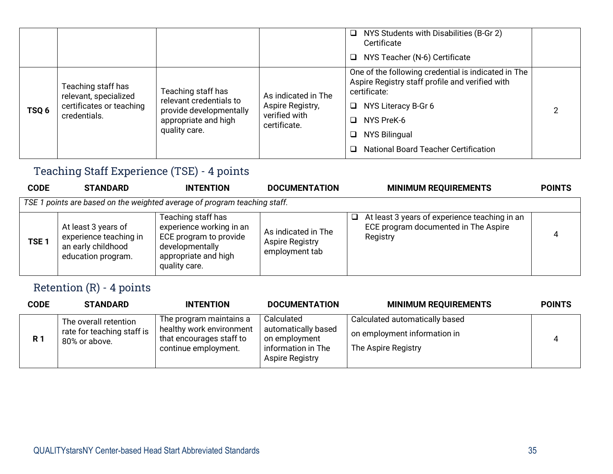|       |                                                                                         |                                                                                                                   |                                                                          | NYS Students with Disabilities (B-Gr 2)<br>$\Box$<br>Certificate<br>NYS Teacher (N-6) Certificate<br>$\Box$                                                                                                                                     |  |
|-------|-----------------------------------------------------------------------------------------|-------------------------------------------------------------------------------------------------------------------|--------------------------------------------------------------------------|-------------------------------------------------------------------------------------------------------------------------------------------------------------------------------------------------------------------------------------------------|--|
| TSQ 6 | Teaching staff has<br>relevant, specialized<br>certificates or teaching<br>credentials. | Teaching staff has<br>relevant credentials to<br>provide developmentally<br>appropriate and high<br>quality care. | As indicated in The<br>Aspire Registry,<br>verified with<br>certificate. | One of the following credential is indicated in The<br>Aspire Registry staff profile and verified with<br>certificate:<br>NYS Literacy B-Gr 6<br>□<br>NYS PreK-6<br>□<br>NYS Bilingual<br>❏<br><b>National Board Teacher Certification</b><br>□ |  |

## Teaching Staff Experience (TSE) - 4 points

| <b>CODE</b>      | <b>STANDARD</b>                                                                           | <b>INTENTION</b>                                                                                                                     | <b>DOCUMENTATION</b>                                            | <b>MINIMUM REQUIREMENTS</b>                                                                            | <b>POINTS</b> |  |  |  |  |
|------------------|-------------------------------------------------------------------------------------------|--------------------------------------------------------------------------------------------------------------------------------------|-----------------------------------------------------------------|--------------------------------------------------------------------------------------------------------|---------------|--|--|--|--|
|                  | TSE 1 points are based on the weighted average of program teaching staff.                 |                                                                                                                                      |                                                                 |                                                                                                        |               |  |  |  |  |
| TSE <sub>1</sub> | At least 3 years of<br>experience teaching in<br>an early childhood<br>education program. | Teaching staff has<br>experience working in an<br>ECE program to provide<br>developmentally<br>appropriate and high<br>quality care. | As indicated in The<br><b>Aspire Registry</b><br>employment tab | At least 3 years of experience teaching in an<br>❏<br>ECE program documented in The Aspire<br>Registry | 4             |  |  |  |  |

## Retention (R) - 4 points

| <b>CODE</b> | <b>STANDARD</b>                                                      | <b>INTENTION</b>                                                                                        | <b>DOCUMENTATION</b>                                                                        | <b>MINIMUM REQUIREMENTS</b>                                                           | <b>POINTS</b> |
|-------------|----------------------------------------------------------------------|---------------------------------------------------------------------------------------------------------|---------------------------------------------------------------------------------------------|---------------------------------------------------------------------------------------|---------------|
| <b>R1</b>   | The overall retention<br>rate for teaching staff is<br>80% or above. | The program maintains a<br>healthy work environment<br>that encourages staff to<br>continue employment. | Calculated<br>automatically based<br>on employment<br>information in The<br>Aspire Registry | Calculated automatically based<br>on employment information in<br>The Aspire Registry |               |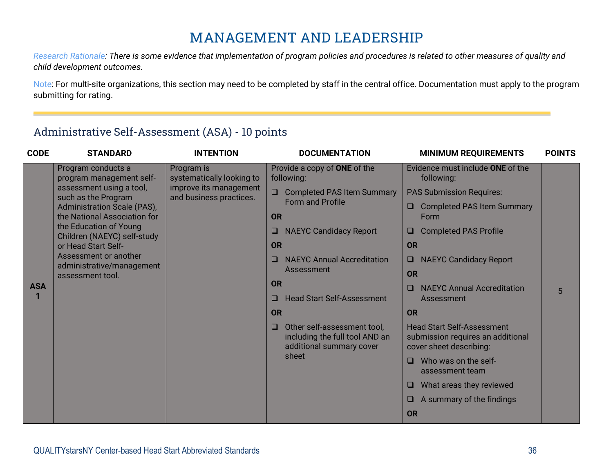## **MANAGEMENT AND LEADERSHIP**

*Research Rationale: There is some evidence that implementation of program policies and procedures is related to other measures of quality and child development outcomes.*

Note: For multi-site organizations, this section may need to be completed by staff in the central office. Documentation must apply to the program submitting for rating.

#### Administrative Self-Assessment (ASA) - 10 points

| <b>CODE</b> | <b>STANDARD</b>                                             | <b>INTENTION</b>                                  | <b>DOCUMENTATION</b>                        | <b>MINIMUM REQUIREMENTS</b>                                                                         | <b>POINTS</b>                                                                                     |  |
|-------------|-------------------------------------------------------------|---------------------------------------------------|---------------------------------------------|-----------------------------------------------------------------------------------------------------|---------------------------------------------------------------------------------------------------|--|
|             | Program conducts a<br>program management self-              | Program is<br>systematically looking to           | Provide a copy of ONE of the<br>following:  | Evidence must include ONE of the<br>following:                                                      |                                                                                                   |  |
|             | assessment using a tool,<br>such as the Program             | improve its management<br>and business practices. | <b>Completed PAS Item Summary</b>           | <b>PAS Submission Requires:</b>                                                                     |                                                                                                   |  |
|             | Administration Scale (PAS),<br>the National Association for |                                                   | <b>Form and Profile</b><br><b>OR</b>        | <b>Completed PAS Item Summary</b><br>$\Box$<br>Form                                                 |                                                                                                   |  |
|             | the Education of Young<br>Children (NAEYC) self-study       |                                                   | <b>NAEYC Candidacy Report</b><br>$\Box$     | <b>Completed PAS Profile</b><br>$\Box$                                                              |                                                                                                   |  |
|             | or Head Start Self-                                         |                                                   | <b>OR</b>                                   | <b>OR</b>                                                                                           |                                                                                                   |  |
|             | Assessment or another<br>administrative/management          |                                                   | <b>NAEYC Annual Accreditation</b><br>$\Box$ | <b>NAEYC Candidacy Report</b><br>$\Box$                                                             |                                                                                                   |  |
|             | assessment tool.                                            |                                                   | Assessment                                  | <b>OR</b>                                                                                           |                                                                                                   |  |
| <b>ASA</b>  |                                                             |                                                   | <b>OR</b>                                   | <b>NAEYC Annual Accreditation</b><br>$\Box$                                                         | 5                                                                                                 |  |
|             |                                                             |                                                   | <b>Head Start Self-Assessment</b><br>◻      | Assessment                                                                                          |                                                                                                   |  |
|             |                                                             |                                                   | <b>OR</b>                                   | <b>OR</b>                                                                                           |                                                                                                   |  |
|             |                                                             |                                                   |                                             | Other self-assessment tool,<br>$\Box$<br>including the full tool AND an<br>additional summary cover | <b>Head Start Self-Assessment</b><br>submission requires an additional<br>cover sheet describing: |  |
|             |                                                             |                                                   | sheet                                       | Who was on the self-<br>$\Box$<br>assessment team                                                   |                                                                                                   |  |
|             |                                                             |                                                   |                                             | What areas they reviewed<br>$\Box$                                                                  |                                                                                                   |  |
|             |                                                             |                                                   |                                             | A summary of the findings<br>$\Box$                                                                 |                                                                                                   |  |
|             |                                                             |                                                   |                                             | <b>OR</b>                                                                                           |                                                                                                   |  |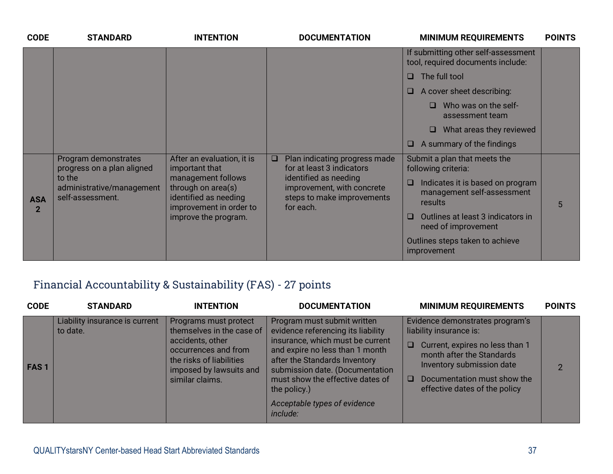| <b>CODE</b>                | <b>STANDARD</b>                                         | <b>INTENTION</b>                                                                                                     | <b>DOCUMENTATION</b>                                                                           | <b>MINIMUM REQUIREMENTS</b>                                                         | <b>POINTS</b> |
|----------------------------|---------------------------------------------------------|----------------------------------------------------------------------------------------------------------------------|------------------------------------------------------------------------------------------------|-------------------------------------------------------------------------------------|---------------|
|                            |                                                         |                                                                                                                      |                                                                                                | If submitting other self-assessment<br>tool, required documents include:            |               |
|                            |                                                         |                                                                                                                      |                                                                                                | The full tool                                                                       |               |
|                            |                                                         |                                                                                                                      |                                                                                                | $\Box$ A cover sheet describing:                                                    |               |
|                            |                                                         |                                                                                                                      |                                                                                                | Who was on the self-<br>assessment team                                             |               |
|                            |                                                         |                                                                                                                      |                                                                                                | What areas they reviewed<br>□                                                       |               |
|                            |                                                         |                                                                                                                      |                                                                                                | A summary of the findings<br><b>u</b>                                               |               |
|                            | Program demonstrates<br>progress on a plan aligned      | After an evaluation, it is<br>important that                                                                         | Plan indicating progress made<br>□<br>for at least 3 indicators                                | Submit a plan that meets the<br>following criteria:                                 |               |
| <b>ASA</b><br>$\mathbf{2}$ | to the<br>administrative/management<br>self-assessment. | management follows<br>through on area(s)<br>identified as needing<br>improvement in order to<br>improve the program. | identified as needing<br>improvement, with concrete<br>steps to make improvements<br>for each. | Indicates it is based on program<br>$\Box$<br>management self-assessment<br>results | 5             |
|                            |                                                         |                                                                                                                      |                                                                                                | Outlines at least 3 indicators in<br>□.<br>need of improvement                      |               |
|                            |                                                         |                                                                                                                      |                                                                                                | Outlines steps taken to achieve<br>improvement                                      |               |

## Financial Accountability & Sustainability (FAS) - 27 points

| <b>CODE</b> | <b>STANDARD</b>                            | <b>INTENTION</b>                                                                                                                                                         | <b>DOCUMENTATION</b>                                                                                                                                                                                                                                                                                         | <b>MINIMUM REQUIREMENTS</b>                                                                                                                                                                                                                 | <b>POINTS</b> |
|-------------|--------------------------------------------|--------------------------------------------------------------------------------------------------------------------------------------------------------------------------|--------------------------------------------------------------------------------------------------------------------------------------------------------------------------------------------------------------------------------------------------------------------------------------------------------------|---------------------------------------------------------------------------------------------------------------------------------------------------------------------------------------------------------------------------------------------|---------------|
| <b>FAS1</b> | Liability insurance is current<br>to date. | Programs must protect<br>themselves in the case of<br>accidents, other<br>occurrences and from<br>the risks of liabilities<br>imposed by lawsuits and<br>similar claims. | Program must submit written<br>evidence referencing its liability<br>insurance, which must be current<br>and expire no less than 1 month<br>after the Standards Inventory<br>submission date. (Documentation<br>must show the effective dates of<br>the policy.)<br>Acceptable types of evidence<br>include: | Evidence demonstrates program's<br>liability insurance is:<br>Current, expires no less than 1<br>$\Box$<br>month after the Standards<br>Inventory submission date<br>Documentation must show the<br>$\Box$<br>effective dates of the policy | $\mathcal{P}$ |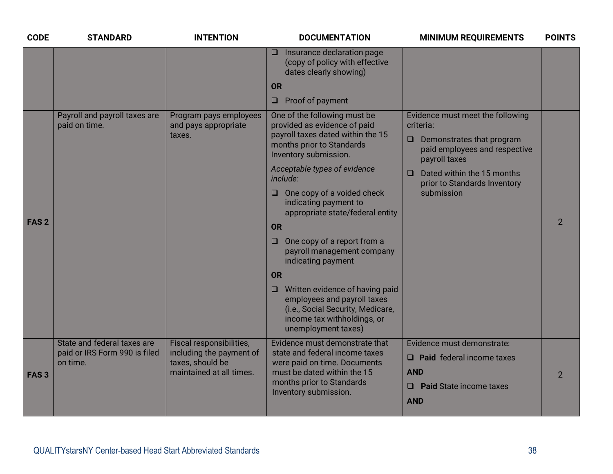| <b>CODE</b>      | <b>STANDARD</b>                                                          | <b>INTENTION</b>                                                                                     | <b>DOCUMENTATION</b>                                                                                                                                                                                                                                                                                                                                                                                                                                                                           | <b>MINIMUM REQUIREMENTS</b>                                                                                                                                                                                                  | <b>POINTS</b>  |
|------------------|--------------------------------------------------------------------------|------------------------------------------------------------------------------------------------------|------------------------------------------------------------------------------------------------------------------------------------------------------------------------------------------------------------------------------------------------------------------------------------------------------------------------------------------------------------------------------------------------------------------------------------------------------------------------------------------------|------------------------------------------------------------------------------------------------------------------------------------------------------------------------------------------------------------------------------|----------------|
|                  |                                                                          |                                                                                                      | $\Box$ Insurance declaration page<br>(copy of policy with effective<br>dates clearly showing)<br><b>OR</b>                                                                                                                                                                                                                                                                                                                                                                                     |                                                                                                                                                                                                                              |                |
|                  |                                                                          |                                                                                                      | $\Box$ Proof of payment                                                                                                                                                                                                                                                                                                                                                                                                                                                                        |                                                                                                                                                                                                                              |                |
| FAS <sub>2</sub> | Payroll and payroll taxes are<br>paid on time.                           | Program pays employees<br>and pays appropriate<br>taxes.                                             | One of the following must be<br>provided as evidence of paid<br>payroll taxes dated within the 15<br>months prior to Standards<br>Inventory submission.<br>Acceptable types of evidence<br>include:<br>$\Box$ One copy of a voided check<br>indicating payment to<br>appropriate state/federal entity<br>OR<br>One copy of a report from a<br>$\Box$<br>payroll management company<br>indicating payment<br><b>OR</b><br>$\Box$ Written evidence of having paid<br>employees and payroll taxes | Evidence must meet the following<br>criteria:<br>Demonstrates that program<br>$\Box$<br>paid employees and respective<br>payroll taxes<br>Dated within the 15 months<br>$\Box$<br>prior to Standards Inventory<br>submission | $\overline{2}$ |
|                  |                                                                          |                                                                                                      | (i.e., Social Security, Medicare,<br>income tax withholdings, or<br>unemployment taxes)                                                                                                                                                                                                                                                                                                                                                                                                        |                                                                                                                                                                                                                              |                |
| FAS <sub>3</sub> | State and federal taxes are<br>paid or IRS Form 990 is filed<br>on time. | Fiscal responsibilities,<br>including the payment of<br>taxes, should be<br>maintained at all times. | Evidence must demonstrate that<br>state and federal income taxes<br>were paid on time. Documents<br>must be dated within the 15<br>months prior to Standards<br>Inventory submission.                                                                                                                                                                                                                                                                                                          | Evidence must demonstrate:<br>$\Box$ Paid federal income taxes<br><b>AND</b><br><b>Paid State income taxes</b><br>$\Box$<br><b>AND</b>                                                                                       | $\overline{2}$ |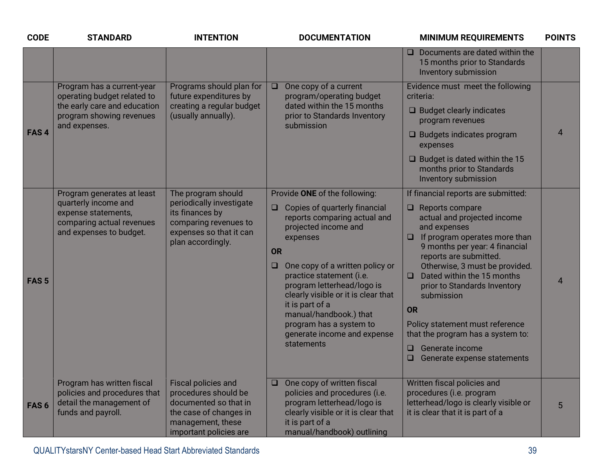| <b>CODE</b>      | <b>STANDARD</b>                                                                                                                        | <b>INTENTION</b>                                                                                                                              | <b>DOCUMENTATION</b>                                                                                                                                                                                                                                                                                                                                                                                                         | <b>MINIMUM REQUIREMENTS</b>                                                                                                                                                                                                                                                                                                                                                                                                                                                                         | <b>POINTS</b>  |
|------------------|----------------------------------------------------------------------------------------------------------------------------------------|-----------------------------------------------------------------------------------------------------------------------------------------------|------------------------------------------------------------------------------------------------------------------------------------------------------------------------------------------------------------------------------------------------------------------------------------------------------------------------------------------------------------------------------------------------------------------------------|-----------------------------------------------------------------------------------------------------------------------------------------------------------------------------------------------------------------------------------------------------------------------------------------------------------------------------------------------------------------------------------------------------------------------------------------------------------------------------------------------------|----------------|
|                  |                                                                                                                                        |                                                                                                                                               |                                                                                                                                                                                                                                                                                                                                                                                                                              | Documents are dated within the<br>$\Box$<br>15 months prior to Standards<br>Inventory submission                                                                                                                                                                                                                                                                                                                                                                                                    |                |
| FAS <sub>4</sub> | Program has a current-year<br>operating budget related to<br>the early care and education<br>program showing revenues<br>and expenses. | Programs should plan for<br>future expenditures by<br>creating a regular budget<br>(usually annually).                                        | One copy of a current<br>$\Box$<br>program/operating budget<br>dated within the 15 months<br>prior to Standards Inventory<br>submission                                                                                                                                                                                                                                                                                      | Evidence must meet the following<br>criteria:<br>$\Box$ Budget clearly indicates<br>program revenues<br>$\Box$ Budgets indicates program<br>expenses<br>$\Box$ Budget is dated within the 15<br>months prior to Standards<br>Inventory submission                                                                                                                                                                                                                                                   | $\overline{4}$ |
| FAS <sub>5</sub> | Program generates at least<br>quarterly income and<br>expense statements,<br>comparing actual revenues<br>and expenses to budget.      | The program should<br>periodically investigate<br>its finances by<br>comparing revenues to<br>expenses so that it can<br>plan accordingly.    | Provide ONE of the following:<br>Copies of quarterly financial<br>$\Box$<br>reports comparing actual and<br>projected income and<br>expenses<br><b>OR</b><br>One copy of a written policy or<br>$\Box$<br>practice statement (i.e.<br>program letterhead/logo is<br>clearly visible or it is clear that<br>it is part of a<br>manual/handbook.) that<br>program has a system to<br>generate income and expense<br>statements | If financial reports are submitted:<br>$\Box$ Reports compare<br>actual and projected income<br>and expenses<br>If program operates more than<br>$\Box$<br>9 months per year: 4 financial<br>reports are submitted.<br>Otherwise, 3 must be provided.<br>Dated within the 15 months<br>$\Box$<br>prior to Standards Inventory<br>submission<br><b>OR</b><br>Policy statement must reference<br>that the program has a system to:<br>$\Box$ Generate income<br>$\Box$<br>Generate expense statements | 4              |
| FAS <sub>6</sub> | Program has written fiscal<br>policies and procedures that<br>detail the management of<br>funds and payroll.                           | Fiscal policies and<br>procedures should be<br>documented so that in<br>the case of changes in<br>management, these<br>important policies are | One copy of written fiscal<br>$\Box$<br>policies and procedures (i.e.<br>program letterhead/logo is<br>clearly visible or it is clear that<br>it is part of a<br>manual/handbook) outlining                                                                                                                                                                                                                                  | Written fiscal policies and<br>procedures (i.e. program<br>letterhead/logo is clearly visible or<br>it is clear that it is part of a                                                                                                                                                                                                                                                                                                                                                                | 5              |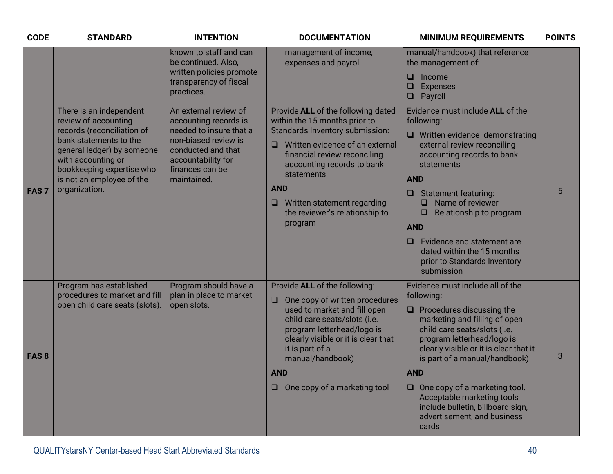| <b>CODE</b>      | <b>STANDARD</b>                                                                                                                                                                                                                        | <b>INTENTION</b>                                                                                                                                                                | <b>DOCUMENTATION</b>                                                                                                                                                                                                                                                                                                             | <b>MINIMUM REQUIREMENTS</b>                                                                                                                                                                                                                                                                                                                                                                                                   | <b>POINTS</b> |
|------------------|----------------------------------------------------------------------------------------------------------------------------------------------------------------------------------------------------------------------------------------|---------------------------------------------------------------------------------------------------------------------------------------------------------------------------------|----------------------------------------------------------------------------------------------------------------------------------------------------------------------------------------------------------------------------------------------------------------------------------------------------------------------------------|-------------------------------------------------------------------------------------------------------------------------------------------------------------------------------------------------------------------------------------------------------------------------------------------------------------------------------------------------------------------------------------------------------------------------------|---------------|
|                  |                                                                                                                                                                                                                                        | known to staff and can<br>be continued. Also,<br>written policies promote<br>transparency of fiscal<br>practices.                                                               | management of income,<br>expenses and payroll                                                                                                                                                                                                                                                                                    | manual/handbook) that reference<br>the management of:<br>$\Box$ Income<br>$\Box$ Expenses<br><b>Q</b> Payroll                                                                                                                                                                                                                                                                                                                 |               |
| FAS <sub>7</sub> | There is an independent<br>review of accounting<br>records (reconciliation of<br>bank statements to the<br>general ledger) by someone<br>with accounting or<br>bookkeeping expertise who<br>is not an employee of the<br>organization. | An external review of<br>accounting records is<br>needed to insure that a<br>non-biased review is<br>conducted and that<br>accountability for<br>finances can be<br>maintained. | Provide ALL of the following dated<br>within the 15 months prior to<br>Standards Inventory submission:<br>Written evidence of an external<br>$\Box$<br>financial review reconciling<br>accounting records to bank<br>statements<br><b>AND</b><br>$\Box$ Written statement regarding<br>the reviewer's relationship to<br>program | Evidence must include ALL of the<br>following:<br>$\Box$ Written evidence demonstrating<br>external review reconciling<br>accounting records to bank<br>statements<br><b>AND</b><br><b>Statement featuring:</b><br>$\Box$<br>Name of reviewer<br>$\Box$<br>Relationship to program<br>$\Box$<br><b>AND</b><br>Evidence and statement are<br>dated within the 15 months<br>prior to Standards Inventory<br>submission          | 5             |
| FAS <sub>8</sub> | Program has established<br>procedures to market and fill<br>open child care seats (slots).                                                                                                                                             | Program should have a<br>plan in place to market<br>open slots.                                                                                                                 | Provide ALL of the following:<br>$\Box$ One copy of written procedures<br>used to market and fill open<br>child care seats/slots (i.e.<br>program letterhead/logo is<br>clearly visible or it is clear that<br>it is part of a<br>manual/handbook)<br><b>AND</b><br>One copy of a marketing tool<br>$\Box$                       | Evidence must include all of the<br>following:<br>$\Box$ Procedures discussing the<br>marketing and filling of open<br>child care seats/slots (i.e.<br>program letterhead/logo is<br>clearly visible or it is clear that it<br>is part of a manual/handbook)<br><b>AND</b><br>$\Box$ One copy of a marketing tool.<br>Acceptable marketing tools<br>include bulletin, billboard sign,<br>advertisement, and business<br>cards | 3             |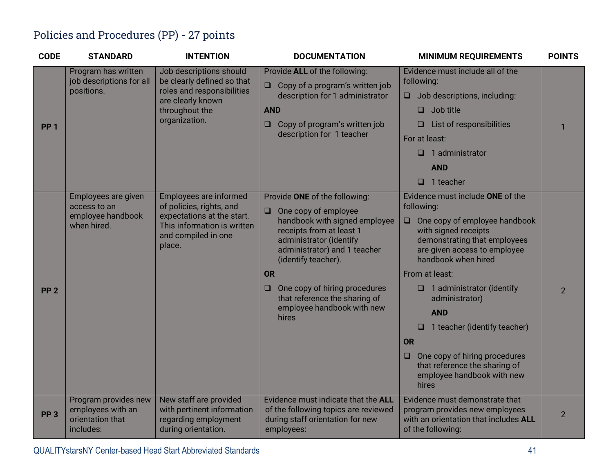## Policies and Procedures (PP) - 27 points

| <b>CODE</b>     | <b>STANDARD</b>                                                                   | <b>INTENTION</b>                                                                                    | <b>DOCUMENTATION</b>                                                                                                                                                          | <b>MINIMUM REQUIREMENTS</b>                                                                                                                            | <b>POINTS</b>  |
|-----------------|-----------------------------------------------------------------------------------|-----------------------------------------------------------------------------------------------------|-------------------------------------------------------------------------------------------------------------------------------------------------------------------------------|--------------------------------------------------------------------------------------------------------------------------------------------------------|----------------|
|                 | Program has written<br>job descriptions for all                                   | Job descriptions should<br>be clearly defined so that                                               | Provide ALL of the following:                                                                                                                                                 | Evidence must include all of the<br>following:                                                                                                         |                |
|                 | positions.                                                                        | roles and responsibilities                                                                          | Copy of a program's written job<br>$\Box$<br>description for 1 administrator                                                                                                  | Job descriptions, including:<br>$\Box$                                                                                                                 |                |
|                 |                                                                                   | are clearly known<br>throughout the                                                                 | <b>AND</b>                                                                                                                                                                    | Job title<br>□                                                                                                                                         |                |
| <b>PP 1</b>     |                                                                                   | organization.                                                                                       | Copy of program's written job<br>$\Box$                                                                                                                                       | List of responsibilities<br>□                                                                                                                          | $\mathbf 1$    |
|                 |                                                                                   |                                                                                                     | description for 1 teacher                                                                                                                                                     | For at least:                                                                                                                                          |                |
|                 |                                                                                   |                                                                                                     |                                                                                                                                                                               | 1 administrator<br>◻                                                                                                                                   |                |
|                 |                                                                                   |                                                                                                     |                                                                                                                                                                               | <b>AND</b>                                                                                                                                             |                |
|                 |                                                                                   |                                                                                                     |                                                                                                                                                                               | ◻<br>1 teacher                                                                                                                                         |                |
|                 | Employees are given<br>access to an<br>employee handbook<br>when hired.<br>place. | Employees are informed<br>of policies, rights, and                                                  | Provide ONE of the following:                                                                                                                                                 | Evidence must include ONE of the<br>following:                                                                                                         |                |
|                 |                                                                                   | expectations at the start.<br>This information is written<br>and compiled in one                    | One copy of employee<br>$\Box$<br>handbook with signed employee<br>receipts from at least 1<br>administrator (identify<br>administrator) and 1 teacher<br>(identify teacher). | One copy of employee handbook<br>$\Box$<br>with signed receipts<br>demonstrating that employees<br>are given access to employee<br>handbook when hired |                |
|                 |                                                                                   |                                                                                                     | <b>OR</b>                                                                                                                                                                     | From at least:                                                                                                                                         |                |
| PP <sub>2</sub> |                                                                                   |                                                                                                     | One copy of hiring procedures<br>$\Box$<br>that reference the sharing of                                                                                                      | $\Box$ 1 administrator (identify<br>administrator)                                                                                                     | $\overline{2}$ |
|                 |                                                                                   |                                                                                                     | employee handbook with new<br>hires                                                                                                                                           | <b>AND</b>                                                                                                                                             |                |
|                 |                                                                                   |                                                                                                     |                                                                                                                                                                               | 1 teacher (identify teacher)<br>o                                                                                                                      |                |
|                 |                                                                                   |                                                                                                     |                                                                                                                                                                               | <b>OR</b>                                                                                                                                              |                |
|                 |                                                                                   |                                                                                                     |                                                                                                                                                                               | One copy of hiring procedures<br>u<br>that reference the sharing of<br>employee handbook with new<br>hires                                             |                |
| PP <sub>3</sub> | Program provides new<br>employees with an<br>orientation that<br>includes:        | New staff are provided<br>with pertinent information<br>regarding employment<br>during orientation. | Evidence must indicate that the ALL<br>of the following topics are reviewed<br>during staff orientation for new<br>employees:                                                 | Evidence must demonstrate that<br>program provides new employees<br>with an orientation that includes ALL<br>of the following:                         | $\overline{2}$ |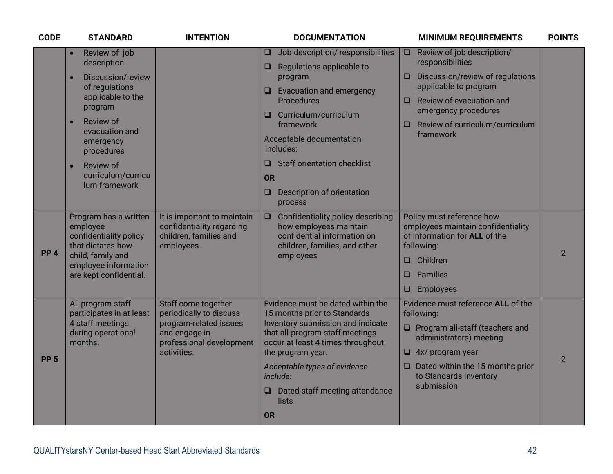| <b>CODE</b>     | <b>STANDARD</b>                                                                                                                                                                                                                                          | <b>INTENTION</b>                                                                                                                     | <b>DOCUMENTATION</b>                                                                                                                                                                                                                                                                                                                              | <b>MINIMUM REQUIREMENTS</b>                                                                                                                                                                                                                   | <b>POINTS</b>  |
|-----------------|----------------------------------------------------------------------------------------------------------------------------------------------------------------------------------------------------------------------------------------------------------|--------------------------------------------------------------------------------------------------------------------------------------|---------------------------------------------------------------------------------------------------------------------------------------------------------------------------------------------------------------------------------------------------------------------------------------------------------------------------------------------------|-----------------------------------------------------------------------------------------------------------------------------------------------------------------------------------------------------------------------------------------------|----------------|
|                 | Review of job<br>$\bullet$<br>description<br>Discussion/review<br>of regulations<br>applicable to the<br>program<br>Review of<br>$\bullet$<br>evacuation and<br>emergency<br>procedures<br>Review of<br>$\bullet$<br>curriculum/curricu<br>lum framework |                                                                                                                                      | Job description/responsibilities<br>O<br>Regulations applicable to<br>$\Box$<br>program<br><b>Evacuation and emergency</b><br>$\Box$<br>Procedures<br>Curriculum/curriculum<br>$\Box$<br>framework<br>Acceptable documentation<br>includes:<br>$\Box$ Staff orientation checklist<br><b>OR</b><br>Description of orientation<br>$\Box$<br>process | Review of job description/<br>$\Box$<br>responsibilities<br>Discussion/review of regulations<br>applicable to program<br>Review of evacuation and<br>$\Box$<br>emergency procedures<br>Review of curriculum/curriculum<br>$\Box$<br>framework |                |
| PP <sub>4</sub> | Program has a written<br>employee<br>confidentiality policy<br>that dictates how<br>child, family and<br>employee information<br>are kept confidential.                                                                                                  | It is important to maintain<br>confidentiality regarding<br>children, families and<br>employees.                                     | Confidentiality policy describing<br>$\Box$<br>how employees maintain<br>confidential information on<br>children, families, and other<br>employees                                                                                                                                                                                                | Policy must reference how<br>employees maintain confidentiality<br>of information for ALL of the<br>following:<br>Children<br>$\Box$<br>Families<br>$\Box$<br><b>Employees</b><br>□                                                           | $\overline{2}$ |
| PP <sub>5</sub> | All program staff<br>participates in at least<br>4 staff meetings<br>during operational<br>months.                                                                                                                                                       | Staff come together<br>periodically to discuss<br>program-related issues<br>and engage in<br>professional development<br>activities. | Evidence must be dated within the<br>15 months prior to Standards<br>Inventory submission and indicate<br>that all-program staff meetings<br>occur at least 4 times throughout<br>the program year.<br>Acceptable types of evidence<br>include:<br>$\Box$ Dated staff meeting attendance<br>lists<br><b>OR</b>                                    | Evidence must reference ALL of the<br>following:<br>$\Box$ Program all-staff (teachers and<br>administrators) meeting<br>$\Box$ 4x/ program year<br>$\Box$ Dated within the 15 months prior<br>to Standards Inventory<br>submission           | $\overline{2}$ |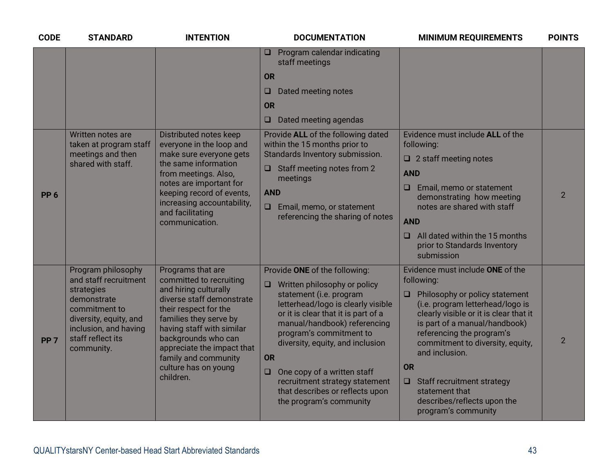| <b>CODE</b>     | <b>STANDARD</b>                                                                                                                                                                 | <b>INTENTION</b>                                                                                                                                                                                                                                                                                     | <b>DOCUMENTATION</b>                                                                                                                                                                                                                                                                                                                                                                                                                 | <b>MINIMUM REQUIREMENTS</b>                                                                                                                                                                                                                                                                                                                                                                                     | <b>POINTS</b>  |
|-----------------|---------------------------------------------------------------------------------------------------------------------------------------------------------------------------------|------------------------------------------------------------------------------------------------------------------------------------------------------------------------------------------------------------------------------------------------------------------------------------------------------|--------------------------------------------------------------------------------------------------------------------------------------------------------------------------------------------------------------------------------------------------------------------------------------------------------------------------------------------------------------------------------------------------------------------------------------|-----------------------------------------------------------------------------------------------------------------------------------------------------------------------------------------------------------------------------------------------------------------------------------------------------------------------------------------------------------------------------------------------------------------|----------------|
|                 |                                                                                                                                                                                 |                                                                                                                                                                                                                                                                                                      | $\Box$ Program calendar indicating<br>staff meetings<br><b>OR</b><br>Dated meeting notes<br>$\Box$<br><b>OR</b><br>Dated meeting agendas<br>$\Box$                                                                                                                                                                                                                                                                                   |                                                                                                                                                                                                                                                                                                                                                                                                                 |                |
| PP <sub>6</sub> | Written notes are<br>taken at program staff<br>meetings and then<br>shared with staff.                                                                                          | Distributed notes keep<br>everyone in the loop and<br>make sure everyone gets<br>the same information<br>from meetings. Also,<br>notes are important for<br>keeping record of events,<br>increasing accountability,<br>and facilitating<br>communication.                                            | Provide ALL of the following dated<br>within the 15 months prior to<br>Standards Inventory submission.<br>$\Box$ Staff meeting notes from 2<br>meetings<br><b>AND</b><br>$\Box$<br>Email, memo, or statement<br>referencing the sharing of notes                                                                                                                                                                                     | Evidence must include ALL of the<br>following:<br>$\Box$ 2 staff meeting notes<br><b>AND</b><br>Email, memo or statement<br>$\Box$<br>demonstrating how meeting<br>notes are shared with staff<br><b>AND</b><br>All dated within the 15 months<br>$\Box$<br>prior to Standards Inventory<br>submission                                                                                                          | $\overline{2}$ |
| PP <sub>7</sub> | Program philosophy<br>and staff recruitment<br>strategies<br>demonstrate<br>commitment to<br>diversity, equity, and<br>inclusion, and having<br>staff reflect its<br>community. | Programs that are<br>committed to recruiting<br>and hiring culturally<br>diverse staff demonstrate<br>their respect for the<br>families they serve by<br>having staff with similar<br>backgrounds who can<br>appreciate the impact that<br>family and community<br>culture has on young<br>children. | Provide ONE of the following:<br>Written philosophy or policy<br>$\Box$<br>statement (i.e. program<br>letterhead/logo is clearly visible<br>or it is clear that it is part of a<br>manual/handbook) referencing<br>program's commitment to<br>diversity, equity, and inclusion<br><b>OR</b><br>One copy of a written staff<br>$\Box$<br>recruitment strategy statement<br>that describes or reflects upon<br>the program's community | Evidence must include ONE of the<br>following:<br>Philosophy or policy statement<br>$\Box$<br>(i.e. program letterhead/logo is<br>clearly visible or it is clear that it<br>is part of a manual/handbook)<br>referencing the program's<br>commitment to diversity, equity,<br>and inclusion.<br>OR<br>$\Box$ Staff recruitment strategy<br>statement that<br>describes/reflects upon the<br>program's community | $\overline{2}$ |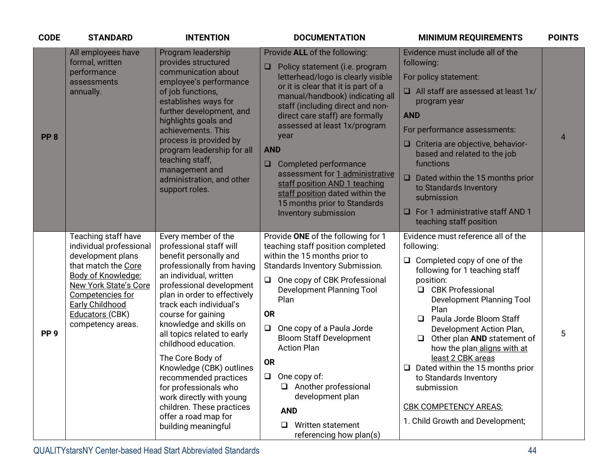| <b>CODE</b>     | <b>STANDARD</b>                                                                                                                                                                                                                               | <b>INTENTION</b>                                                                                                                                                                                                                                                                                                                                                                                                                                                                                                                          | <b>DOCUMENTATION</b>                                                                                                                                                                                                                                                                                                                                                                                                                                                                                                  | <b>MINIMUM REQUIREMENTS</b>                                                                                                                                                                                                                                                                                                                                                                                                                                                                                       | <b>POINTS</b>  |
|-----------------|-----------------------------------------------------------------------------------------------------------------------------------------------------------------------------------------------------------------------------------------------|-------------------------------------------------------------------------------------------------------------------------------------------------------------------------------------------------------------------------------------------------------------------------------------------------------------------------------------------------------------------------------------------------------------------------------------------------------------------------------------------------------------------------------------------|-----------------------------------------------------------------------------------------------------------------------------------------------------------------------------------------------------------------------------------------------------------------------------------------------------------------------------------------------------------------------------------------------------------------------------------------------------------------------------------------------------------------------|-------------------------------------------------------------------------------------------------------------------------------------------------------------------------------------------------------------------------------------------------------------------------------------------------------------------------------------------------------------------------------------------------------------------------------------------------------------------------------------------------------------------|----------------|
| PP <sub>8</sub> | All employees have<br>formal, written<br>performance<br>assessments<br>annually.                                                                                                                                                              | Program leadership<br>provides structured<br>communication about<br>employee's performance<br>of job functions,<br>establishes ways for<br>further development, and<br>highlights goals and<br>achievements. This<br>process is provided by<br>program leadership for all<br>teaching staff,<br>management and<br>administration, and other<br>support roles.                                                                                                                                                                             | Provide ALL of the following:<br>Policy statement (i.e. program<br>❏<br>letterhead/logo is clearly visible<br>or it is clear that it is part of a<br>manual/handbook) indicating all<br>staff (including direct and non-<br>direct care staff) are formally<br>assessed at least 1x/program<br>year<br><b>AND</b><br>Completed performance<br>□<br>assessment for 1 administrative<br>staff position AND 1 teaching<br>staff position dated within the<br>15 months prior to Standards<br><b>Inventory submission</b> | Evidence must include all of the<br>following:<br>For policy statement:<br>$\Box$ All staff are assessed at least 1x/<br>program year<br><b>AND</b><br>For performance assessments:<br>□ Criteria are objective, behavior-<br>based and related to the job<br>functions<br>$\Box$<br>Dated within the 15 months prior<br>to Standards Inventory<br>submission<br>$\Box$ For 1 administrative staff AND 1<br>teaching staff position                                                                               | $\overline{4}$ |
| PP <sub>9</sub> | Teaching staff have<br>individual professional<br>development plans<br>that match the Core<br><b>Body of Knowledge:</b><br><b>New York State's Core</b><br>Competencies for<br><b>Early Childhood</b><br>Educators (CBK)<br>competency areas. | Every member of the<br>professional staff will<br>benefit personally and<br>professionally from having<br>an individual, written<br>professional development<br>plan in order to effectively<br>track each individual's<br>course for gaining<br>knowledge and skills on<br>all topics related to early<br>childhood education.<br>The Core Body of<br>Knowledge (CBK) outlines<br>recommended practices<br>for professionals who<br>work directly with young<br>children. These practices<br>offer a road map for<br>building meaningful | Provide ONE of the following for 1<br>teaching staff position completed<br>within the 15 months prior to<br>Standards Inventory Submission.<br>One copy of CBK Professional<br>$\Box$<br><b>Development Planning Tool</b><br>Plan<br><b>OR</b><br>One copy of a Paula Jorde<br><b>Bloom Staff Development</b><br><b>Action Plan</b><br><b>OR</b><br>$\Box$ One copy of:<br>$\Box$ Another professional<br>development plan<br><b>AND</b><br>Written statement<br>□.<br>referencing how plan(s)                        | Evidence must reference all of the<br>following:<br>$\Box$ Completed copy of one of the<br>following for 1 teaching staff<br>position:<br>□ CBK Professional<br>Development Planning Tool<br>Plan<br>Paula Jorde Bloom Staff<br>□<br>Development Action Plan,<br>Other plan AND statement of<br>$\Box$<br>how the plan aligns with at<br>least 2 CBK areas<br>$\Box$ Dated within the 15 months prior<br>to Standards Inventory<br>submission<br><b>CBK COMPETENCY AREAS:</b><br>1. Child Growth and Development; | 5              |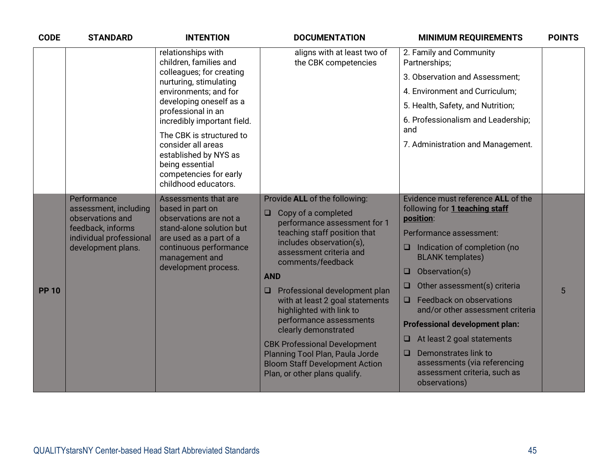| <b>CODE</b>  | <b>STANDARD</b>                                                                                                                                                                                                                                                      | <b>INTENTION</b>                                                                                                                                                                        | <b>DOCUMENTATION</b>                                                                                                                                                                    | <b>MINIMUM REQUIREMENTS</b>                                                                                | <b>POINTS</b> |
|--------------|----------------------------------------------------------------------------------------------------------------------------------------------------------------------------------------------------------------------------------------------------------------------|-----------------------------------------------------------------------------------------------------------------------------------------------------------------------------------------|-----------------------------------------------------------------------------------------------------------------------------------------------------------------------------------------|------------------------------------------------------------------------------------------------------------|---------------|
|              |                                                                                                                                                                                                                                                                      | relationships with<br>children, families and                                                                                                                                            | aligns with at least two of<br>the CBK competencies                                                                                                                                     | 2. Family and Community<br>Partnerships;                                                                   |               |
|              |                                                                                                                                                                                                                                                                      | colleagues; for creating<br>nurturing, stimulating<br>environments; and for<br>developing oneself as a<br>professional in an<br>incredibly important field.<br>The CBK is structured to |                                                                                                                                                                                         | 3. Observation and Assessment;                                                                             |               |
|              |                                                                                                                                                                                                                                                                      |                                                                                                                                                                                         |                                                                                                                                                                                         | 4. Environment and Curriculum;                                                                             |               |
|              |                                                                                                                                                                                                                                                                      |                                                                                                                                                                                         |                                                                                                                                                                                         | 5. Health, Safety, and Nutrition;                                                                          |               |
|              |                                                                                                                                                                                                                                                                      |                                                                                                                                                                                         |                                                                                                                                                                                         | 6. Professionalism and Leadership;<br>and                                                                  |               |
|              |                                                                                                                                                                                                                                                                      | consider all areas<br>established by NYS as<br>being essential<br>competencies for early<br>childhood educators.                                                                        |                                                                                                                                                                                         | 7. Administration and Management.                                                                          |               |
|              | Performance                                                                                                                                                                                                                                                          | Assessments that are                                                                                                                                                                    | Provide ALL of the following:                                                                                                                                                           | Evidence must reference <b>ALL</b> of the                                                                  |               |
|              | assessment, including<br>observations and<br>observations are not a<br>feedback, informs<br>stand-alone solution but<br>individual professional<br>are used as a part of a<br>continuous performance<br>development plans.<br>management and<br>development process. | based in part on                                                                                                                                                                        | Copy of a completed<br>$\Box$<br>performance assessment for 1<br>teaching staff position that<br>includes observation(s),<br>assessment criteria and<br>comments/feedback<br><b>AND</b> | following for 1 teaching staff<br>position:                                                                |               |
|              |                                                                                                                                                                                                                                                                      |                                                                                                                                                                                         |                                                                                                                                                                                         | Performance assessment:                                                                                    |               |
|              |                                                                                                                                                                                                                                                                      |                                                                                                                                                                                         |                                                                                                                                                                                         | Indication of completion (no<br>❏<br><b>BLANK templates)</b>                                               |               |
|              |                                                                                                                                                                                                                                                                      |                                                                                                                                                                                         |                                                                                                                                                                                         | Observation(s)<br>$\Box$                                                                                   |               |
| <b>PP 10</b> |                                                                                                                                                                                                                                                                      |                                                                                                                                                                                         | Professional development plan<br>$\Box$                                                                                                                                                 | Other assessment(s) criteria<br>$\Box$                                                                     | 5             |
|              |                                                                                                                                                                                                                                                                      | with at least 2 goal statements<br>highlighted with link to                                                                                                                             | Feedback on observations<br>$\Box$<br>and/or other assessment criteria                                                                                                                  |                                                                                                            |               |
|              |                                                                                                                                                                                                                                                                      |                                                                                                                                                                                         | performance assessments<br>clearly demonstrated                                                                                                                                         | <b>Professional development plan:</b>                                                                      |               |
|              |                                                                                                                                                                                                                                                                      |                                                                                                                                                                                         | <b>CBK Professional Development</b>                                                                                                                                                     | At least 2 goal statements<br>ᄆ                                                                            |               |
|              |                                                                                                                                                                                                                                                                      |                                                                                                                                                                                         | Planning Tool Plan, Paula Jorde<br><b>Bloom Staff Development Action</b><br>Plan, or other plans qualify.                                                                               | Demonstrates link to<br>O<br>assessments (via referencing<br>assessment criteria, such as<br>observations) |               |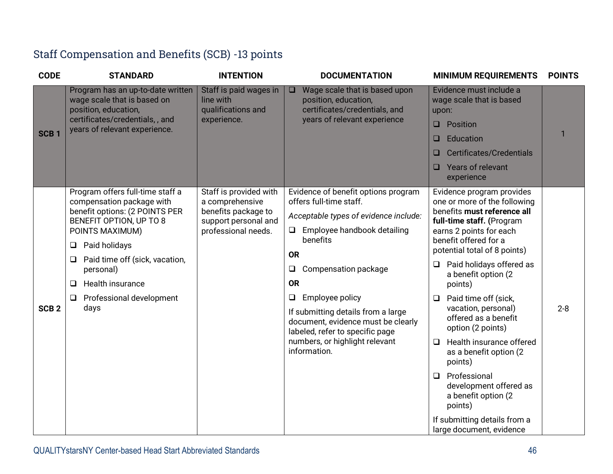| Staff Compensation and Benefits (SCB) -13 points |  |  |  |
|--------------------------------------------------|--|--|--|
|--------------------------------------------------|--|--|--|

| <b>CODE</b>      | <b>STANDARD</b>                                                                                                                                                                                                                                                                                            | <b>INTENTION</b>                                                                                                | <b>DOCUMENTATION</b>                                                                                                                                                                                                                                                                                                                                                                                                   | <b>MINIMUM REQUIREMENTS</b>                                                                                                                                                                                                                                                                                                                                                                                                                                                                                                                                                                            | <b>POINTS</b> |
|------------------|------------------------------------------------------------------------------------------------------------------------------------------------------------------------------------------------------------------------------------------------------------------------------------------------------------|-----------------------------------------------------------------------------------------------------------------|------------------------------------------------------------------------------------------------------------------------------------------------------------------------------------------------------------------------------------------------------------------------------------------------------------------------------------------------------------------------------------------------------------------------|--------------------------------------------------------------------------------------------------------------------------------------------------------------------------------------------------------------------------------------------------------------------------------------------------------------------------------------------------------------------------------------------------------------------------------------------------------------------------------------------------------------------------------------------------------------------------------------------------------|---------------|
| SCB <sub>1</sub> | Program has an up-to-date written<br>wage scale that is based on<br>position, education,<br>certificates/credentials,, and<br>years of relevant experience.                                                                                                                                                | Staff is paid wages in<br>line with<br>qualifications and<br>experience.                                        | Wage scale that is based upon<br>$\Box$<br>position, education,<br>certificates/credentials, and<br>years of relevant experience                                                                                                                                                                                                                                                                                       | Evidence must include a<br>wage scale that is based<br>upon:<br>Position<br>$\Box$<br>Education<br>□<br>Certificates/Credentials<br>ш<br>Years of relevant<br>⊔<br>experience                                                                                                                                                                                                                                                                                                                                                                                                                          | 1             |
| SCB <sub>2</sub> | Program offers full-time staff a<br>compensation package with<br>benefit options: (2 POINTS PER<br>BENEFIT OPTION, UP TO 8<br>POINTS MAXIMUM)<br>Paid holidays<br>❏<br>Paid time off (sick, vacation,<br>Q<br>personal)<br><b>Health insurance</b><br>$\Box$<br>Professional development<br>$\Box$<br>days | Staff is provided with<br>a comprehensive<br>benefits package to<br>support personal and<br>professional needs. | Evidence of benefit options program<br>offers full-time staff.<br>Acceptable types of evidence include:<br>Employee handbook detailing<br>$\Box$<br>benefits<br><b>OR</b><br>Compensation package<br>$\Box$<br><b>OR</b><br>Employee policy<br>$\Box$<br>If submitting details from a large<br>document, evidence must be clearly<br>labeled, refer to specific page<br>numbers, or highlight relevant<br>information. | Evidence program provides<br>one or more of the following<br>benefits must reference all<br>full-time staff. (Program<br>earns 2 points for each<br>benefit offered for a<br>potential total of 8 points)<br>Paid holidays offered as<br>⊔<br>a benefit option (2<br>points)<br>Paid time off (sick,<br>□<br>vacation, personal)<br>offered as a benefit<br>option (2 points)<br>Health insurance offered<br>□<br>as a benefit option (2)<br>points)<br>Professional<br>$\Box$<br>development offered as<br>a benefit option (2<br>points)<br>If submitting details from a<br>large document, evidence | $2 - 8$       |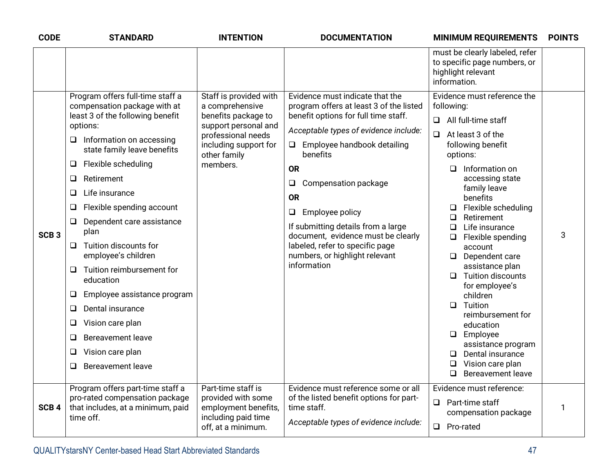| <b>CODE</b>      | <b>STANDARD</b>                                                                                                                                                                                                                                                                                                                                                                                                                                                                                                                                                                                                                                                 | <b>INTENTION</b>                                                                                                                                                    | <b>DOCUMENTATION</b>                                                                                                                                                                                                                                                                                                                                                                                                                                                      | <b>MINIMUM REQUIREMENTS</b>                                                                                                                                                                                                                                                                                                                                                                                                                                                                                                                                                                                                                                 | <b>POINTS</b> |
|------------------|-----------------------------------------------------------------------------------------------------------------------------------------------------------------------------------------------------------------------------------------------------------------------------------------------------------------------------------------------------------------------------------------------------------------------------------------------------------------------------------------------------------------------------------------------------------------------------------------------------------------------------------------------------------------|---------------------------------------------------------------------------------------------------------------------------------------------------------------------|---------------------------------------------------------------------------------------------------------------------------------------------------------------------------------------------------------------------------------------------------------------------------------------------------------------------------------------------------------------------------------------------------------------------------------------------------------------------------|-------------------------------------------------------------------------------------------------------------------------------------------------------------------------------------------------------------------------------------------------------------------------------------------------------------------------------------------------------------------------------------------------------------------------------------------------------------------------------------------------------------------------------------------------------------------------------------------------------------------------------------------------------------|---------------|
|                  |                                                                                                                                                                                                                                                                                                                                                                                                                                                                                                                                                                                                                                                                 |                                                                                                                                                                     |                                                                                                                                                                                                                                                                                                                                                                                                                                                                           | must be clearly labeled, refer<br>to specific page numbers, or<br>highlight relevant<br>information.                                                                                                                                                                                                                                                                                                                                                                                                                                                                                                                                                        |               |
| SCB <sub>3</sub> | Program offers full-time staff a<br>compensation package with at<br>least 3 of the following benefit<br>options:<br>Information on accessing<br>□<br>state family leave benefits<br>Flexible scheduling<br>$\Box$<br>Retirement<br>$\Box$<br>Life insurance<br>❏<br>Flexible spending account<br>$\Box$<br>Dependent care assistance<br>$\Box$<br>plan<br>Tuition discounts for<br>❏<br>employee's children<br>Tuition reimbursement for<br>❏<br>education<br>Employee assistance program<br>Q<br>Dental insurance<br>$\Box$<br>Vision care plan<br>$\Box$<br><b>Bereavement leave</b><br>$\Box$<br>Vision care plan<br>$\Box$<br><b>Bereavement leave</b><br>❏ | Staff is provided with<br>a comprehensive<br>benefits package to<br>support personal and<br>professional needs<br>including support for<br>other family<br>members. | Evidence must indicate that the<br>program offers at least 3 of the listed<br>benefit options for full time staff.<br>Acceptable types of evidence include:<br>Employee handbook detailing<br>$\Box$<br>benefits<br><b>OR</b><br>Compensation package<br>$\Box$<br><b>OR</b><br>Employee policy<br>$\Box$<br>If submitting details from a large<br>document, evidence must be clearly<br>labeled, refer to specific page<br>numbers, or highlight relevant<br>information | Evidence must reference the<br>following:<br>$\Box$ All full-time staff<br>$\Box$ At least 3 of the<br>following benefit<br>options:<br>Information on<br>$\Box$<br>accessing state<br>family leave<br>benefits<br>Flexible scheduling<br>$\Box$<br>Retirement<br>Q.<br>Life insurance<br><b>□</b><br>$\Box$ Flexible spending<br>account<br>$\Box$ Dependent care<br>assistance plan<br><b>Tuition discounts</b><br>$\Box$<br>for employee's<br>children<br>Tuition<br>$\Box$<br>reimbursement for<br>education<br>$\Box$ Employee<br>assistance program<br>Dental insurance<br>$\Box$<br>Vision care plan<br>$\Box$<br><b>Bereavement leave</b><br>$\Box$ | 3             |
| SCB <sub>4</sub> | Program offers part-time staff a<br>pro-rated compensation package<br>that includes, at a minimum, paid<br>time off.                                                                                                                                                                                                                                                                                                                                                                                                                                                                                                                                            | Part-time staff is<br>provided with some<br>employment benefits,<br>including paid time<br>off, at a minimum.                                                       | Evidence must reference some or all<br>of the listed benefit options for part-<br>time staff.<br>Acceptable types of evidence include:                                                                                                                                                                                                                                                                                                                                    | Evidence must reference:<br>Part-time staff<br>$\Box$<br>compensation package<br>Pro-rated<br>$\Box$                                                                                                                                                                                                                                                                                                                                                                                                                                                                                                                                                        | 1             |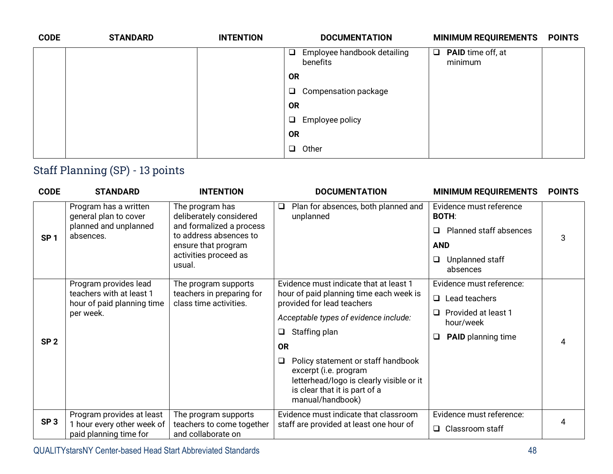| <b>CODE</b> | <b>STANDARD</b> | <b>INTENTION</b> | <b>DOCUMENTATION</b>                           | <b>MINIMUM REQUIREMENTS</b>         | <b>POINTS</b> |
|-------------|-----------------|------------------|------------------------------------------------|-------------------------------------|---------------|
|             |                 |                  | $\Box$ Employee handbook detailing<br>benefits | $\Box$ PAID time off, at<br>minimum |               |
|             |                 |                  | <b>OR</b>                                      |                                     |               |
|             |                 |                  | Compensation package<br>$\Box$                 |                                     |               |
|             |                 |                  | <b>OR</b>                                      |                                     |               |
|             |                 |                  | Employee policy<br>$\Box$                      |                                     |               |
|             |                 |                  | <b>OR</b>                                      |                                     |               |
|             |                 |                  | Other<br>$\Box$                                |                                     |               |
|             |                 |                  |                                                |                                     |               |

## Staff Planning (SP) - 13 points

| <b>CODE</b>     | <b>STANDARD</b>                                                                              | <b>INTENTION</b>                                                                                                                                           | <b>DOCUMENTATION</b>                                                                                                                                                   | <b>MINIMUM REQUIREMENTS</b>                | <b>POINTS</b> |
|-----------------|----------------------------------------------------------------------------------------------|------------------------------------------------------------------------------------------------------------------------------------------------------------|------------------------------------------------------------------------------------------------------------------------------------------------------------------------|--------------------------------------------|---------------|
| SP <sub>1</sub> | Program has a written<br>general plan to cover<br>planned and unplanned<br>absences.         | The program has<br>deliberately considered<br>and formalized a process<br>to address absences to<br>ensure that program<br>activities proceed as<br>usual. | Plan for absences, both planned and<br>$\Box$<br>unplanned                                                                                                             | Evidence must reference<br><b>BOTH:</b>    |               |
|                 |                                                                                              |                                                                                                                                                            |                                                                                                                                                                        | Planned staff absences<br>$\Box$           | 3             |
|                 |                                                                                              |                                                                                                                                                            |                                                                                                                                                                        | <b>AND</b>                                 |               |
|                 |                                                                                              |                                                                                                                                                            |                                                                                                                                                                        | Unplanned staff<br>❏<br>absences           |               |
| SP <sub>2</sub> | Program provides lead<br>teachers with at least 1<br>hour of paid planning time<br>per week. | The program supports<br>teachers in preparing for<br>class time activities.                                                                                | Evidence must indicate that at least 1<br>hour of paid planning time each week is<br>provided for lead teachers                                                        | Evidence must reference:                   |               |
|                 |                                                                                              |                                                                                                                                                            |                                                                                                                                                                        | $\Box$<br>Lead teachers                    |               |
|                 |                                                                                              |                                                                                                                                                            | Acceptable types of evidence include:                                                                                                                                  | Provided at least 1<br>$\Box$<br>hour/week |               |
|                 |                                                                                              |                                                                                                                                                            | Staffing plan<br>□                                                                                                                                                     | <b>PAID</b> planning time<br>❏             |               |
|                 |                                                                                              |                                                                                                                                                            | <b>OR</b>                                                                                                                                                              |                                            |               |
|                 |                                                                                              |                                                                                                                                                            | Policy statement or staff handbook<br>$\Box$<br>excerpt (i.e. program<br>letterhead/logo is clearly visible or it<br>is clear that it is part of a<br>manual/handbook) |                                            |               |
| SP <sub>3</sub> | Program provides at least                                                                    | The program supports                                                                                                                                       | Evidence must indicate that classroom                                                                                                                                  | Evidence must reference:                   |               |
|                 | 1 hour every other week of<br>paid planning time for                                         | teachers to come together<br>and collaborate on                                                                                                            | staff are provided at least one hour of                                                                                                                                | $\Box$ Classroom staff                     |               |